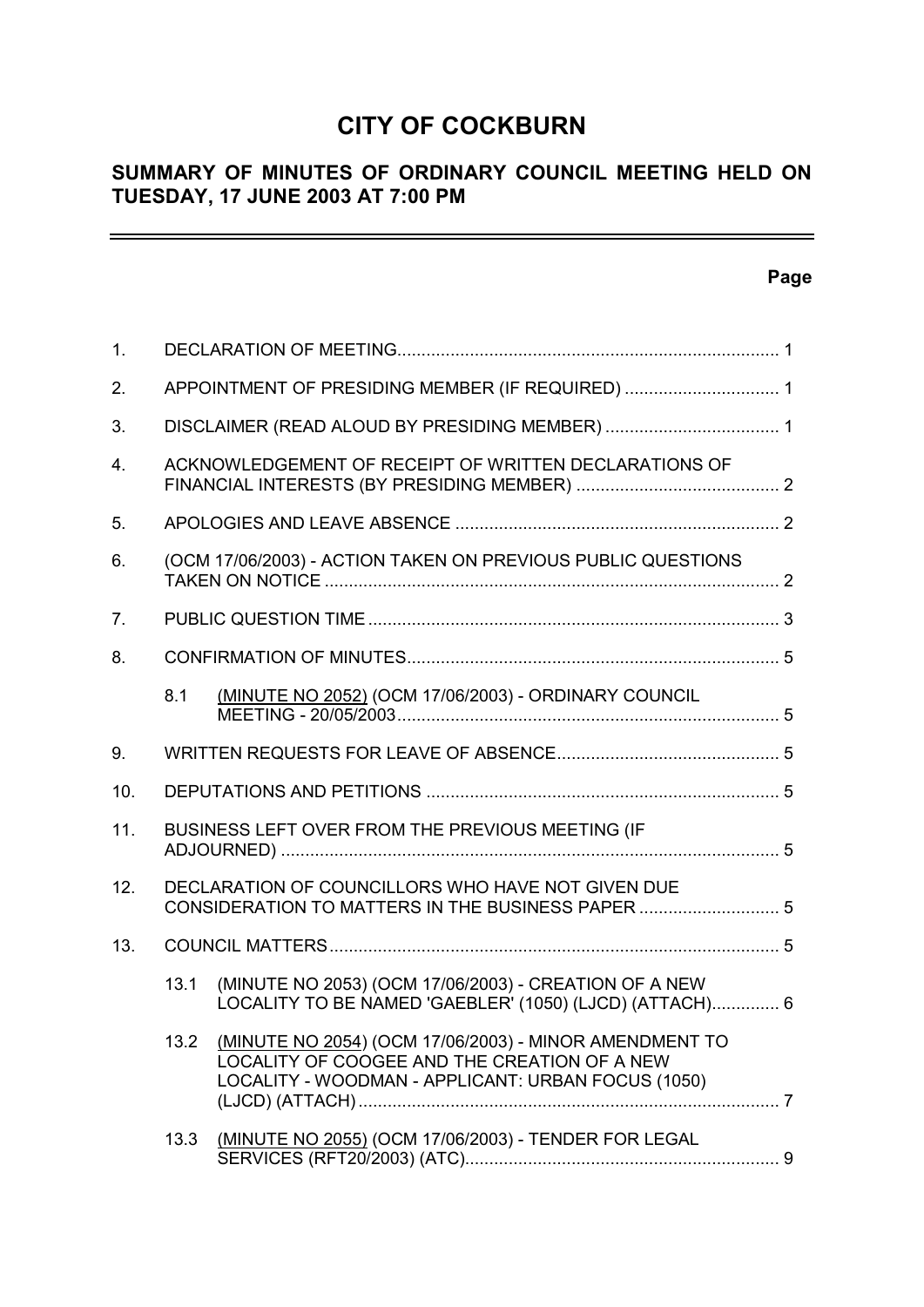# **CITY OF COCKBURN**

# **SUMMARY OF MINUTES OF ORDINARY COUNCIL MEETING HELD ON TUESDAY, 17 JUNE 2003 AT 7:00 PM**

# **Page**

 $\equiv$ 

| 1.             |                                                              |                                                                                                                                                              |  |  |
|----------------|--------------------------------------------------------------|--------------------------------------------------------------------------------------------------------------------------------------------------------------|--|--|
| 2.             | APPOINTMENT OF PRESIDING MEMBER (IF REQUIRED)  1             |                                                                                                                                                              |  |  |
| 3.             |                                                              |                                                                                                                                                              |  |  |
| 4.             | ACKNOWLEDGEMENT OF RECEIPT OF WRITTEN DECLARATIONS OF        |                                                                                                                                                              |  |  |
| 5.             |                                                              |                                                                                                                                                              |  |  |
| 6.             | (OCM 17/06/2003) - ACTION TAKEN ON PREVIOUS PUBLIC QUESTIONS |                                                                                                                                                              |  |  |
| 7 <sub>1</sub> |                                                              |                                                                                                                                                              |  |  |
| 8.             |                                                              |                                                                                                                                                              |  |  |
|                | 8.1                                                          | (MINUTE NO 2052) (OCM 17/06/2003) - ORDINARY COUNCIL                                                                                                         |  |  |
| 9.             |                                                              |                                                                                                                                                              |  |  |
| 10.            |                                                              |                                                                                                                                                              |  |  |
| 11.            |                                                              | BUSINESS LEFT OVER FROM THE PREVIOUS MEETING (IF                                                                                                             |  |  |
| 12.            |                                                              | DECLARATION OF COUNCILLORS WHO HAVE NOT GIVEN DUE<br>CONSIDERATION TO MATTERS IN THE BUSINESS PAPER  5                                                       |  |  |
| 13.            |                                                              |                                                                                                                                                              |  |  |
|                | 13.1                                                         | (MINUTE NO 2053) (OCM 17/06/2003) - CREATION OF A NEW<br>LOCALITY TO BE NAMED 'GAEBLER' (1050) (LJCD) (ATTACH) 6                                             |  |  |
|                | 13.2                                                         | (MINUTE NO 2054) (OCM 17/06/2003) - MINOR AMENDMENT TO<br>LOCALITY OF COOGEE AND THE CREATION OF A NEW<br>LOCALITY - WOODMAN - APPLICANT: URBAN FOCUS (1050) |  |  |
|                | 13.3                                                         | (MINUTE NO 2055) (OCM 17/06/2003) - TENDER FOR LEGAL                                                                                                         |  |  |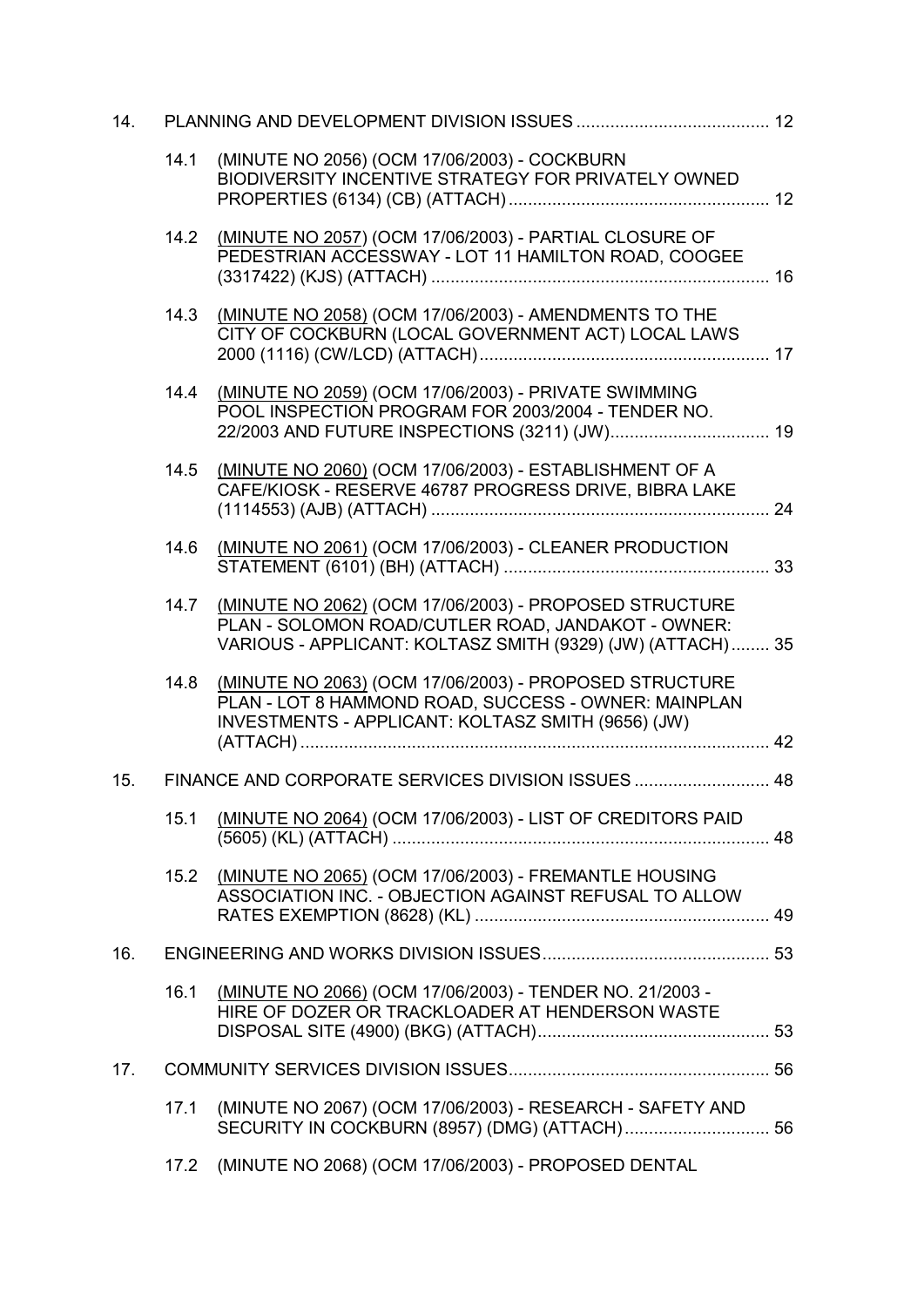| 14. |      |                                                                                                                                                                            |  |
|-----|------|----------------------------------------------------------------------------------------------------------------------------------------------------------------------------|--|
|     | 14.1 | (MINUTE NO 2056) (OCM 17/06/2003) - COCKBURN<br>BIODIVERSITY INCENTIVE STRATEGY FOR PRIVATELY OWNED                                                                        |  |
|     | 14.2 | (MINUTE NO 2057) (OCM 17/06/2003) - PARTIAL CLOSURE OF<br>PEDESTRIAN ACCESSWAY - LOT 11 HAMILTON ROAD, COOGEE                                                              |  |
|     | 14.3 | (MINUTE NO 2058) (OCM 17/06/2003) - AMENDMENTS TO THE<br>CITY OF COCKBURN (LOCAL GOVERNMENT ACT) LOCAL LAWS                                                                |  |
|     | 14.4 | (MINUTE NO 2059) (OCM 17/06/2003) - PRIVATE SWIMMING<br>POOL INSPECTION PROGRAM FOR 2003/2004 - TENDER NO.<br>22/2003 AND FUTURE INSPECTIONS (3211) (JW) 19                |  |
|     | 14.5 | (MINUTE NO 2060) (OCM 17/06/2003) - ESTABLISHMENT OF A<br>CAFE/KIOSK - RESERVE 46787 PROGRESS DRIVE, BIBRA LAKE                                                            |  |
|     | 14.6 | (MINUTE NO 2061) (OCM 17/06/2003) - CLEANER PRODUCTION                                                                                                                     |  |
|     | 14.7 | (MINUTE NO 2062) (OCM 17/06/2003) - PROPOSED STRUCTURE<br>PLAN - SOLOMON ROAD/CUTLER ROAD, JANDAKOT - OWNER:<br>VARIOUS - APPLICANT: KOLTASZ SMITH (9329) (JW) (ATTACH) 35 |  |
|     | 14.8 | (MINUTE NO 2063) (OCM 17/06/2003) - PROPOSED STRUCTURE<br>PLAN - LOT 8 HAMMOND ROAD, SUCCESS - OWNER: MAINPLAN<br>INVESTMENTS - APPLICANT: KOLTASZ SMITH (9656) (JW)       |  |
| 15. |      | FINANCE AND CORPORATE SERVICES DIVISION ISSUES  48                                                                                                                         |  |
|     | 15.1 | (MINUTE NO 2064) (OCM 17/06/2003) - LIST OF CREDITORS PAID                                                                                                                 |  |
|     | 15.2 | (MINUTE NO 2065) (OCM 17/06/2003) - FREMANTLE HOUSING<br>ASSOCIATION INC. - OBJECTION AGAINST REFUSAL TO ALLOW                                                             |  |
| 16. |      |                                                                                                                                                                            |  |
|     | 16.1 | (MINUTE NO 2066) (OCM 17/06/2003) - TENDER NO. 21/2003 -<br>HIRE OF DOZER OR TRACKLOADER AT HENDERSON WASTE                                                                |  |
| 17. |      |                                                                                                                                                                            |  |
|     | 17.1 | (MINUTE NO 2067) (OCM 17/06/2003) - RESEARCH - SAFETY AND                                                                                                                  |  |
|     | 17.2 | (MINUTE NO 2068) (OCM 17/06/2003) - PROPOSED DENTAL                                                                                                                        |  |
|     |      |                                                                                                                                                                            |  |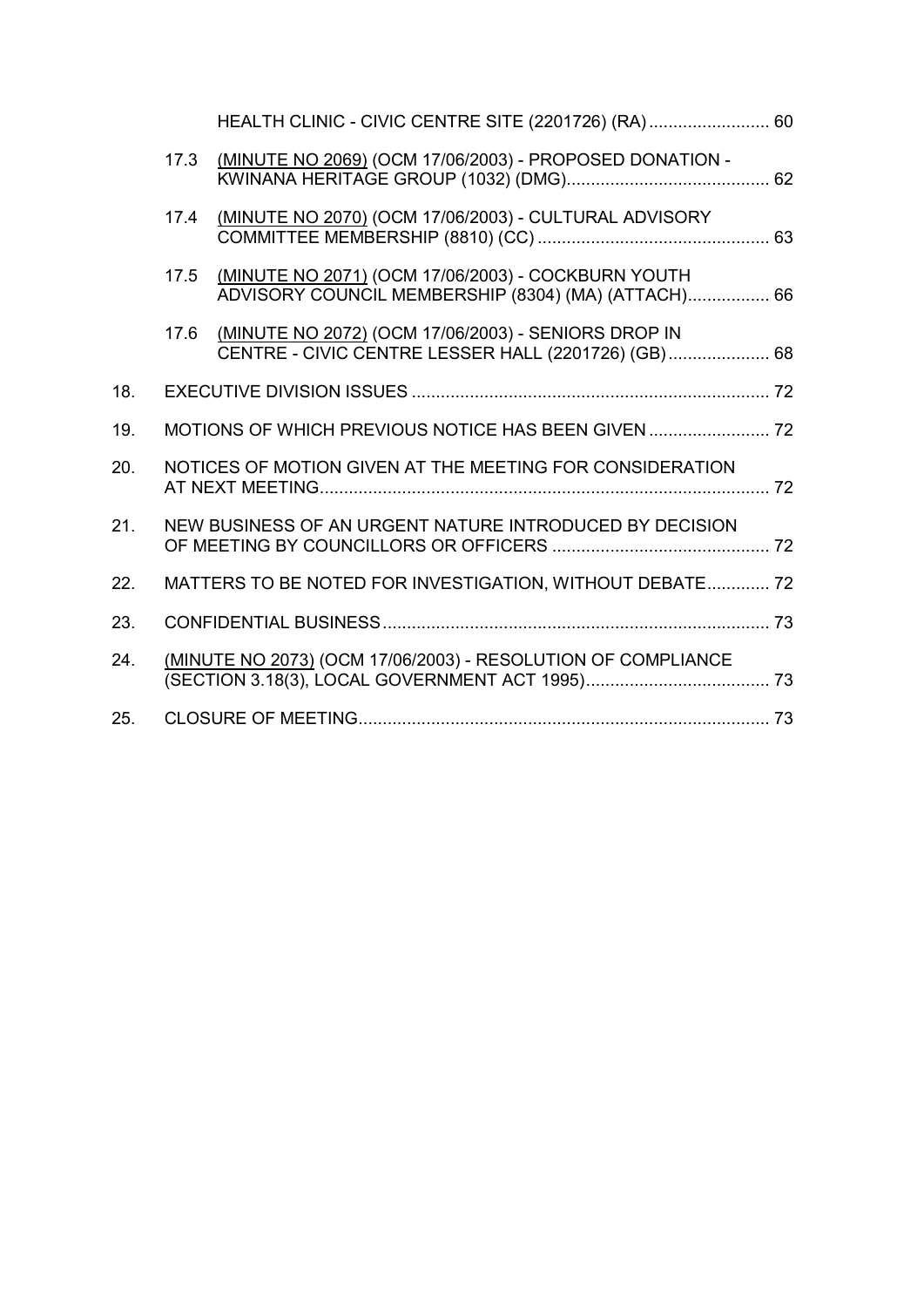|     |      | HEALTH CLINIC - CIVIC CENTRE SITE (2201726) (RA) 60                                                        |  |
|-----|------|------------------------------------------------------------------------------------------------------------|--|
|     | 17.3 | (MINUTE NO 2069) (OCM 17/06/2003) - PROPOSED DONATION -                                                    |  |
|     | 17.4 | (MINUTE NO 2070) (OCM 17/06/2003) - CULTURAL ADVISORY                                                      |  |
|     | 17.5 | (MINUTE NO 2071) (OCM 17/06/2003) - COCKBURN YOUTH<br>ADVISORY COUNCIL MEMBERSHIP (8304) (MA) (ATTACH) 66  |  |
|     | 17.6 | (MINUTE NO 2072) (OCM 17/06/2003) - SENIORS DROP IN<br>CENTRE - CIVIC CENTRE LESSER HALL (2201726) (GB) 68 |  |
| 18. |      |                                                                                                            |  |
| 19. |      |                                                                                                            |  |
| 20. |      | NOTICES OF MOTION GIVEN AT THE MEETING FOR CONSIDERATION                                                   |  |
| 21. |      | NEW BUSINESS OF AN URGENT NATURE INTRODUCED BY DECISION                                                    |  |
| 22. |      | MATTERS TO BE NOTED FOR INVESTIGATION, WITHOUT DEBATE 72                                                   |  |
| 23. |      |                                                                                                            |  |
| 24. |      | (MINUTE NO 2073) (OCM 17/06/2003) - RESOLUTION OF COMPLIANCE                                               |  |
| 25. |      |                                                                                                            |  |
|     |      |                                                                                                            |  |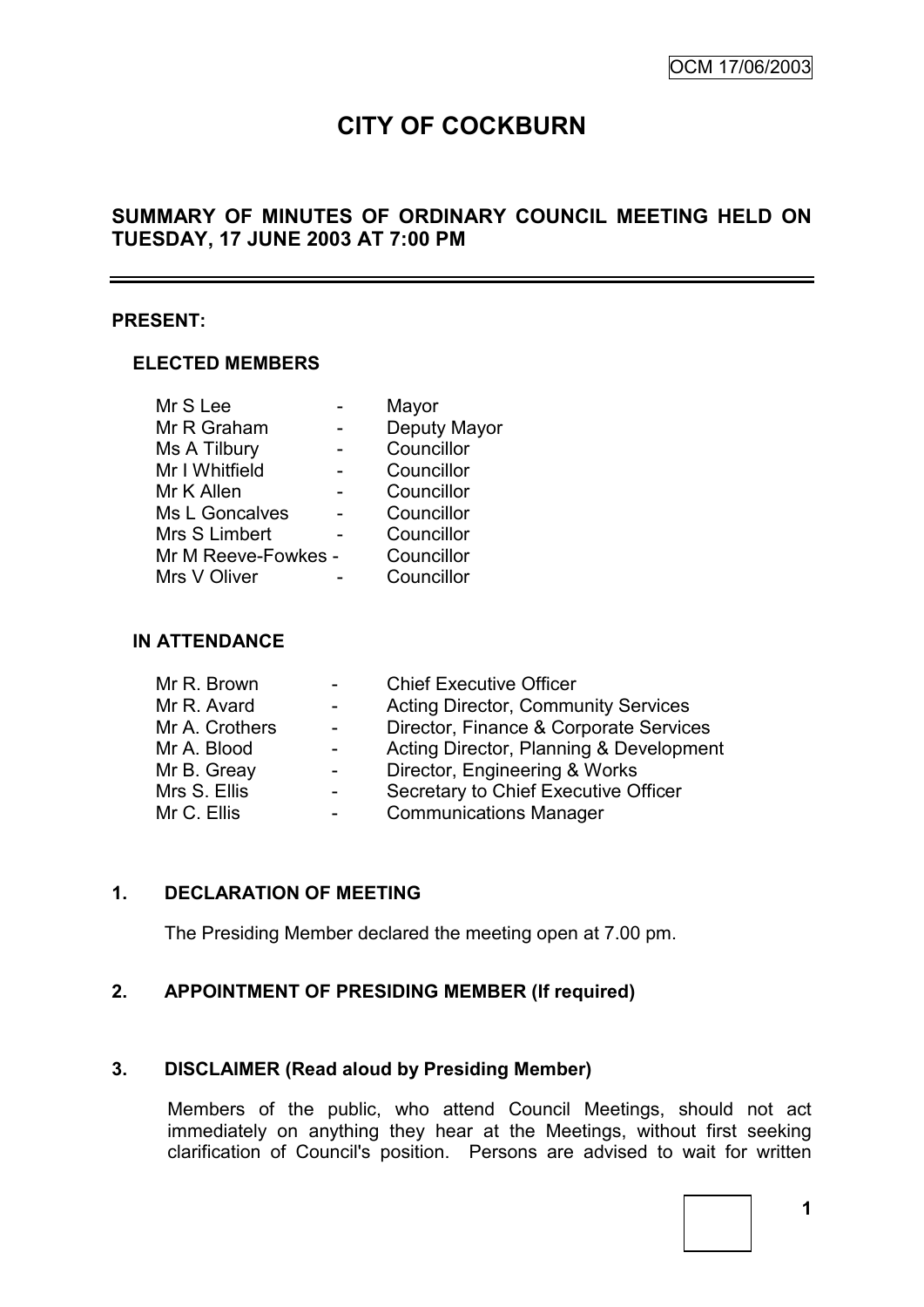# **CITY OF COCKBURN**

# **SUMMARY OF MINUTES OF ORDINARY COUNCIL MEETING HELD ON TUESDAY, 17 JUNE 2003 AT 7:00 PM**

#### **PRESENT:**

#### **ELECTED MEMBERS**

| Mr S Lee            | Mayor        |
|---------------------|--------------|
| Mr R Graham         | Deputy Mayor |
| Ms A Tilbury        | Councillor   |
| Mr I Whitfield      | Councillor   |
| Mr K Allen          | Councillor   |
| Ms L Goncalves      | Councillor   |
| Mrs S Limbert       | Councillor   |
| Mr M Reeve-Fowkes - | Councillor   |
| Mrs V Oliver        | Councillor   |

#### **IN ATTENDANCE**

| Mr R. Brown    | $\sim 100$       | <b>Chief Executive Officer</b>             |
|----------------|------------------|--------------------------------------------|
| Mr R. Avard    | $\sim$           | <b>Acting Director, Community Services</b> |
| Mr A. Crothers | $\sim$           | Director, Finance & Corporate Services     |
| Mr A. Blood    | $\sim 100$       | Acting Director, Planning & Development    |
| Mr B. Greay    | $\sim$           | Director, Engineering & Works              |
| Mrs S. Ellis   | -                | Secretary to Chief Executive Officer       |
| Mr C. Ellis    | $\sim$ 100 $\mu$ | <b>Communications Manager</b>              |

# **1. DECLARATION OF MEETING**

The Presiding Member declared the meeting open at 7.00 pm.

# **2. APPOINTMENT OF PRESIDING MEMBER (If required)**

# **3. DISCLAIMER (Read aloud by Presiding Member)**

Members of the public, who attend Council Meetings, should not act immediately on anything they hear at the Meetings, without first seeking clarification of Council's position. Persons are advised to wait for written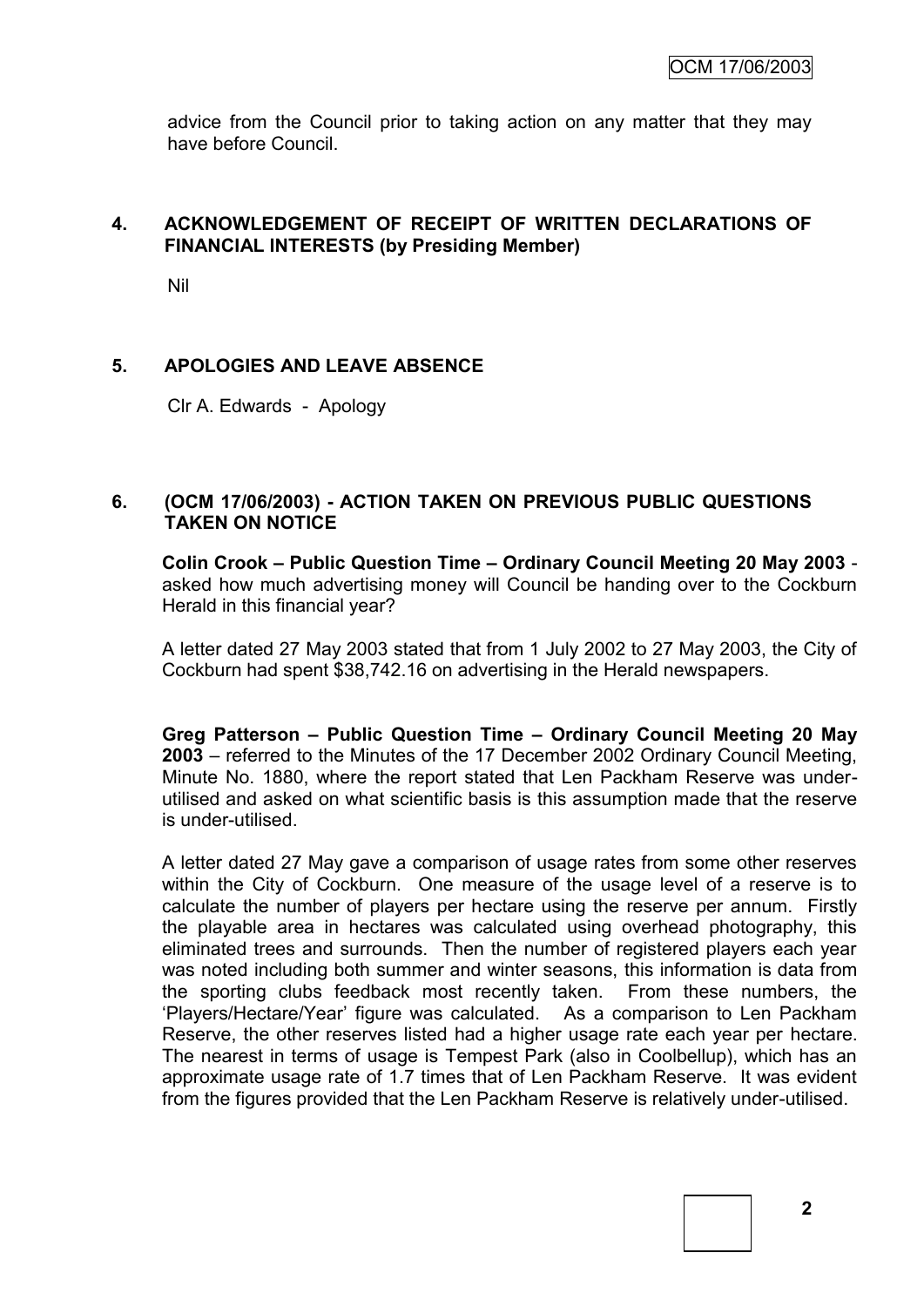advice from the Council prior to taking action on any matter that they may have before Council.

# **4. ACKNOWLEDGEMENT OF RECEIPT OF WRITTEN DECLARATIONS OF FINANCIAL INTERESTS (by Presiding Member)**

Nil

# **5. APOLOGIES AND LEAVE ABSENCE**

Clr A. Edwards - Apology

# **6. (OCM 17/06/2003) - ACTION TAKEN ON PREVIOUS PUBLIC QUESTIONS TAKEN ON NOTICE**

**Colin Crook – Public Question Time – Ordinary Council Meeting 20 May 2003**  asked how much advertising money will Council be handing over to the Cockburn Herald in this financial year?

A letter dated 27 May 2003 stated that from 1 July 2002 to 27 May 2003, the City of Cockburn had spent \$38,742.16 on advertising in the Herald newspapers.

**Greg Patterson – Public Question Time – Ordinary Council Meeting 20 May 2003** – referred to the Minutes of the 17 December 2002 Ordinary Council Meeting, Minute No. 1880, where the report stated that Len Packham Reserve was underutilised and asked on what scientific basis is this assumption made that the reserve is under-utilised.

A letter dated 27 May gave a comparison of usage rates from some other reserves within the City of Cockburn. One measure of the usage level of a reserve is to calculate the number of players per hectare using the reserve per annum. Firstly the playable area in hectares was calculated using overhead photography, this eliminated trees and surrounds. Then the number of registered players each year was noted including both summer and winter seasons, this information is data from the sporting clubs feedback most recently taken. From these numbers, the "Players/Hectare/Year" figure was calculated. As a comparison to Len Packham Reserve, the other reserves listed had a higher usage rate each year per hectare. The nearest in terms of usage is Tempest Park (also in Coolbellup), which has an approximate usage rate of 1.7 times that of Len Packham Reserve. It was evident from the figures provided that the Len Packham Reserve is relatively under-utilised.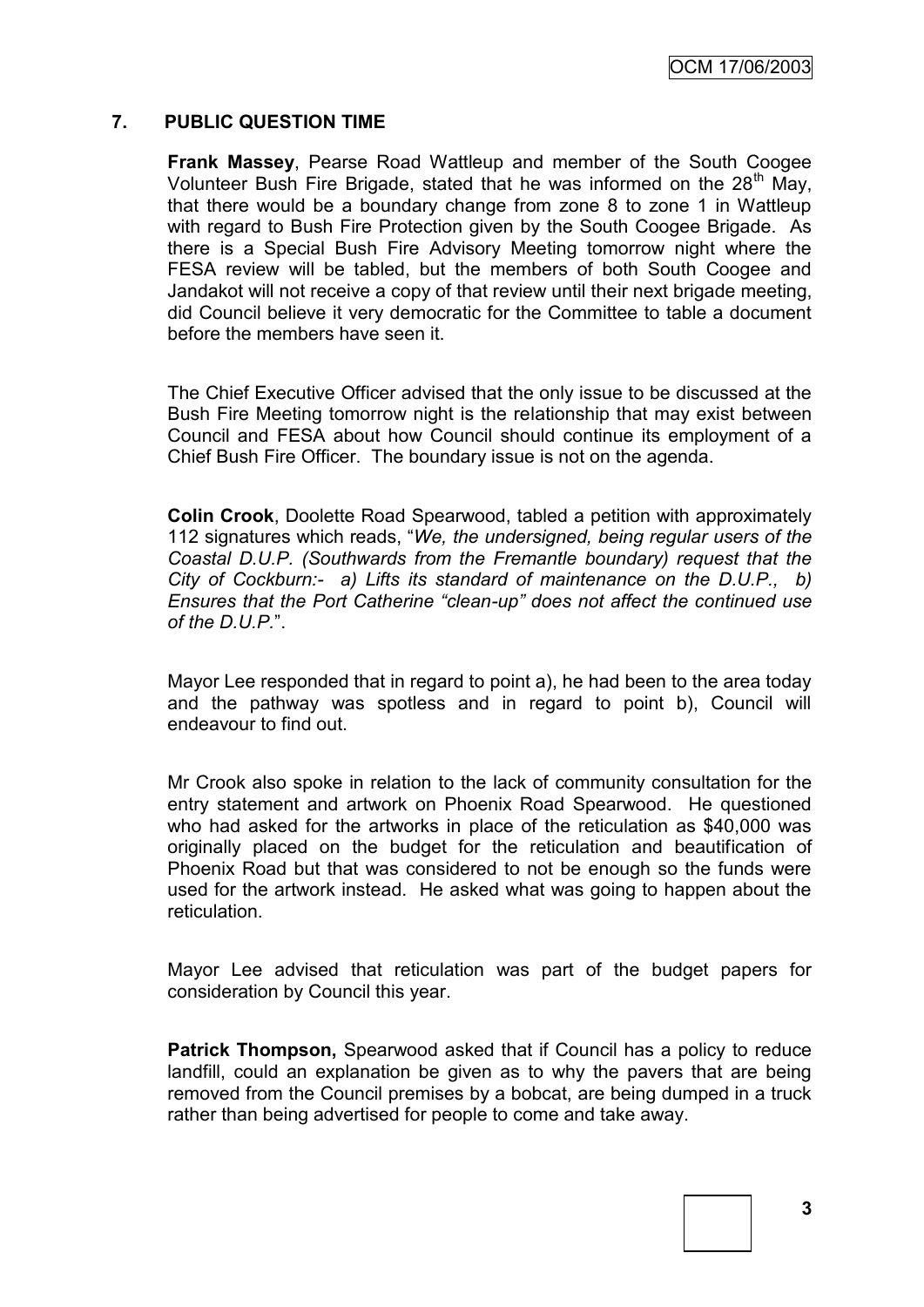OCM 17/06/2003

#### **7. PUBLIC QUESTION TIME**

**Frank Massey**, Pearse Road Wattleup and member of the South Coogee Volunteer Bush Fire Brigade, stated that he was informed on the  $28<sup>th</sup>$  May, that there would be a boundary change from zone 8 to zone 1 in Wattleup with regard to Bush Fire Protection given by the South Coogee Brigade. As there is a Special Bush Fire Advisory Meeting tomorrow night where the FESA review will be tabled, but the members of both South Coogee and Jandakot will not receive a copy of that review until their next brigade meeting, did Council believe it very democratic for the Committee to table a document before the members have seen it.

The Chief Executive Officer advised that the only issue to be discussed at the Bush Fire Meeting tomorrow night is the relationship that may exist between Council and FESA about how Council should continue its employment of a Chief Bush Fire Officer. The boundary issue is not on the agenda.

**Colin Crook**, Doolette Road Spearwood, tabled a petition with approximately 112 signatures which reads, "*We, the undersigned, being regular users of the Coastal D.U.P. (Southwards from the Fremantle boundary) request that the City of Cockburn:- a) Lifts its standard of maintenance on the D.U.P., b) Ensures that the Port Catherine "clean-up" does not affect the continued use of the D.U.P.*".

Mayor Lee responded that in regard to point a), he had been to the area today and the pathway was spotless and in regard to point b), Council will endeavour to find out.

Mr Crook also spoke in relation to the lack of community consultation for the entry statement and artwork on Phoenix Road Spearwood. He questioned who had asked for the artworks in place of the reticulation as \$40,000 was originally placed on the budget for the reticulation and beautification of Phoenix Road but that was considered to not be enough so the funds were used for the artwork instead. He asked what was going to happen about the reticulation.

Mayor Lee advised that reticulation was part of the budget papers for consideration by Council this year.

**Patrick Thompson,** Spearwood asked that if Council has a policy to reduce landfill, could an explanation be given as to why the pavers that are being removed from the Council premises by a bobcat, are being dumped in a truck rather than being advertised for people to come and take away.

**3**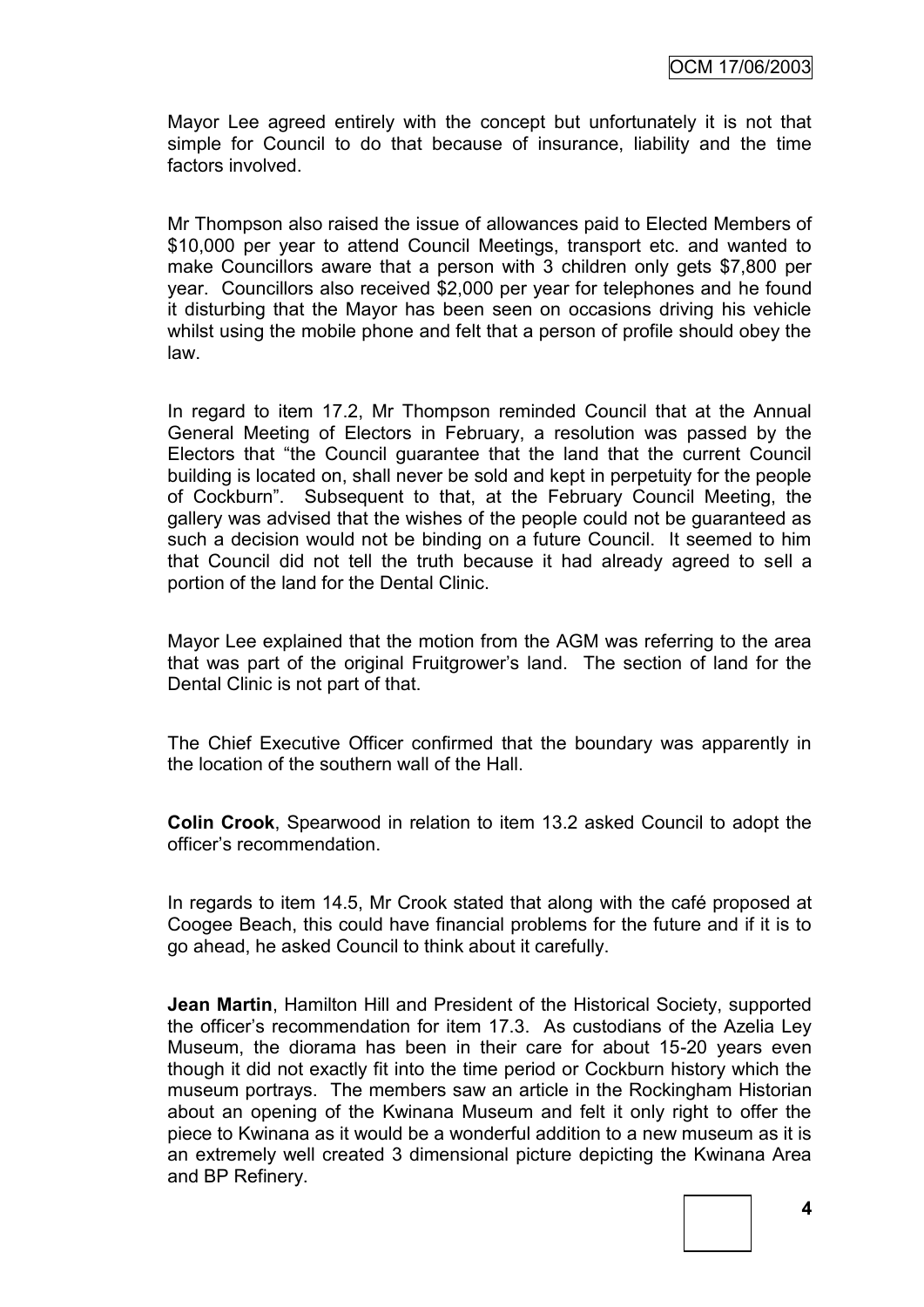Mayor Lee agreed entirely with the concept but unfortunately it is not that simple for Council to do that because of insurance, liability and the time factors involved.

Mr Thompson also raised the issue of allowances paid to Elected Members of \$10,000 per year to attend Council Meetings, transport etc. and wanted to make Councillors aware that a person with 3 children only gets \$7,800 per year. Councillors also received \$2,000 per year for telephones and he found it disturbing that the Mayor has been seen on occasions driving his vehicle whilst using the mobile phone and felt that a person of profile should obey the law.

In regard to item 17.2, Mr Thompson reminded Council that at the Annual General Meeting of Electors in February, a resolution was passed by the Electors that "the Council guarantee that the land that the current Council building is located on, shall never be sold and kept in perpetuity for the people of Cockburn". Subsequent to that, at the February Council Meeting, the gallery was advised that the wishes of the people could not be guaranteed as such a decision would not be binding on a future Council. It seemed to him that Council did not tell the truth because it had already agreed to sell a portion of the land for the Dental Clinic.

Mayor Lee explained that the motion from the AGM was referring to the area that was part of the original Fruitgrower"s land. The section of land for the Dental Clinic is not part of that.

The Chief Executive Officer confirmed that the boundary was apparently in the location of the southern wall of the Hall.

**Colin Crook**, Spearwood in relation to item 13.2 asked Council to adopt the officer"s recommendation.

In regards to item 14.5, Mr Crook stated that along with the café proposed at Coogee Beach, this could have financial problems for the future and if it is to go ahead, he asked Council to think about it carefully.

**Jean Martin**, Hamilton Hill and President of the Historical Society, supported the officer"s recommendation for item 17.3. As custodians of the Azelia Ley Museum, the diorama has been in their care for about 15-20 years even though it did not exactly fit into the time period or Cockburn history which the museum portrays. The members saw an article in the Rockingham Historian about an opening of the Kwinana Museum and felt it only right to offer the piece to Kwinana as it would be a wonderful addition to a new museum as it is an extremely well created 3 dimensional picture depicting the Kwinana Area and BP Refinery.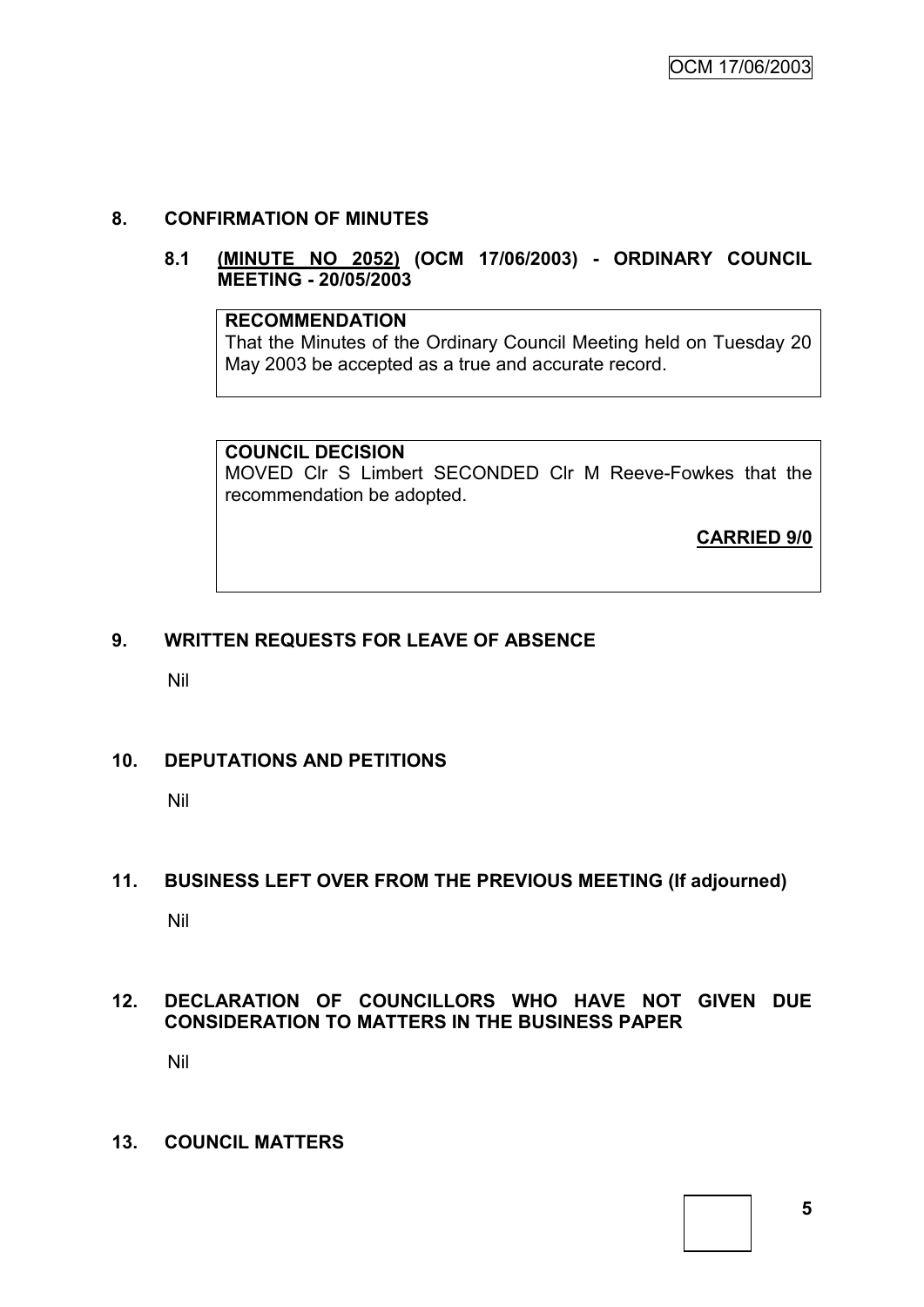# **8. CONFIRMATION OF MINUTES**

#### **8.1 (MINUTE NO 2052) (OCM 17/06/2003) - ORDINARY COUNCIL MEETING - 20/05/2003**

# **RECOMMENDATION**

That the Minutes of the Ordinary Council Meeting held on Tuesday 20 May 2003 be accepted as a true and accurate record.

# **COUNCIL DECISION**

MOVED Clr S Limbert SECONDED Clr M Reeve-Fowkes that the recommendation be adopted.

**CARRIED 9/0**

# **9. WRITTEN REQUESTS FOR LEAVE OF ABSENCE**

Nil

# **10. DEPUTATIONS AND PETITIONS**

Nil

# **11. BUSINESS LEFT OVER FROM THE PREVIOUS MEETING (If adjourned)**

Nil

# **12. DECLARATION OF COUNCILLORS WHO HAVE NOT GIVEN DUE CONSIDERATION TO MATTERS IN THE BUSINESS PAPER**

Nil

#### **13. COUNCIL MATTERS**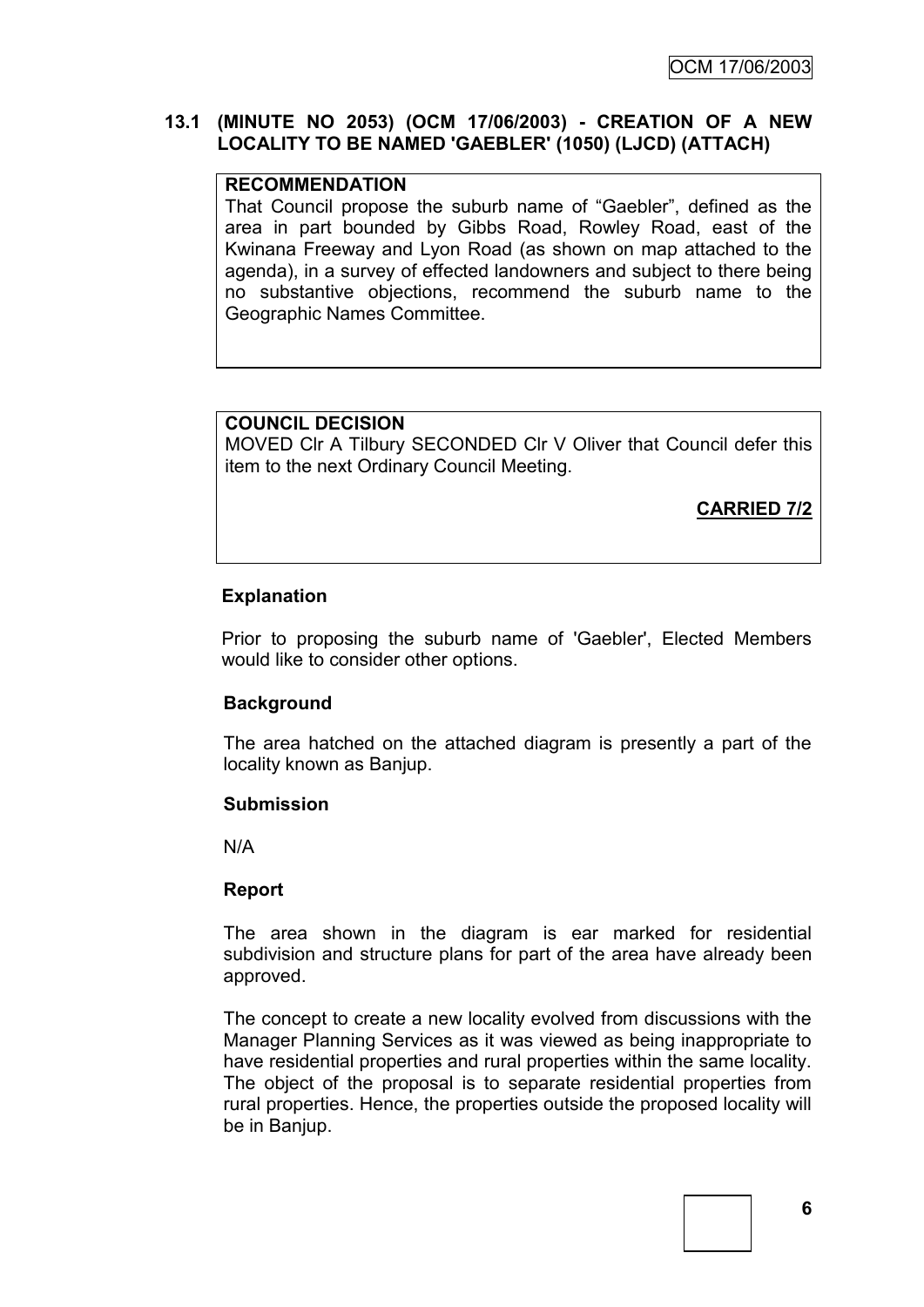# **13.1 (MINUTE NO 2053) (OCM 17/06/2003) - CREATION OF A NEW LOCALITY TO BE NAMED 'GAEBLER' (1050) (LJCD) (ATTACH)**

# **RECOMMENDATION**

That Council propose the suburb name of "Gaebler", defined as the area in part bounded by Gibbs Road, Rowley Road, east of the Kwinana Freeway and Lyon Road (as shown on map attached to the agenda), in a survey of effected landowners and subject to there being no substantive objections, recommend the suburb name to the Geographic Names Committee.

# **COUNCIL DECISION**

MOVED Clr A Tilbury SECONDED Clr V Oliver that Council defer this item to the next Ordinary Council Meeting.

**CARRIED 7/2**

# **Explanation**

Prior to proposing the suburb name of 'Gaebler', Elected Members would like to consider other options.

# **Background**

The area hatched on the attached diagram is presently a part of the locality known as Banjup.

# **Submission**

N/A

# **Report**

The area shown in the diagram is ear marked for residential subdivision and structure plans for part of the area have already been approved.

The concept to create a new locality evolved from discussions with the Manager Planning Services as it was viewed as being inappropriate to have residential properties and rural properties within the same locality. The object of the proposal is to separate residential properties from rural properties. Hence, the properties outside the proposed locality will be in Banjup.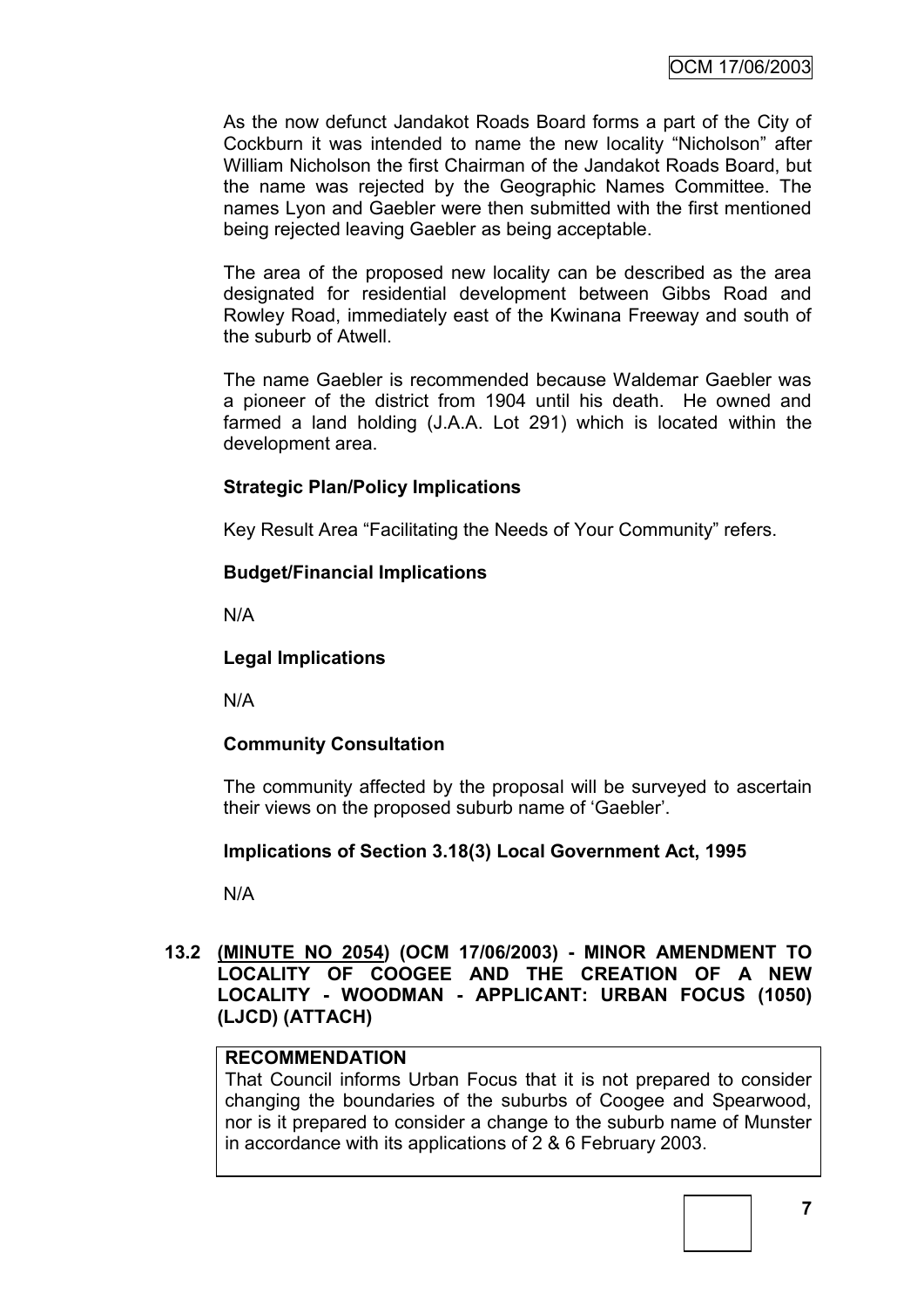As the now defunct Jandakot Roads Board forms a part of the City of Cockburn it was intended to name the new locality "Nicholson" after William Nicholson the first Chairman of the Jandakot Roads Board, but the name was rejected by the Geographic Names Committee. The names Lyon and Gaebler were then submitted with the first mentioned being rejected leaving Gaebler as being acceptable.

The area of the proposed new locality can be described as the area designated for residential development between Gibbs Road and Rowley Road, immediately east of the Kwinana Freeway and south of the suburb of Atwell.

The name Gaebler is recommended because Waldemar Gaebler was a pioneer of the district from 1904 until his death. He owned and farmed a land holding (J.A.A. Lot 291) which is located within the development area.

# **Strategic Plan/Policy Implications**

Key Result Area "Facilitating the Needs of Your Community" refers.

# **Budget/Financial Implications**

N/A

# **Legal Implications**

N/A

# **Community Consultation**

The community affected by the proposal will be surveyed to ascertain their views on the proposed suburb name of "Gaebler".

# **Implications of Section 3.18(3) Local Government Act, 1995**

N/A

# **13.2 (MINUTE NO 2054) (OCM 17/06/2003) - MINOR AMENDMENT TO LOCALITY OF COOGEE AND THE CREATION OF A NEW LOCALITY - WOODMAN - APPLICANT: URBAN FOCUS (1050) (LJCD) (ATTACH)**

# **RECOMMENDATION**

That Council informs Urban Focus that it is not prepared to consider changing the boundaries of the suburbs of Coogee and Spearwood, nor is it prepared to consider a change to the suburb name of Munster in accordance with its applications of 2 & 6 February 2003.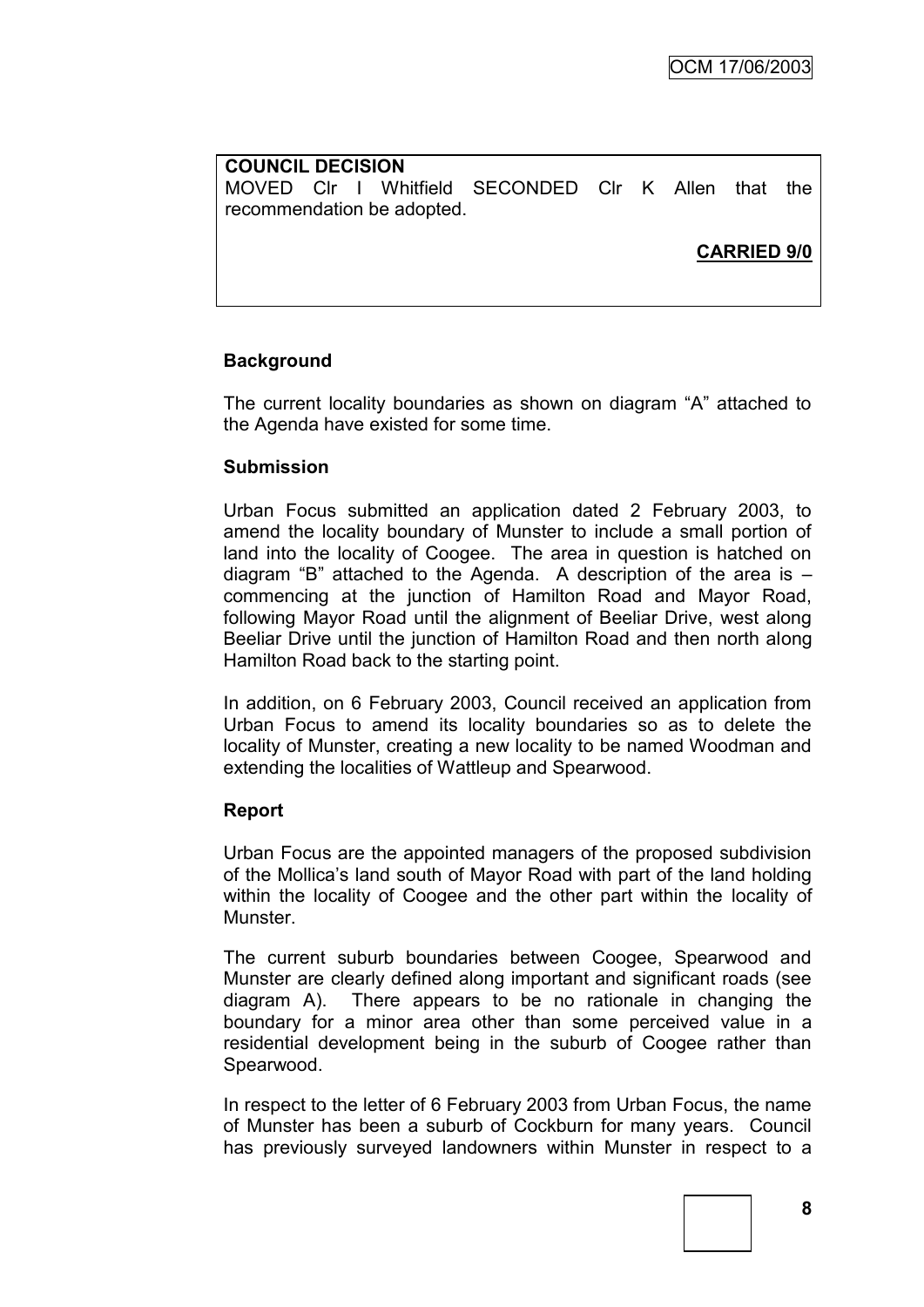# **COUNCIL DECISION** MOVED Clr I Whitfield SECONDED Clr K Allen that the recommendation be adopted.

# **CARRIED 9/0**

# **Background**

The current locality boundaries as shown on diagram "A" attached to the Agenda have existed for some time.

#### **Submission**

Urban Focus submitted an application dated 2 February 2003, to amend the locality boundary of Munster to include a small portion of land into the locality of Coogee. The area in question is hatched on diagram "B" attached to the Agenda. A description of the area is – commencing at the junction of Hamilton Road and Mayor Road, following Mayor Road until the alignment of Beeliar Drive, west along Beeliar Drive until the junction of Hamilton Road and then north along Hamilton Road back to the starting point.

In addition, on 6 February 2003, Council received an application from Urban Focus to amend its locality boundaries so as to delete the locality of Munster, creating a new locality to be named Woodman and extending the localities of Wattleup and Spearwood.

#### **Report**

Urban Focus are the appointed managers of the proposed subdivision of the Mollica"s land south of Mayor Road with part of the land holding within the locality of Coogee and the other part within the locality of Munster.

The current suburb boundaries between Coogee, Spearwood and Munster are clearly defined along important and significant roads (see diagram A). There appears to be no rationale in changing the boundary for a minor area other than some perceived value in a residential development being in the suburb of Coogee rather than Spearwood.

In respect to the letter of 6 February 2003 from Urban Focus, the name of Munster has been a suburb of Cockburn for many years. Council has previously surveyed landowners within Munster in respect to a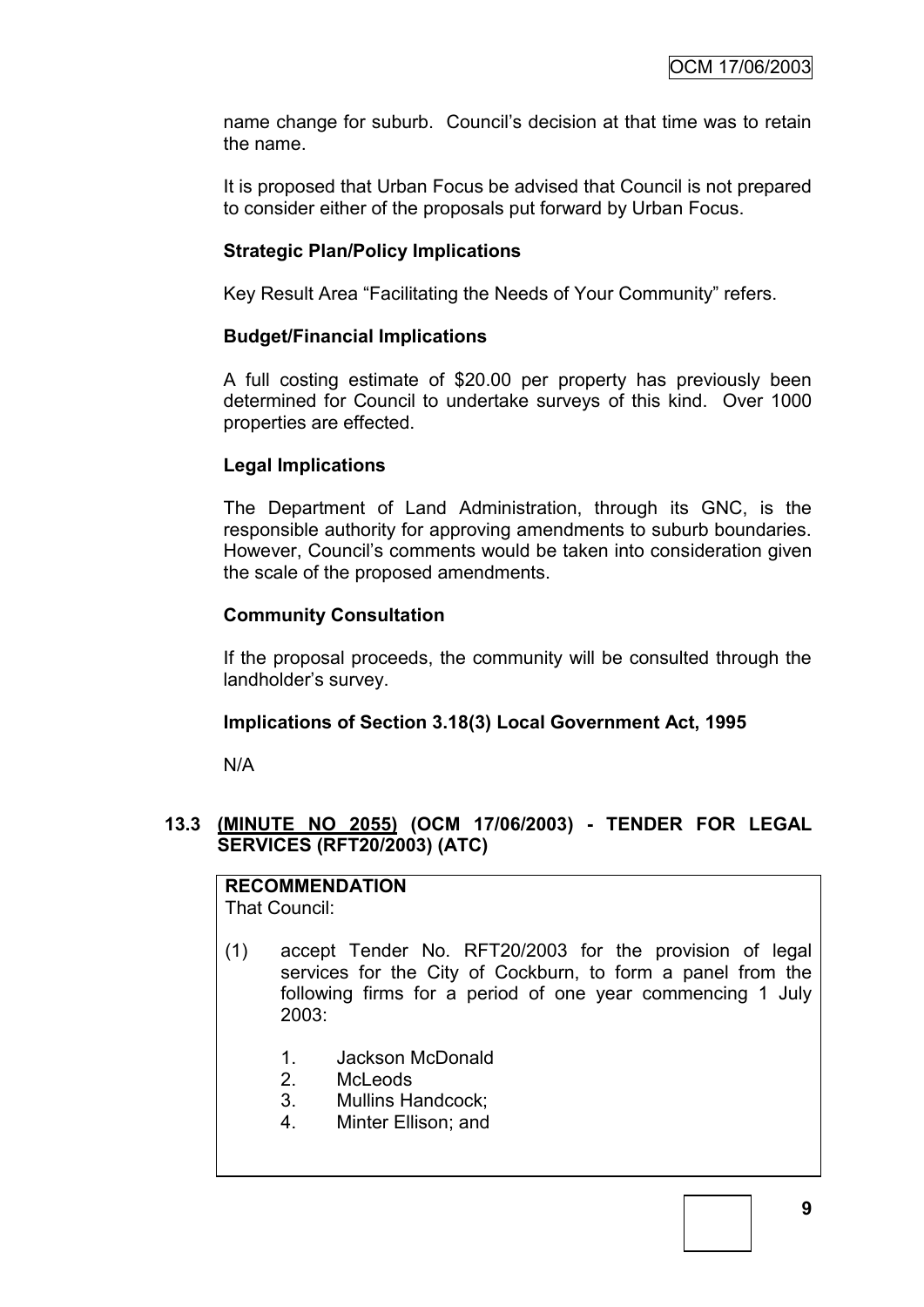name change for suburb. Council"s decision at that time was to retain the name.

It is proposed that Urban Focus be advised that Council is not prepared to consider either of the proposals put forward by Urban Focus.

# **Strategic Plan/Policy Implications**

Key Result Area "Facilitating the Needs of Your Community" refers.

#### **Budget/Financial Implications**

A full costing estimate of \$20.00 per property has previously been determined for Council to undertake surveys of this kind. Over 1000 properties are effected.

#### **Legal Implications**

The Department of Land Administration, through its GNC, is the responsible authority for approving amendments to suburb boundaries. However, Council"s comments would be taken into consideration given the scale of the proposed amendments.

#### **Community Consultation**

If the proposal proceeds, the community will be consulted through the landholder"s survey.

# **Implications of Section 3.18(3) Local Government Act, 1995**

N/A

# **13.3 (MINUTE NO 2055) (OCM 17/06/2003) - TENDER FOR LEGAL SERVICES (RFT20/2003) (ATC)**

# **RECOMMENDATION**

That Council:

- (1) accept Tender No. RFT20/2003 for the provision of legal services for the City of Cockburn, to form a panel from the following firms for a period of one year commencing 1 July 2003:
	- 1. Jackson McDonald
	- 2. McLeods
	- 3. Mullins Handcock;
	- 4. Minter Ellison; and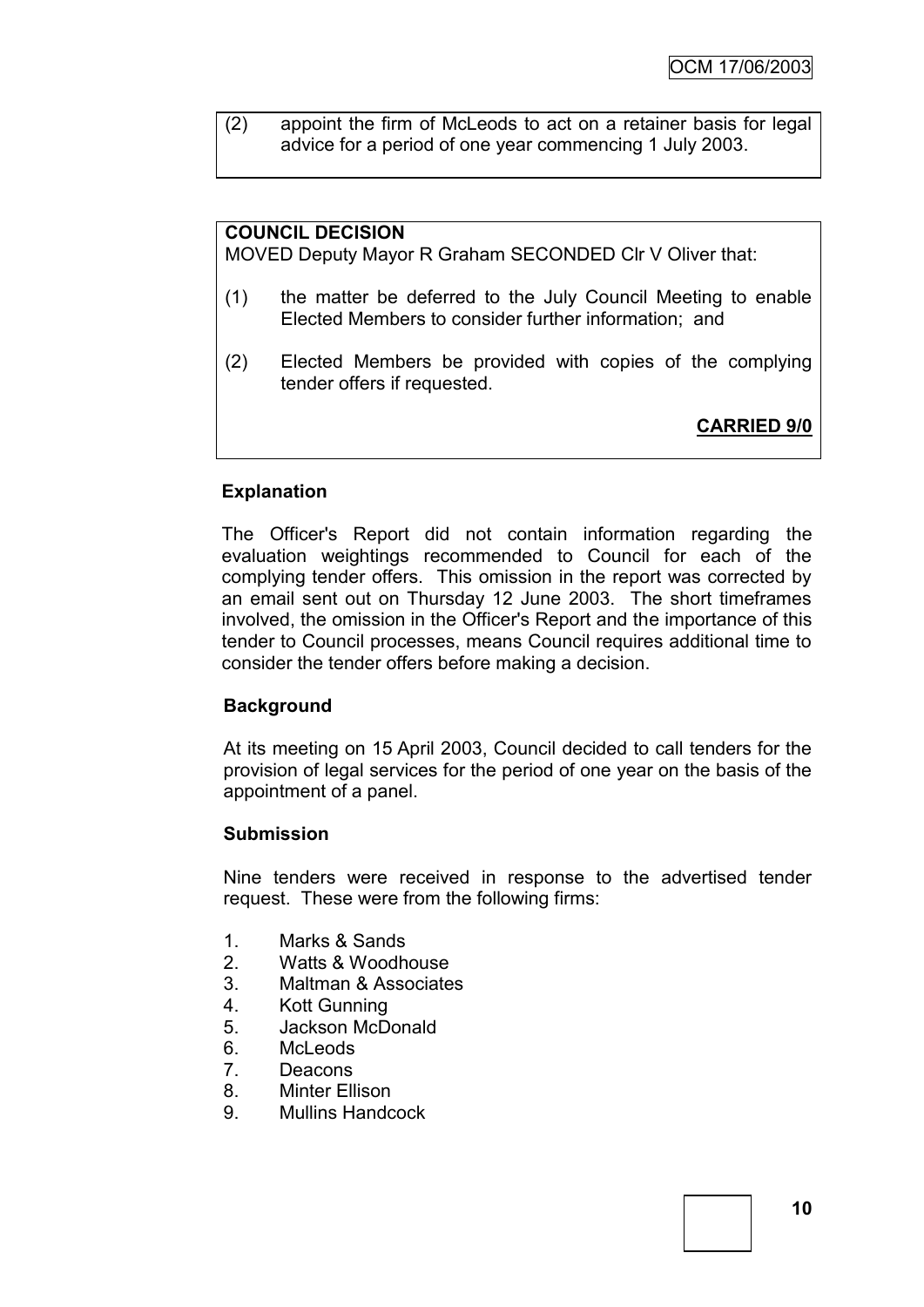(2) appoint the firm of McLeods to act on a retainer basis for legal advice for a period of one year commencing 1 July 2003.

# **COUNCIL DECISION**

MOVED Deputy Mayor R Graham SECONDED Clr V Oliver that:

- (1) the matter be deferred to the July Council Meeting to enable Elected Members to consider further information; and
- (2) Elected Members be provided with copies of the complying tender offers if requested.

**CARRIED 9/0**

# **Explanation**

The Officer's Report did not contain information regarding the evaluation weightings recommended to Council for each of the complying tender offers. This omission in the report was corrected by an email sent out on Thursday 12 June 2003. The short timeframes involved, the omission in the Officer's Report and the importance of this tender to Council processes, means Council requires additional time to consider the tender offers before making a decision.

#### **Background**

At its meeting on 15 April 2003, Council decided to call tenders for the provision of legal services for the period of one year on the basis of the appointment of a panel.

#### **Submission**

Nine tenders were received in response to the advertised tender request. These were from the following firms:

- 1. Marks & Sands
- 2. Watts & Woodhouse
- 3. Maltman & Associates
- 4. Kott Gunning
- 5. Jackson McDonald
- 6. McLeods
- 7. Deacons
- 8. Minter Ellison
- 9. Mullins Handcock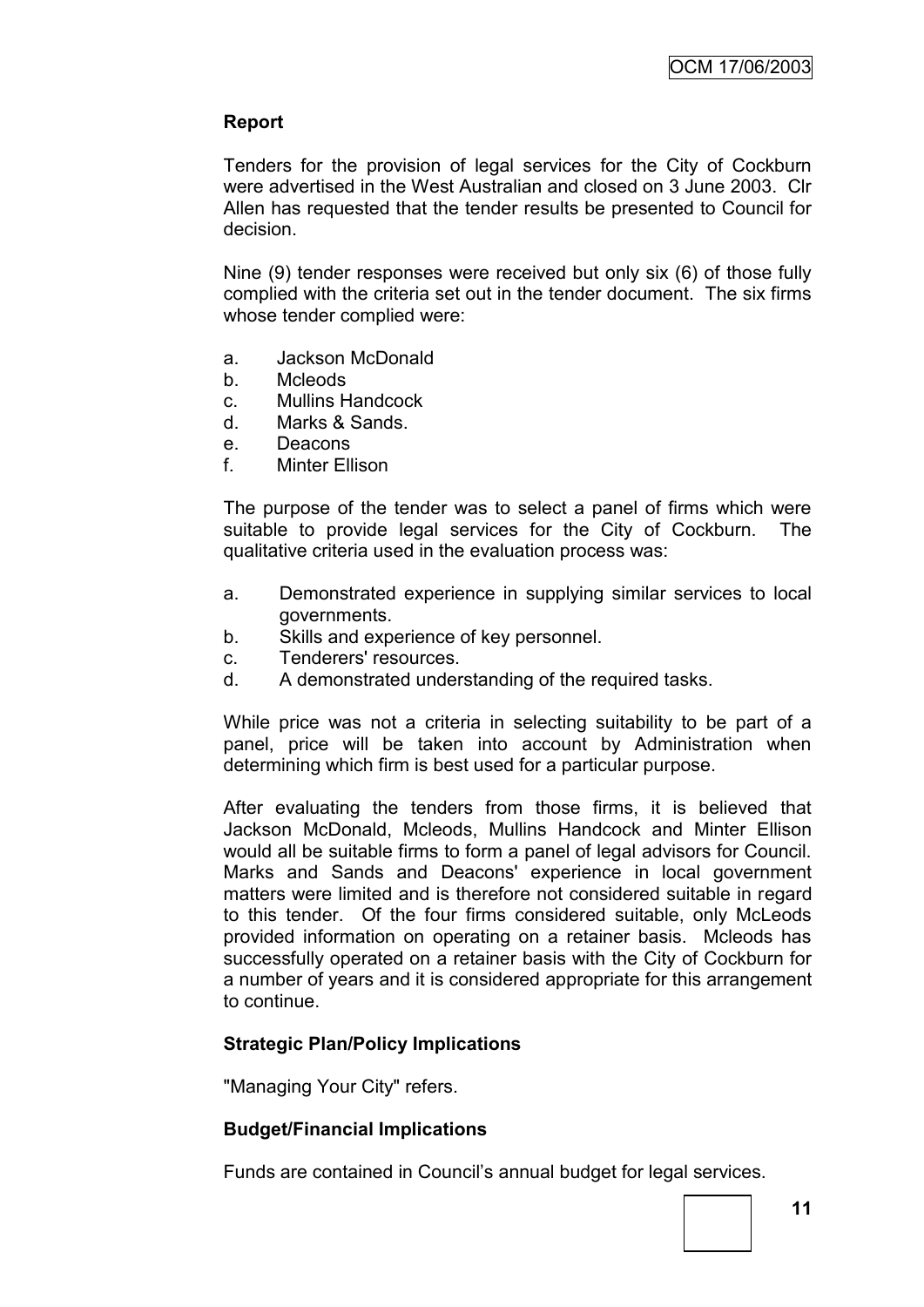# **Report**

Tenders for the provision of legal services for the City of Cockburn were advertised in the West Australian and closed on 3 June 2003. Clr Allen has requested that the tender results be presented to Council for decision.

Nine (9) tender responses were received but only six (6) of those fully complied with the criteria set out in the tender document. The six firms whose tender complied were:

- a. Jackson McDonald
- b. Mcleods
- c. Mullins Handcock
- d. Marks & Sands.
- e. Deacons
- f. Minter Ellison

The purpose of the tender was to select a panel of firms which were suitable to provide legal services for the City of Cockburn. The qualitative criteria used in the evaluation process was:

- a. Demonstrated experience in supplying similar services to local governments.
- b. Skills and experience of key personnel.
- c. Tenderers' resources.
- d. A demonstrated understanding of the required tasks.

While price was not a criteria in selecting suitability to be part of a panel, price will be taken into account by Administration when determining which firm is best used for a particular purpose.

After evaluating the tenders from those firms, it is believed that Jackson McDonald, Mcleods, Mullins Handcock and Minter Ellison would all be suitable firms to form a panel of legal advisors for Council. Marks and Sands and Deacons' experience in local government matters were limited and is therefore not considered suitable in regard to this tender. Of the four firms considered suitable, only McLeods provided information on operating on a retainer basis. Mcleods has successfully operated on a retainer basis with the City of Cockburn for a number of years and it is considered appropriate for this arrangement to continue.

# **Strategic Plan/Policy Implications**

"Managing Your City" refers.

# **Budget/Financial Implications**

Funds are contained in Council"s annual budget for legal services.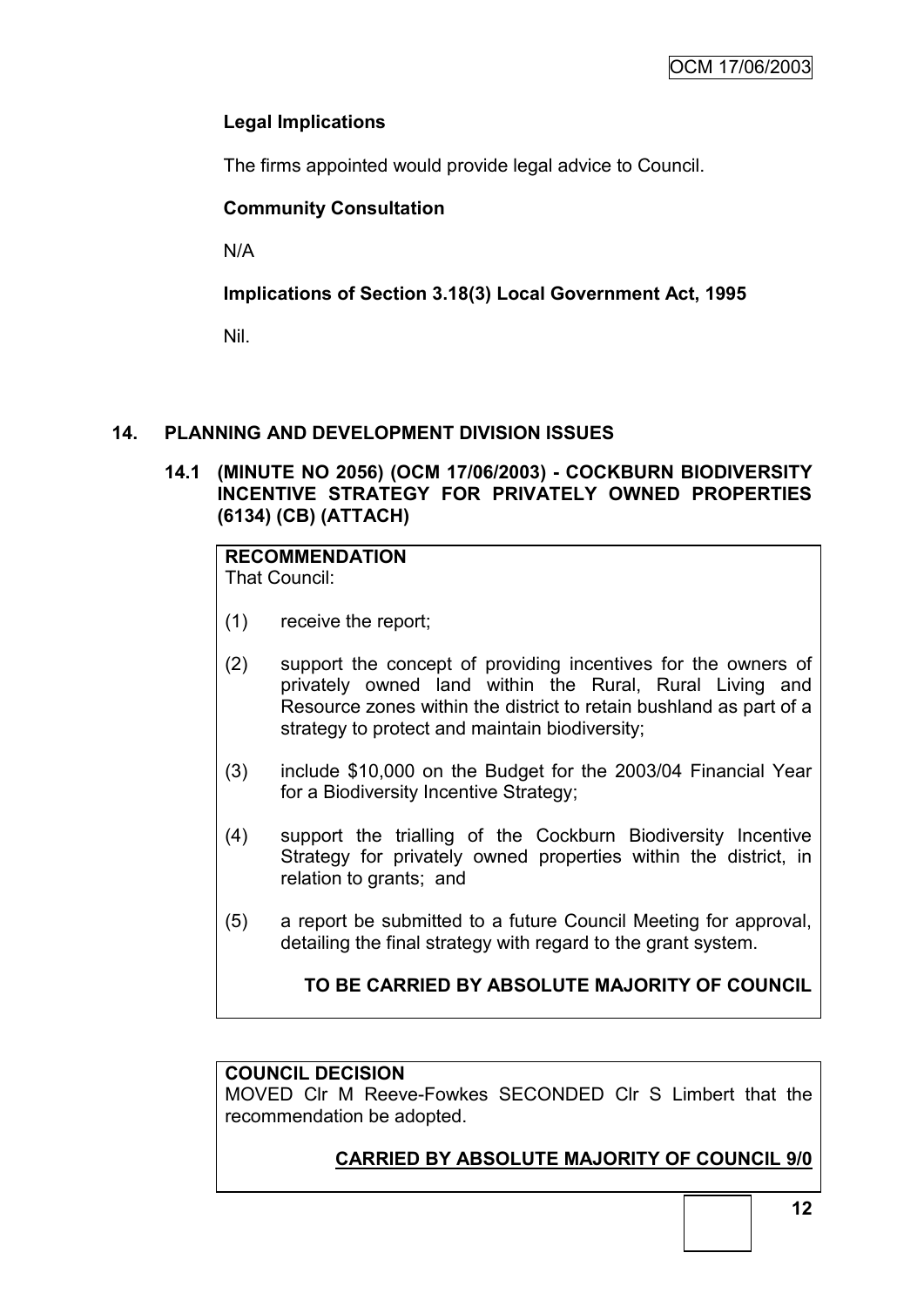# **Legal Implications**

The firms appointed would provide legal advice to Council.

# **Community Consultation**

N/A

# **Implications of Section 3.18(3) Local Government Act, 1995**

Nil.

# **14. PLANNING AND DEVELOPMENT DIVISION ISSUES**

# **14.1 (MINUTE NO 2056) (OCM 17/06/2003) - COCKBURN BIODIVERSITY INCENTIVE STRATEGY FOR PRIVATELY OWNED PROPERTIES (6134) (CB) (ATTACH)**

# **RECOMMENDATION**

That Council:

- (1) receive the report;
- (2) support the concept of providing incentives for the owners of privately owned land within the Rural, Rural Living and Resource zones within the district to retain bushland as part of a strategy to protect and maintain biodiversity;
- (3) include \$10,000 on the Budget for the 2003/04 Financial Year for a Biodiversity Incentive Strategy;
- (4) support the trialling of the Cockburn Biodiversity Incentive Strategy for privately owned properties within the district, in relation to grants; and
- (5) a report be submitted to a future Council Meeting for approval, detailing the final strategy with regard to the grant system.

# **TO BE CARRIED BY ABSOLUTE MAJORITY OF COUNCIL**

# **COUNCIL DECISION**

MOVED Clr M Reeve-Fowkes SECONDED Clr S Limbert that the recommendation be adopted.

# **CARRIED BY ABSOLUTE MAJORITY OF COUNCIL 9/0**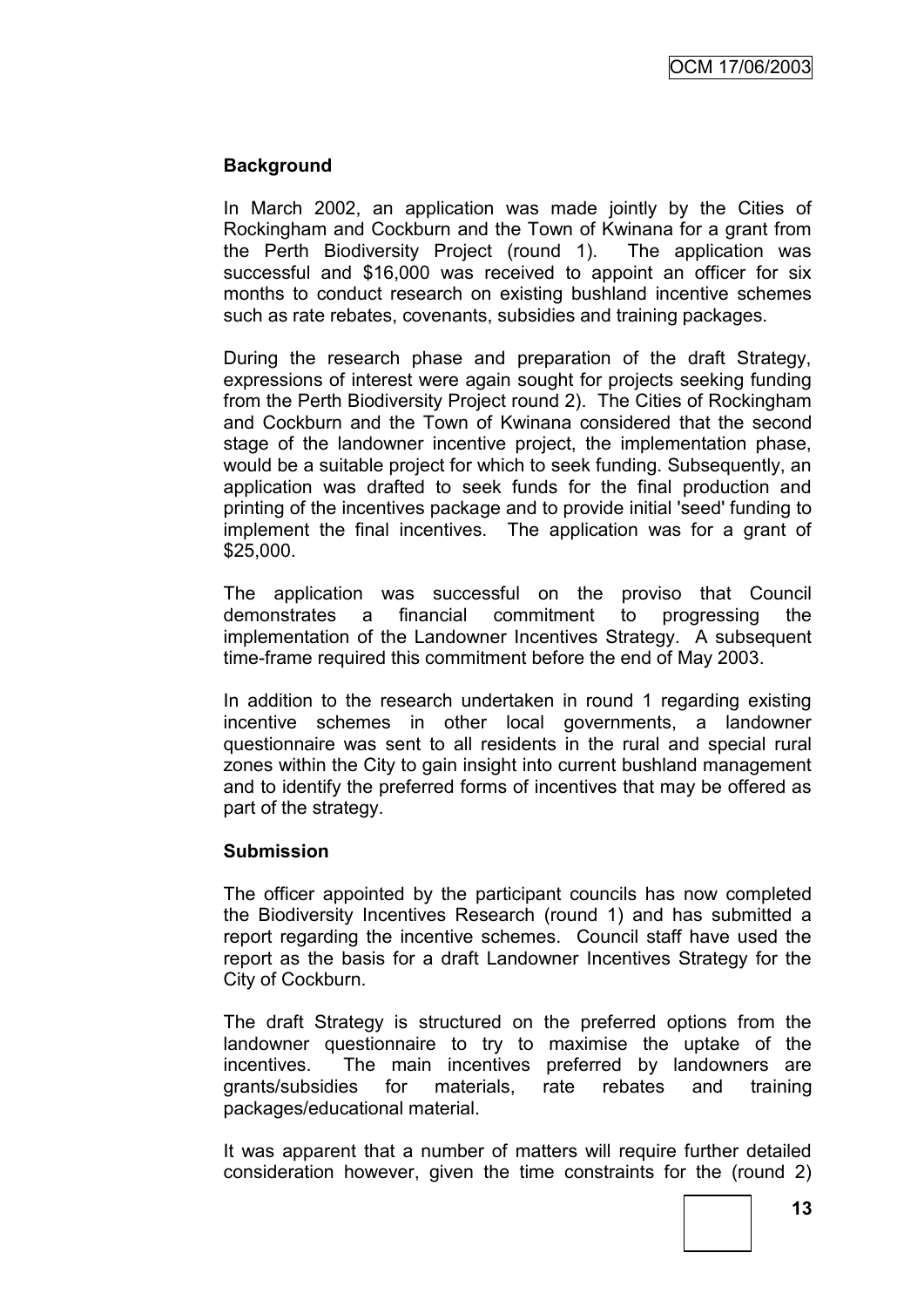# **Background**

In March 2002, an application was made jointly by the Cities of Rockingham and Cockburn and the Town of Kwinana for a grant from the Perth Biodiversity Project (round 1). The application was successful and \$16,000 was received to appoint an officer for six months to conduct research on existing bushland incentive schemes such as rate rebates, covenants, subsidies and training packages.

During the research phase and preparation of the draft Strategy, expressions of interest were again sought for projects seeking funding from the Perth Biodiversity Project round 2). The Cities of Rockingham and Cockburn and the Town of Kwinana considered that the second stage of the landowner incentive project, the implementation phase, would be a suitable project for which to seek funding. Subsequently, an application was drafted to seek funds for the final production and printing of the incentives package and to provide initial 'seed' funding to implement the final incentives. The application was for a grant of \$25,000.

The application was successful on the proviso that Council demonstrates a financial commitment to progressing the implementation of the Landowner Incentives Strategy. A subsequent time-frame required this commitment before the end of May 2003.

In addition to the research undertaken in round 1 regarding existing incentive schemes in other local governments, a landowner questionnaire was sent to all residents in the rural and special rural zones within the City to gain insight into current bushland management and to identify the preferred forms of incentives that may be offered as part of the strategy.

#### **Submission**

The officer appointed by the participant councils has now completed the Biodiversity Incentives Research (round 1) and has submitted a report regarding the incentive schemes. Council staff have used the report as the basis for a draft Landowner Incentives Strategy for the City of Cockburn.

The draft Strategy is structured on the preferred options from the landowner questionnaire to try to maximise the uptake of the incentives. The main incentives preferred by landowners are grants/subsidies for materials, rate rebates and training packages/educational material.

It was apparent that a number of matters will require further detailed consideration however, given the time constraints for the (round 2)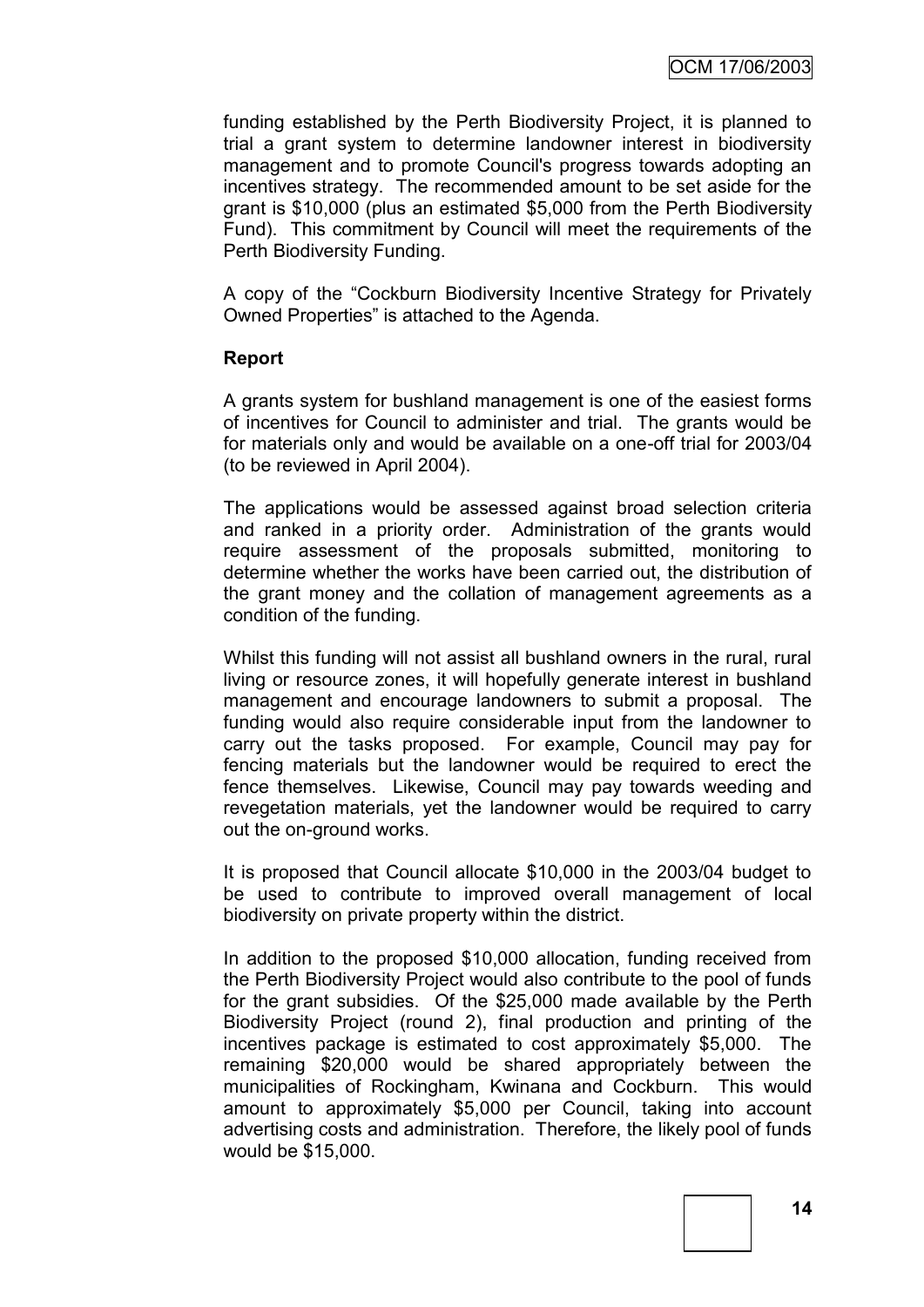funding established by the Perth Biodiversity Project, it is planned to trial a grant system to determine landowner interest in biodiversity management and to promote Council's progress towards adopting an incentives strategy. The recommended amount to be set aside for the grant is \$10,000 (plus an estimated \$5,000 from the Perth Biodiversity Fund). This commitment by Council will meet the requirements of the Perth Biodiversity Funding.

A copy of the "Cockburn Biodiversity Incentive Strategy for Privately Owned Properties" is attached to the Agenda.

#### **Report**

A grants system for bushland management is one of the easiest forms of incentives for Council to administer and trial. The grants would be for materials only and would be available on a one-off trial for 2003/04 (to be reviewed in April 2004).

The applications would be assessed against broad selection criteria and ranked in a priority order. Administration of the grants would require assessment of the proposals submitted, monitoring to determine whether the works have been carried out, the distribution of the grant money and the collation of management agreements as a condition of the funding.

Whilst this funding will not assist all bushland owners in the rural, rural living or resource zones, it will hopefully generate interest in bushland management and encourage landowners to submit a proposal. The funding would also require considerable input from the landowner to carry out the tasks proposed. For example, Council may pay for fencing materials but the landowner would be required to erect the fence themselves. Likewise, Council may pay towards weeding and revegetation materials, yet the landowner would be required to carry out the on-ground works.

It is proposed that Council allocate \$10,000 in the 2003/04 budget to be used to contribute to improved overall management of local biodiversity on private property within the district.

In addition to the proposed \$10,000 allocation, funding received from the Perth Biodiversity Project would also contribute to the pool of funds for the grant subsidies. Of the \$25,000 made available by the Perth Biodiversity Project (round 2), final production and printing of the incentives package is estimated to cost approximately \$5,000. The remaining \$20,000 would be shared appropriately between the municipalities of Rockingham, Kwinana and Cockburn. This would amount to approximately \$5,000 per Council, taking into account advertising costs and administration. Therefore, the likely pool of funds would be \$15,000.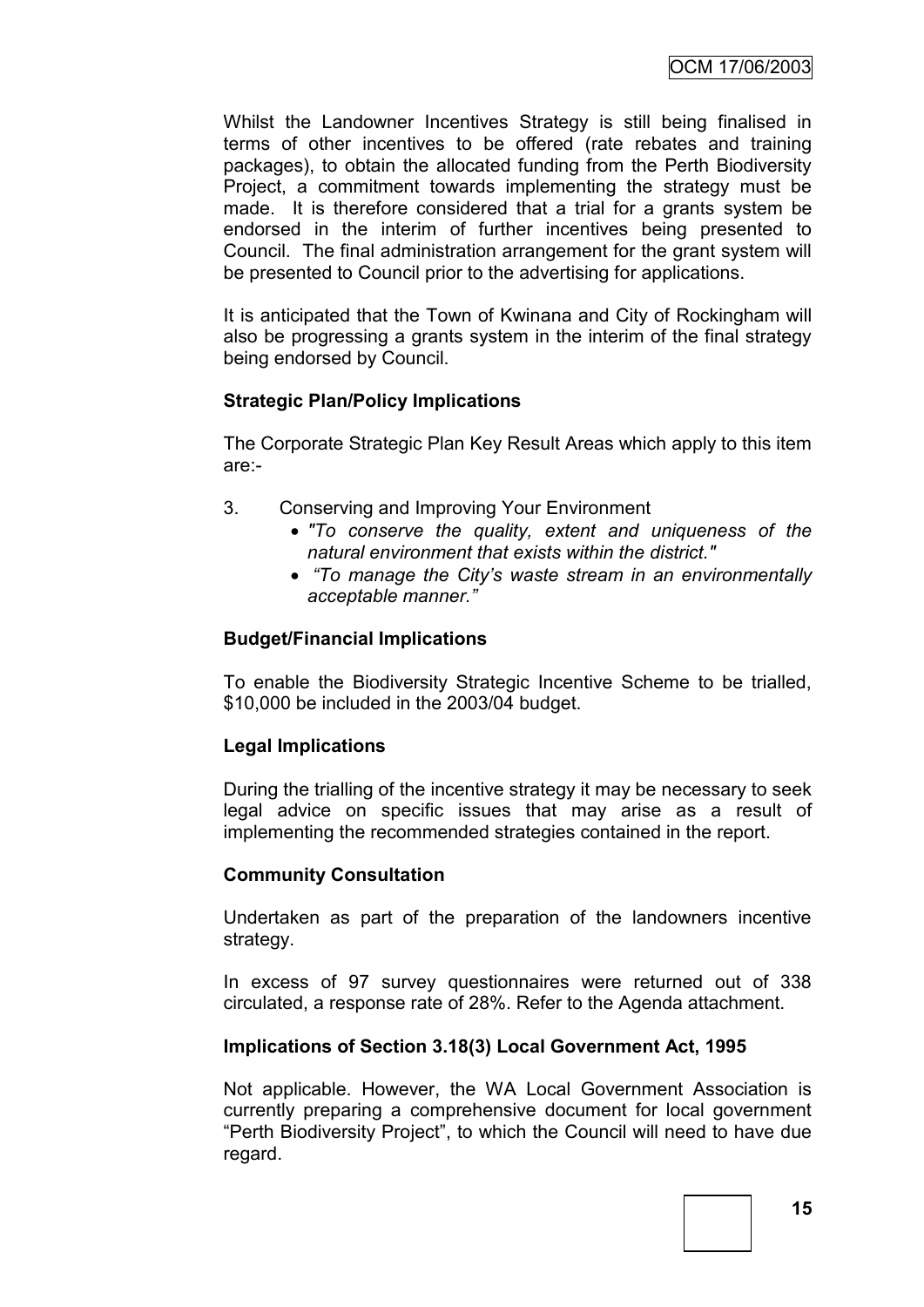Whilst the Landowner Incentives Strategy is still being finalised in terms of other incentives to be offered (rate rebates and training packages), to obtain the allocated funding from the Perth Biodiversity Project, a commitment towards implementing the strategy must be made. It is therefore considered that a trial for a grants system be endorsed in the interim of further incentives being presented to Council. The final administration arrangement for the grant system will be presented to Council prior to the advertising for applications.

It is anticipated that the Town of Kwinana and City of Rockingham will also be progressing a grants system in the interim of the final strategy being endorsed by Council.

# **Strategic Plan/Policy Implications**

The Corporate Strategic Plan Key Result Areas which apply to this item are:-

- 3. Conserving and Improving Your Environment
	- *"To conserve the quality, extent and uniqueness of the natural environment that exists within the district."*
	- *"To manage the City's waste stream in an environmentally acceptable manner."*

# **Budget/Financial Implications**

To enable the Biodiversity Strategic Incentive Scheme to be trialled, \$10,000 be included in the 2003/04 budget.

# **Legal Implications**

During the trialling of the incentive strategy it may be necessary to seek legal advice on specific issues that may arise as a result of implementing the recommended strategies contained in the report.

# **Community Consultation**

Undertaken as part of the preparation of the landowners incentive strategy.

In excess of 97 survey questionnaires were returned out of 338 circulated, a response rate of 28%. Refer to the Agenda attachment.

# **Implications of Section 3.18(3) Local Government Act, 1995**

Not applicable. However, the WA Local Government Association is currently preparing a comprehensive document for local government "Perth Biodiversity Project", to which the Council will need to have due regard.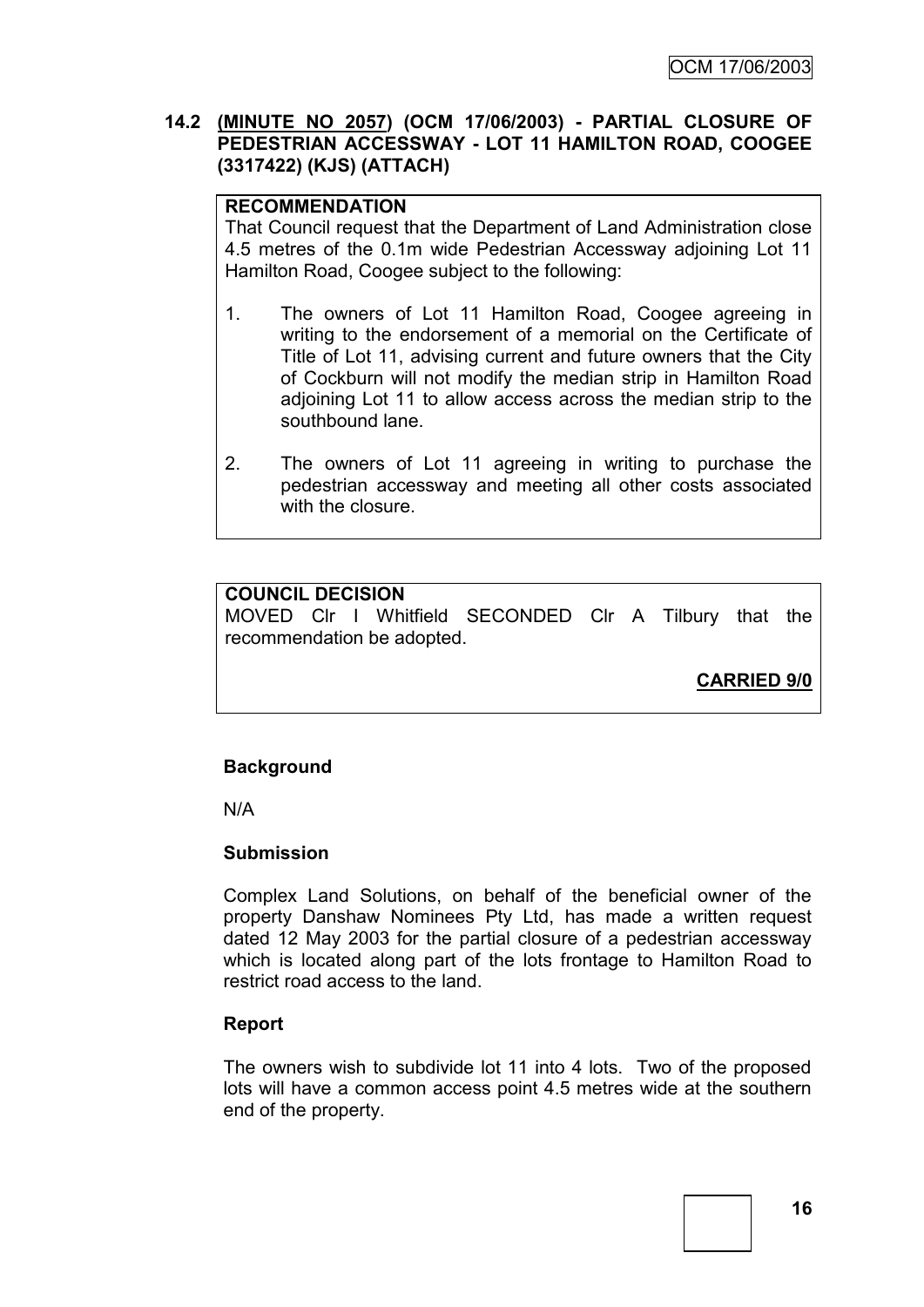# **14.2 (MINUTE NO 2057) (OCM 17/06/2003) - PARTIAL CLOSURE OF PEDESTRIAN ACCESSWAY - LOT 11 HAMILTON ROAD, COOGEE (3317422) (KJS) (ATTACH)**

# **RECOMMENDATION**

That Council request that the Department of Land Administration close 4.5 metres of the 0.1m wide Pedestrian Accessway adjoining Lot 11 Hamilton Road, Coogee subject to the following:

- 1. The owners of Lot 11 Hamilton Road, Coogee agreeing in writing to the endorsement of a memorial on the Certificate of Title of Lot 11, advising current and future owners that the City of Cockburn will not modify the median strip in Hamilton Road adjoining Lot 11 to allow access across the median strip to the southbound lane.
- 2. The owners of Lot 11 agreeing in writing to purchase the pedestrian accessway and meeting all other costs associated with the closure.

# **COUNCIL DECISION**

MOVED Clr I Whitfield SECONDED Clr A Tilbury that the recommendation be adopted.

**CARRIED 9/0**

# **Background**

N/A

# **Submission**

Complex Land Solutions, on behalf of the beneficial owner of the property Danshaw Nominees Pty Ltd, has made a written request dated 12 May 2003 for the partial closure of a pedestrian accessway which is located along part of the lots frontage to Hamilton Road to restrict road access to the land.

#### **Report**

The owners wish to subdivide lot 11 into 4 lots. Two of the proposed lots will have a common access point 4.5 metres wide at the southern end of the property.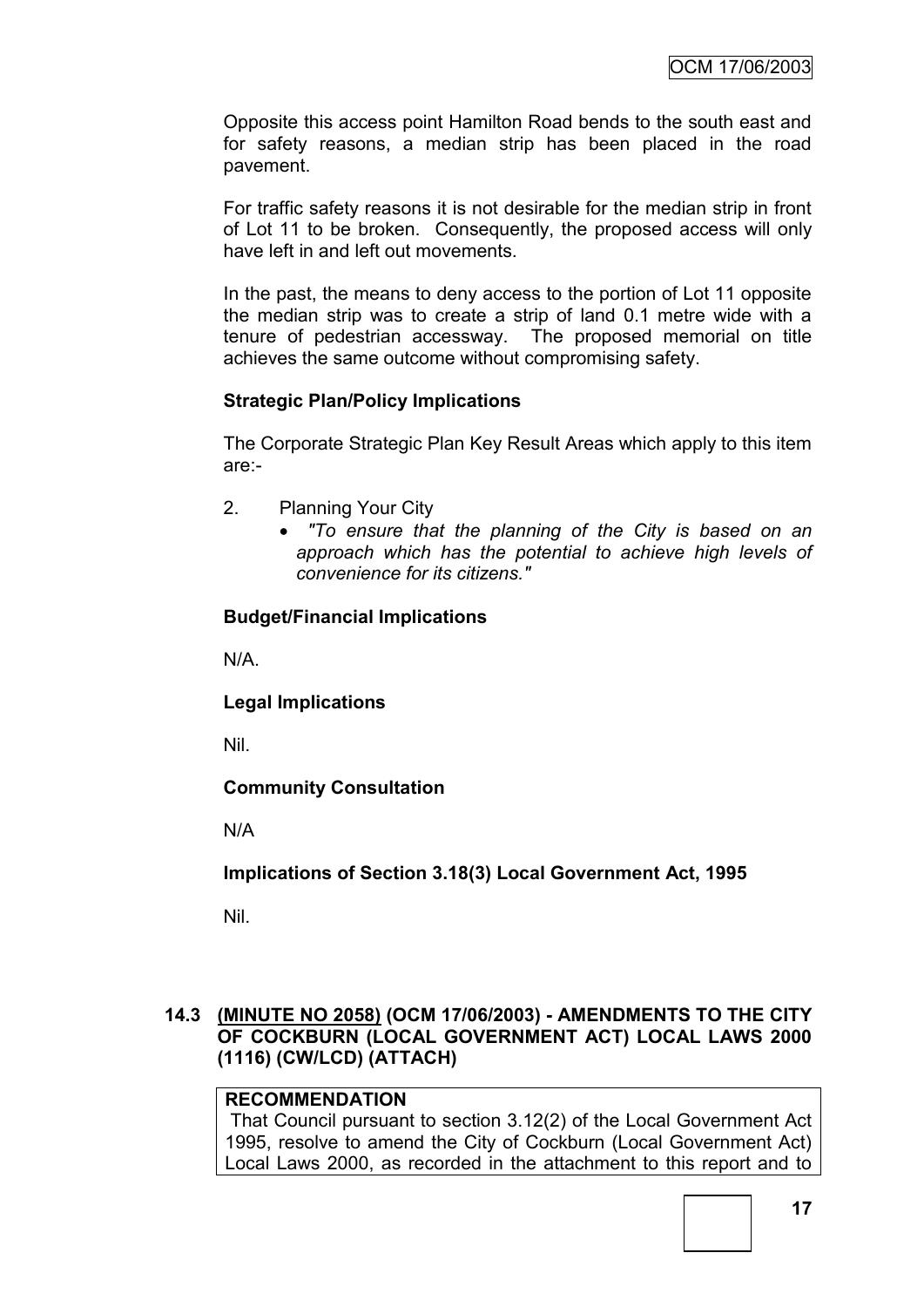Opposite this access point Hamilton Road bends to the south east and for safety reasons, a median strip has been placed in the road pavement.

For traffic safety reasons it is not desirable for the median strip in front of Lot 11 to be broken. Consequently, the proposed access will only have left in and left out movements.

In the past, the means to deny access to the portion of Lot 11 opposite the median strip was to create a strip of land 0.1 metre wide with a tenure of pedestrian accessway. The proposed memorial on title achieves the same outcome without compromising safety.

# **Strategic Plan/Policy Implications**

The Corporate Strategic Plan Key Result Areas which apply to this item are:-

- 2. Planning Your City
	- *"To ensure that the planning of the City is based on an approach which has the potential to achieve high levels of convenience for its citizens."*

# **Budget/Financial Implications**

N/A.

**Legal Implications**

Nil.

**Community Consultation**

N/A

**Implications of Section 3.18(3) Local Government Act, 1995**

Nil.

# **14.3 (MINUTE NO 2058) (OCM 17/06/2003) - AMENDMENTS TO THE CITY OF COCKBURN (LOCAL GOVERNMENT ACT) LOCAL LAWS 2000 (1116) (CW/LCD) (ATTACH)**

# **RECOMMENDATION**

That Council pursuant to section 3.12(2) of the Local Government Act 1995, resolve to amend the City of Cockburn (Local Government Act) Local Laws 2000, as recorded in the attachment to this report and to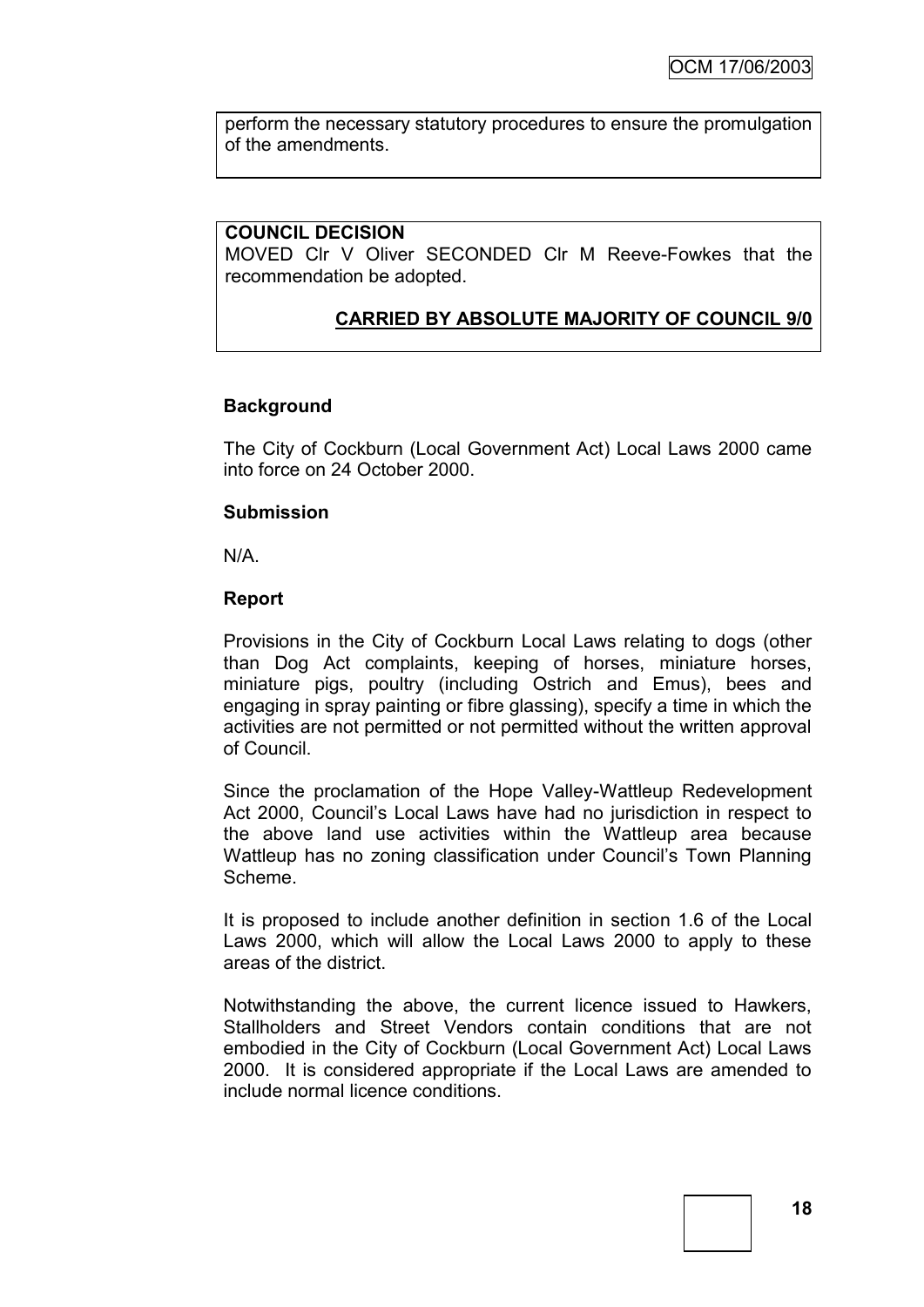perform the necessary statutory procedures to ensure the promulgation of the amendments.

#### **COUNCIL DECISION**

MOVED Clr V Oliver SECONDED Clr M Reeve-Fowkes that the recommendation be adopted.

# **CARRIED BY ABSOLUTE MAJORITY OF COUNCIL 9/0**

# **Background**

The City of Cockburn (Local Government Act) Local Laws 2000 came into force on 24 October 2000.

#### **Submission**

N/A.

#### **Report**

Provisions in the City of Cockburn Local Laws relating to dogs (other than Dog Act complaints, keeping of horses, miniature horses, miniature pigs, poultry (including Ostrich and Emus), bees and engaging in spray painting or fibre glassing), specify a time in which the activities are not permitted or not permitted without the written approval of Council.

Since the proclamation of the Hope Valley-Wattleup Redevelopment Act 2000, Council"s Local Laws have had no jurisdiction in respect to the above land use activities within the Wattleup area because Wattleup has no zoning classification under Council's Town Planning Scheme.

It is proposed to include another definition in section 1.6 of the Local Laws 2000, which will allow the Local Laws 2000 to apply to these areas of the district.

Notwithstanding the above, the current licence issued to Hawkers, Stallholders and Street Vendors contain conditions that are not embodied in the City of Cockburn (Local Government Act) Local Laws 2000. It is considered appropriate if the Local Laws are amended to include normal licence conditions.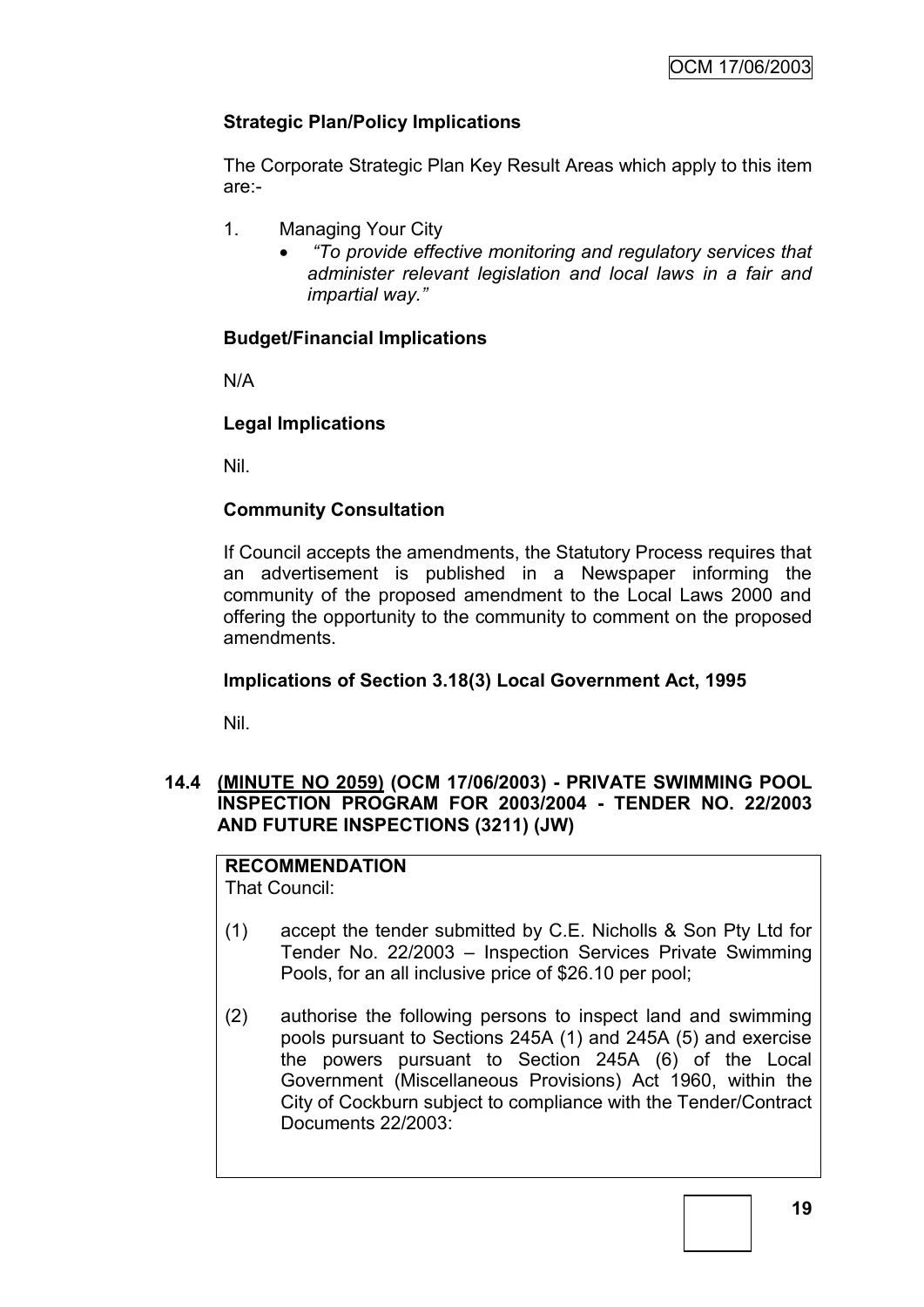# **Strategic Plan/Policy Implications**

The Corporate Strategic Plan Key Result Areas which apply to this item are:-

- 1. Managing Your City
	- *"To provide effective monitoring and regulatory services that administer relevant legislation and local laws in a fair and impartial way."*

# **Budget/Financial Implications**

N/A

# **Legal Implications**

Nil.

# **Community Consultation**

If Council accepts the amendments, the Statutory Process requires that an advertisement is published in a Newspaper informing the community of the proposed amendment to the Local Laws 2000 and offering the opportunity to the community to comment on the proposed amendments.

# **Implications of Section 3.18(3) Local Government Act, 1995**

Nil.

# **14.4 (MINUTE NO 2059) (OCM 17/06/2003) - PRIVATE SWIMMING POOL INSPECTION PROGRAM FOR 2003/2004 - TENDER NO. 22/2003 AND FUTURE INSPECTIONS (3211) (JW)**

# **RECOMMENDATION**

That Council:

- (1) accept the tender submitted by C.E. Nicholls & Son Pty Ltd for Tender No. 22/2003 – Inspection Services Private Swimming Pools, for an all inclusive price of \$26.10 per pool;
- (2) authorise the following persons to inspect land and swimming pools pursuant to Sections 245A (1) and 245A (5) and exercise the powers pursuant to Section 245A (6) of the Local Government (Miscellaneous Provisions) Act 1960, within the City of Cockburn subject to compliance with the Tender/Contract Documents 22/2003: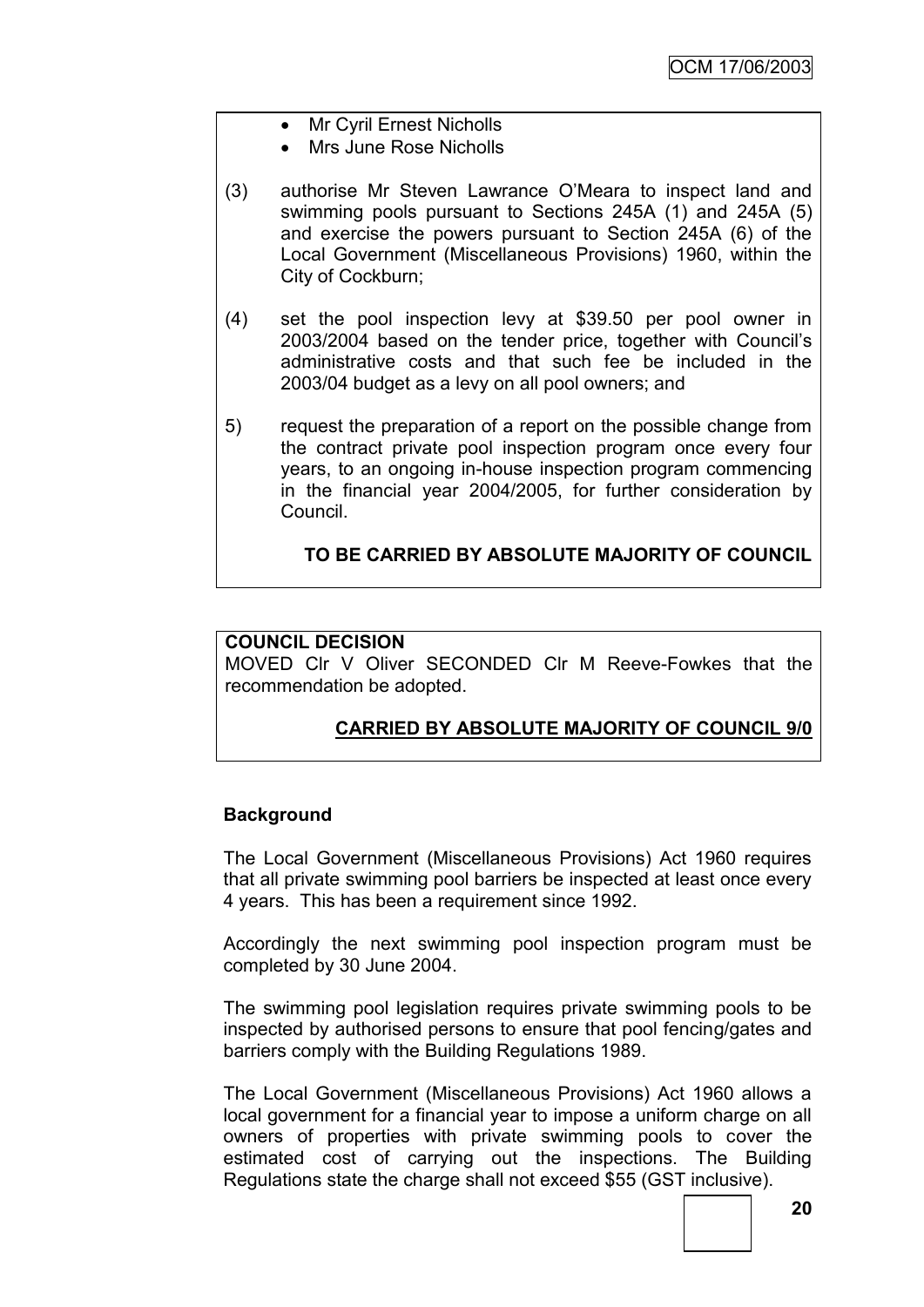- Mr Cvril Ernest Nicholls
- Mrs June Rose Nicholls
- (3) authorise Mr Steven Lawrance O"Meara to inspect land and swimming pools pursuant to Sections 245A (1) and 245A (5) and exercise the powers pursuant to Section 245A (6) of the Local Government (Miscellaneous Provisions) 1960, within the City of Cockburn;
- (4) set the pool inspection levy at \$39.50 per pool owner in 2003/2004 based on the tender price, together with Council"s administrative costs and that such fee be included in the 2003/04 budget as a levy on all pool owners; and
- 5) request the preparation of a report on the possible change from the contract private pool inspection program once every four years, to an ongoing in-house inspection program commencing in the financial year 2004/2005, for further consideration by Council.

# **TO BE CARRIED BY ABSOLUTE MAJORITY OF COUNCIL**

# **COUNCIL DECISION**

MOVED Clr V Oliver SECONDED Clr M Reeve-Fowkes that the recommendation be adopted.

# **CARRIED BY ABSOLUTE MAJORITY OF COUNCIL 9/0**

# **Background**

The Local Government (Miscellaneous Provisions) Act 1960 requires that all private swimming pool barriers be inspected at least once every 4 years. This has been a requirement since 1992.

Accordingly the next swimming pool inspection program must be completed by 30 June 2004.

The swimming pool legislation requires private swimming pools to be inspected by authorised persons to ensure that pool fencing/gates and barriers comply with the Building Regulations 1989.

The Local Government (Miscellaneous Provisions) Act 1960 allows a local government for a financial year to impose a uniform charge on all owners of properties with private swimming pools to cover the estimated cost of carrying out the inspections. The Building Regulations state the charge shall not exceed \$55 (GST inclusive).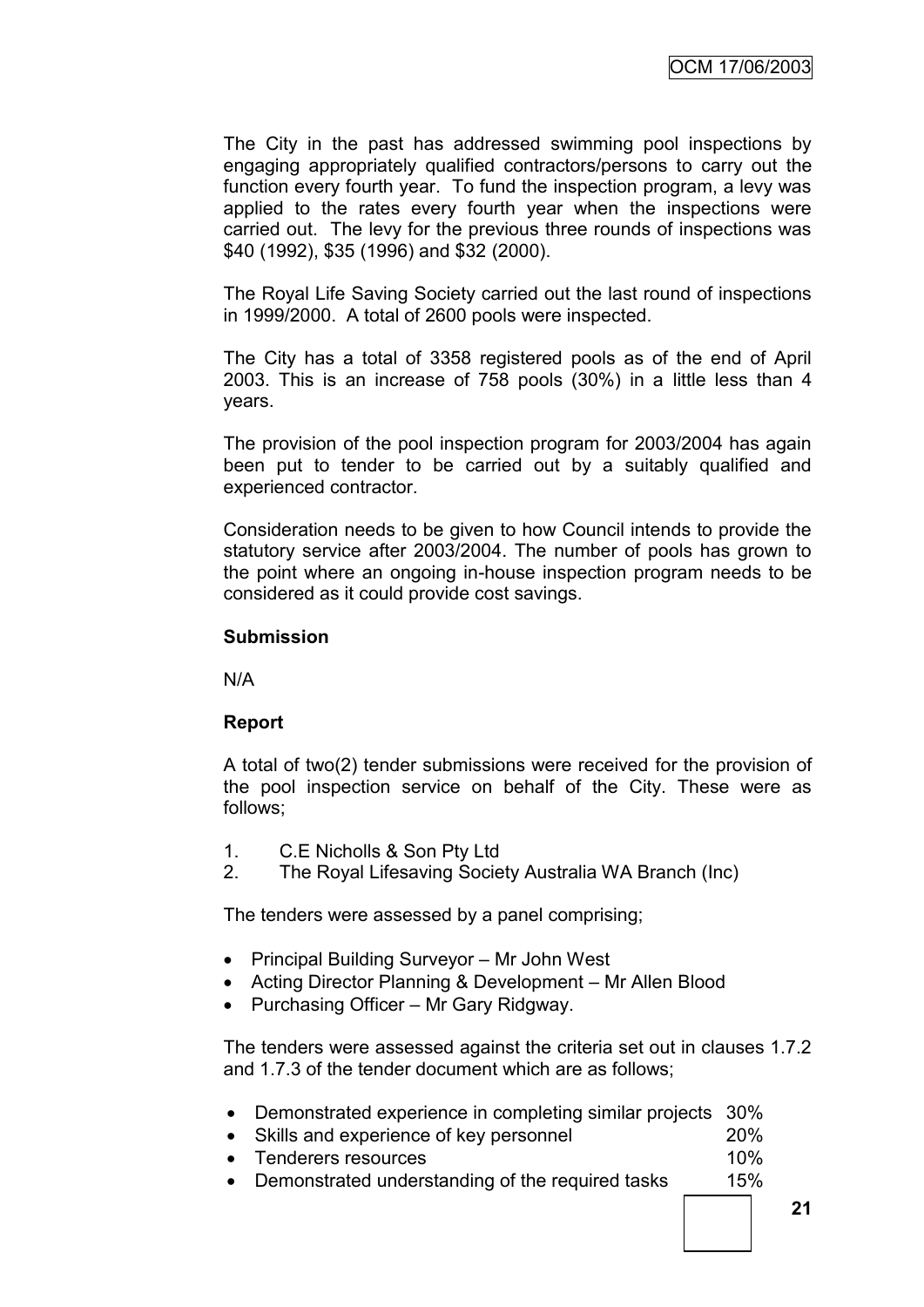The City in the past has addressed swimming pool inspections by engaging appropriately qualified contractors/persons to carry out the function every fourth year. To fund the inspection program, a levy was applied to the rates every fourth year when the inspections were carried out. The levy for the previous three rounds of inspections was \$40 (1992), \$35 (1996) and \$32 (2000).

The Royal Life Saving Society carried out the last round of inspections in 1999/2000. A total of 2600 pools were inspected.

The City has a total of 3358 registered pools as of the end of April 2003. This is an increase of 758 pools (30%) in a little less than 4 years.

The provision of the pool inspection program for 2003/2004 has again been put to tender to be carried out by a suitably qualified and experienced contractor.

Consideration needs to be given to how Council intends to provide the statutory service after 2003/2004. The number of pools has grown to the point where an ongoing in-house inspection program needs to be considered as it could provide cost savings.

#### **Submission**

N/A

# **Report**

A total of two(2) tender submissions were received for the provision of the pool inspection service on behalf of the City. These were as follows;

- 1. C.E Nicholls & Son Pty Ltd
- 2. The Royal Lifesaving Society Australia WA Branch (Inc)

The tenders were assessed by a panel comprising;

- Principal Building Surveyor Mr John West
- Acting Director Planning & Development Mr Allen Blood
- Purchasing Officer Mr Gary Ridgway.

The tenders were assessed against the criteria set out in clauses 1.7.2 and 1.7.3 of the tender document which are as follows;

- Demonstrated experience in completing similar projects 30%
- Skills and experience of key personnel 20%
- Tenderers resources 10%
- Demonstrated understanding of the required tasks 15%

**21**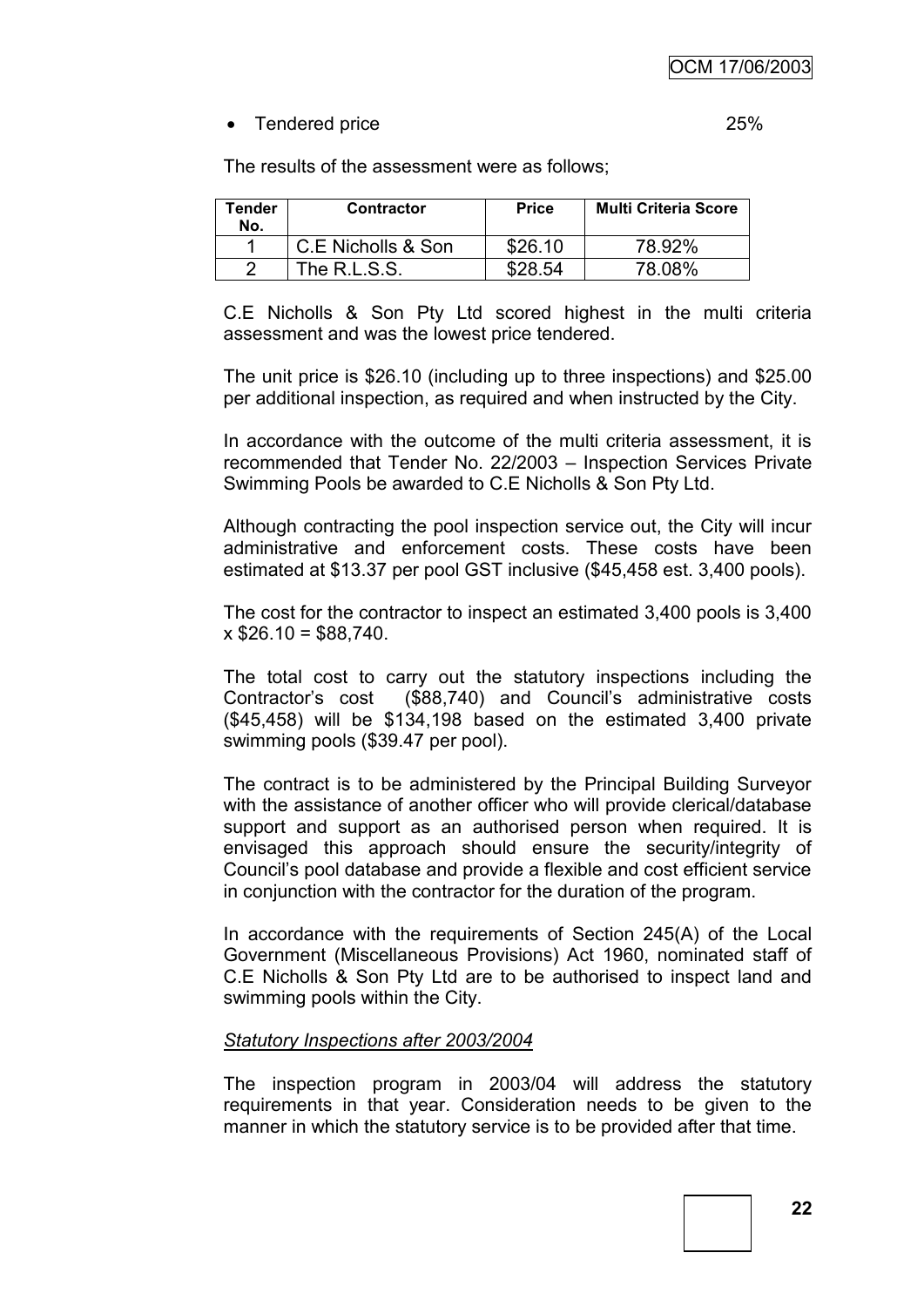# • Tendered price 25%

The results of the assessment were as follows;

| Tender<br>No. | <b>Contractor</b>  | <b>Price</b> | <b>Multi Criteria Score</b> |
|---------------|--------------------|--------------|-----------------------------|
|               | C.E Nicholls & Son | \$26.10      | 78.92%                      |
|               | The $R.L.S.S.$     | \$28.54      | 78.08%                      |

C.E Nicholls & Son Pty Ltd scored highest in the multi criteria assessment and was the lowest price tendered.

The unit price is \$26.10 (including up to three inspections) and \$25.00 per additional inspection, as required and when instructed by the City.

In accordance with the outcome of the multi criteria assessment, it is recommended that Tender No. 22/2003 – Inspection Services Private Swimming Pools be awarded to C.E Nicholls & Son Pty Ltd.

Although contracting the pool inspection service out, the City will incur administrative and enforcement costs. These costs have been estimated at \$13.37 per pool GST inclusive (\$45,458 est. 3,400 pools).

The cost for the contractor to inspect an estimated 3,400 pools is 3,400  $x$  \$26.10 = \$88,740.

The total cost to carry out the statutory inspections including the Contractor"s cost (\$88,740) and Council"s administrative costs (\$45,458) will be \$134,198 based on the estimated 3,400 private swimming pools (\$39.47 per pool).

The contract is to be administered by the Principal Building Surveyor with the assistance of another officer who will provide clerical/database support and support as an authorised person when required. It is envisaged this approach should ensure the security/integrity of Council"s pool database and provide a flexible and cost efficient service in conjunction with the contractor for the duration of the program.

In accordance with the requirements of Section 245(A) of the Local Government (Miscellaneous Provisions) Act 1960, nominated staff of C.E Nicholls & Son Pty Ltd are to be authorised to inspect land and swimming pools within the City.

# *Statutory Inspections after 2003/2004*

The inspection program in 2003/04 will address the statutory requirements in that year. Consideration needs to be given to the manner in which the statutory service is to be provided after that time.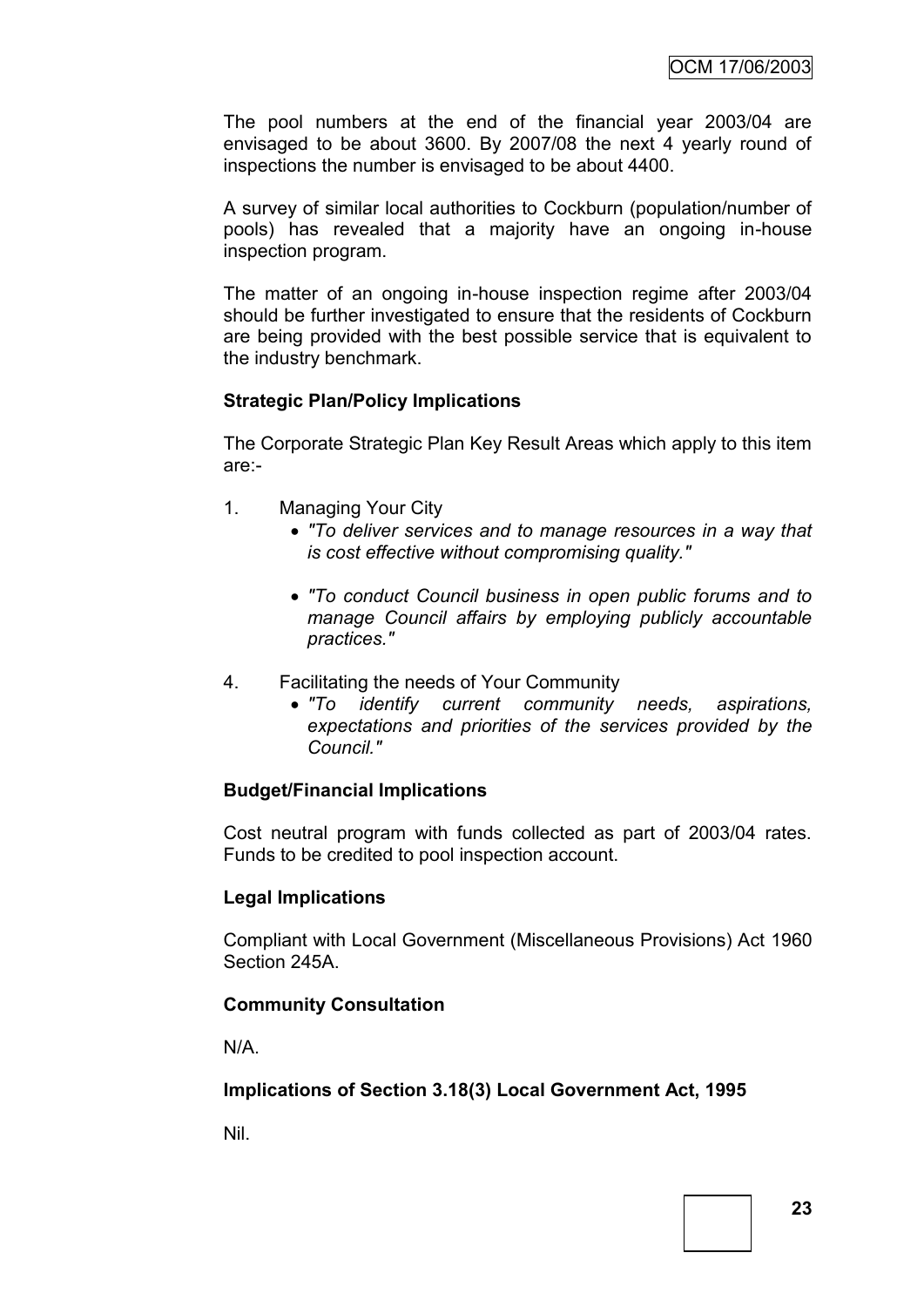The pool numbers at the end of the financial year 2003/04 are envisaged to be about 3600. By 2007/08 the next 4 yearly round of inspections the number is envisaged to be about 4400.

A survey of similar local authorities to Cockburn (population/number of pools) has revealed that a majority have an ongoing in-house inspection program.

The matter of an ongoing in-house inspection regime after 2003/04 should be further investigated to ensure that the residents of Cockburn are being provided with the best possible service that is equivalent to the industry benchmark.

# **Strategic Plan/Policy Implications**

The Corporate Strategic Plan Key Result Areas which apply to this item are:-

- 1. Managing Your City
	- *"To deliver services and to manage resources in a way that is cost effective without compromising quality."*
	- *"To conduct Council business in open public forums and to manage Council affairs by employing publicly accountable practices."*
- 4. Facilitating the needs of Your Community
	- *"To identify current community needs, aspirations, expectations and priorities of the services provided by the Council."*

# **Budget/Financial Implications**

Cost neutral program with funds collected as part of 2003/04 rates. Funds to be credited to pool inspection account.

# **Legal Implications**

Compliant with Local Government (Miscellaneous Provisions) Act 1960 Section 245A.

# **Community Consultation**

N/A.

# **Implications of Section 3.18(3) Local Government Act, 1995**

Nil.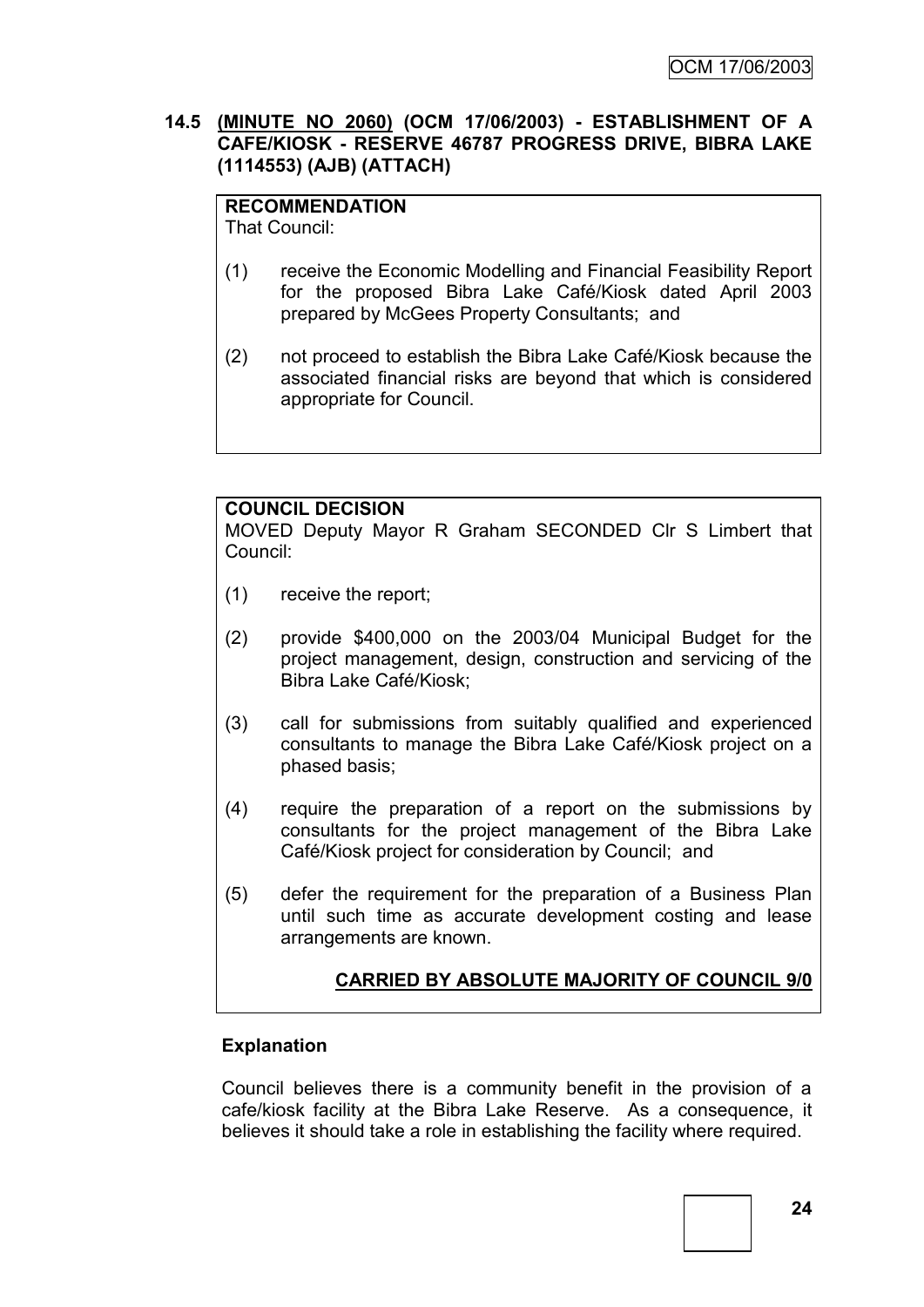# **14.5 (MINUTE NO 2060) (OCM 17/06/2003) - ESTABLISHMENT OF A CAFE/KIOSK - RESERVE 46787 PROGRESS DRIVE, BIBRA LAKE (1114553) (AJB) (ATTACH)**

#### **RECOMMENDATION** That Council:

- (1) receive the Economic Modelling and Financial Feasibility Report for the proposed Bibra Lake Café/Kiosk dated April 2003 prepared by McGees Property Consultants; and
- (2) not proceed to establish the Bibra Lake Café/Kiosk because the associated financial risks are beyond that which is considered appropriate for Council.

# **COUNCIL DECISION**

MOVED Deputy Mayor R Graham SECONDED Clr S Limbert that Council:

- (1) receive the report;
- (2) provide \$400,000 on the 2003/04 Municipal Budget for the project management, design, construction and servicing of the Bibra Lake Café/Kiosk;
- (3) call for submissions from suitably qualified and experienced consultants to manage the Bibra Lake Café/Kiosk project on a phased basis;
- (4) require the preparation of a report on the submissions by consultants for the project management of the Bibra Lake Café/Kiosk project for consideration by Council; and
- (5) defer the requirement for the preparation of a Business Plan until such time as accurate development costing and lease arrangements are known.

# **CARRIED BY ABSOLUTE MAJORITY OF COUNCIL 9/0**

# **Explanation**

Council believes there is a community benefit in the provision of a cafe/kiosk facility at the Bibra Lake Reserve. As a consequence, it believes it should take a role in establishing the facility where required.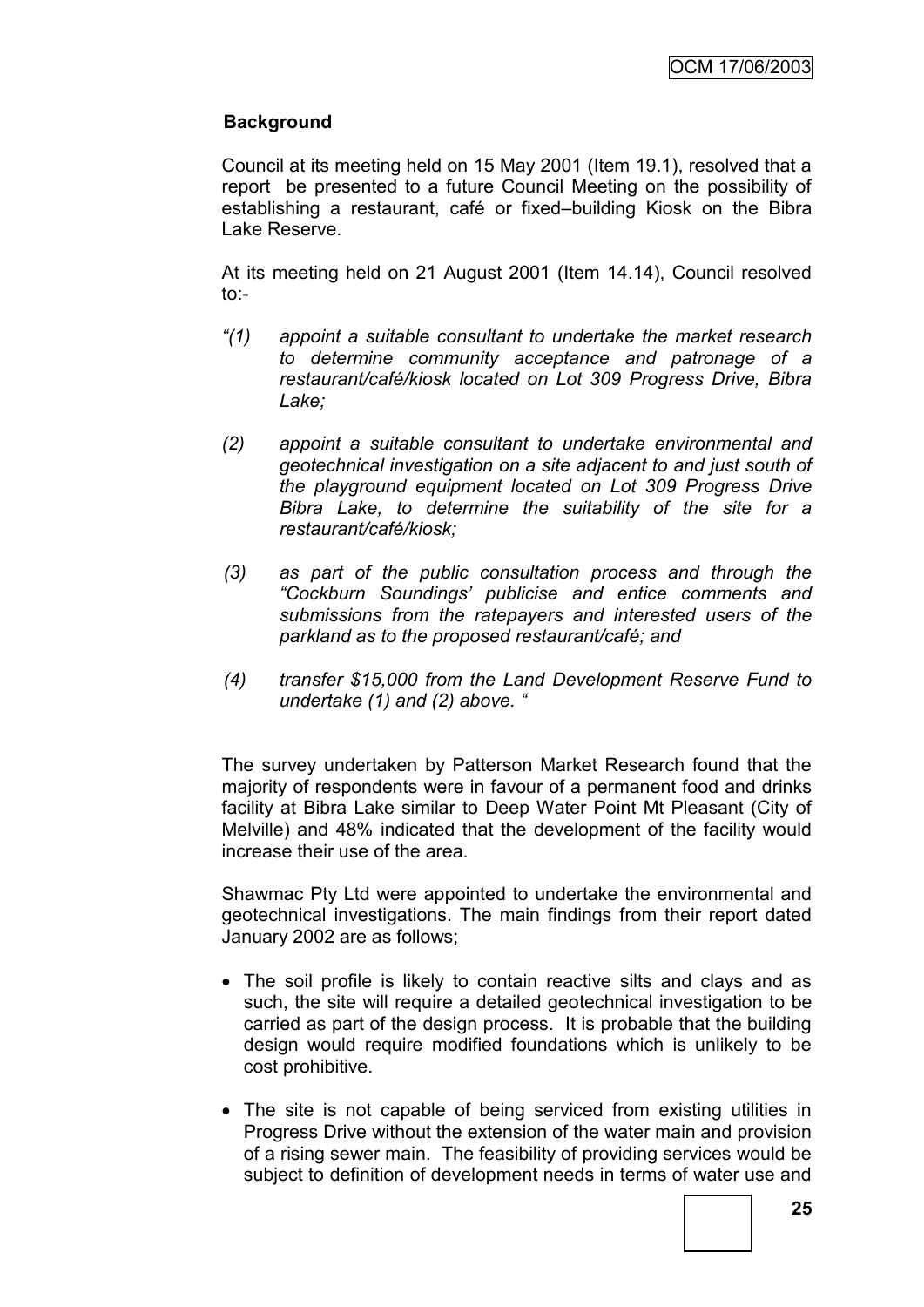# **Background**

Council at its meeting held on 15 May 2001 (Item 19.1), resolved that a report be presented to a future Council Meeting on the possibility of establishing a restaurant, café or fixed–building Kiosk on the Bibra Lake Reserve.

At its meeting held on 21 August 2001 (Item 14.14), Council resolved to:-

- *"(1) appoint a suitable consultant to undertake the market research to determine community acceptance and patronage of a restaurant/café/kiosk located on Lot 309 Progress Drive, Bibra Lake;*
- *(2) appoint a suitable consultant to undertake environmental and geotechnical investigation on a site adjacent to and just south of the playground equipment located on Lot 309 Progress Drive Bibra Lake, to determine the suitability of the site for a restaurant/café/kiosk;*
- *(3) as part of the public consultation process and through the "Cockburn Soundings' publicise and entice comments and submissions from the ratepayers and interested users of the parkland as to the proposed restaurant/café; and*
- *(4) transfer \$15,000 from the Land Development Reserve Fund to undertake (1) and (2) above. "*

The survey undertaken by Patterson Market Research found that the majority of respondents were in favour of a permanent food and drinks facility at Bibra Lake similar to Deep Water Point Mt Pleasant (City of Melville) and 48% indicated that the development of the facility would increase their use of the area.

Shawmac Pty Ltd were appointed to undertake the environmental and geotechnical investigations. The main findings from their report dated January 2002 are as follows;

- The soil profile is likely to contain reactive silts and clays and as such, the site will require a detailed geotechnical investigation to be carried as part of the design process. It is probable that the building design would require modified foundations which is unlikely to be cost prohibitive.
- The site is not capable of being serviced from existing utilities in Progress Drive without the extension of the water main and provision of a rising sewer main. The feasibility of providing services would be subject to definition of development needs in terms of water use and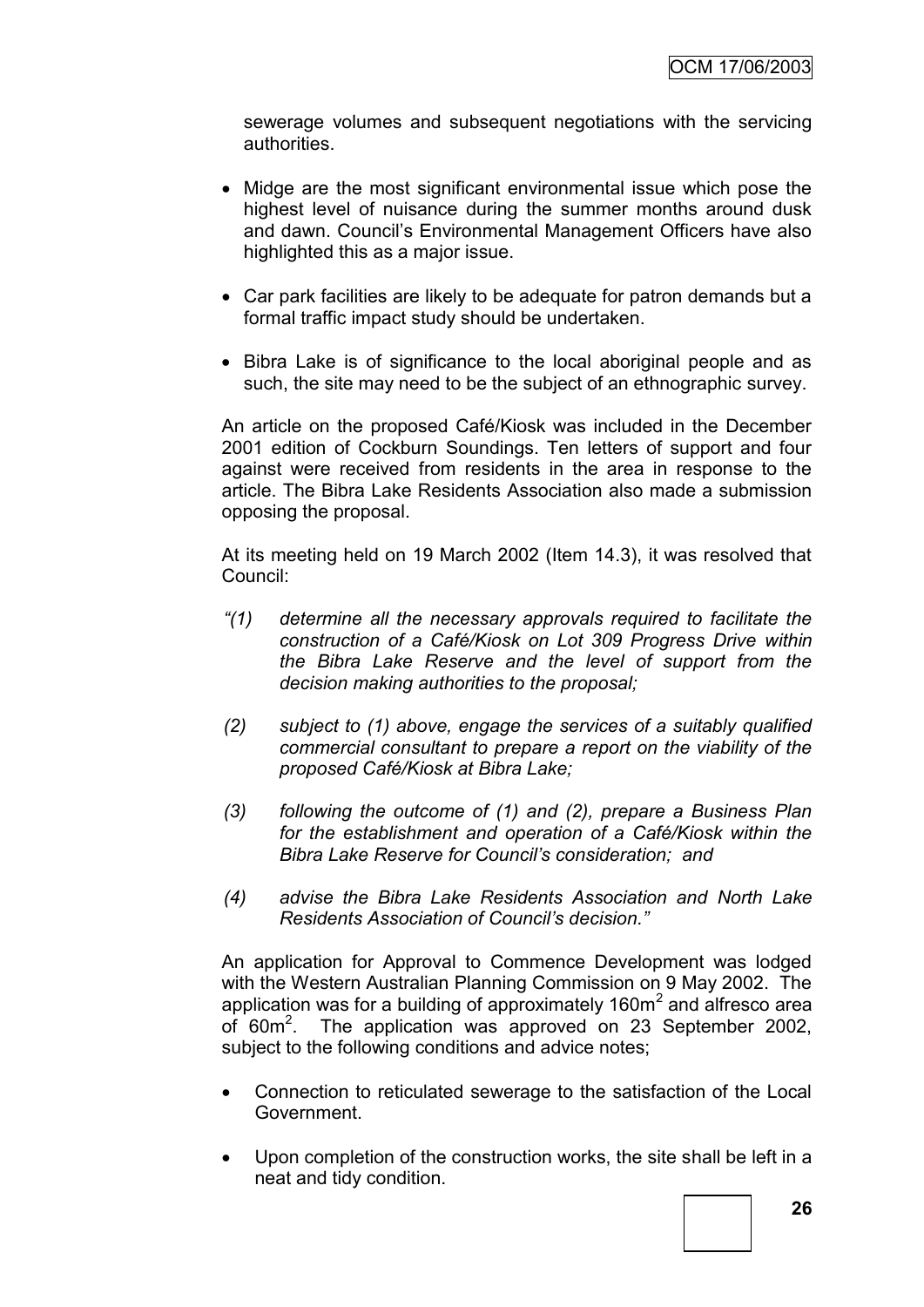sewerage volumes and subsequent negotiations with the servicing authorities.

- Midge are the most significant environmental issue which pose the highest level of nuisance during the summer months around dusk and dawn. Council"s Environmental Management Officers have also highlighted this as a major issue.
- Car park facilities are likely to be adequate for patron demands but a formal traffic impact study should be undertaken.
- Bibra Lake is of significance to the local aboriginal people and as such, the site may need to be the subject of an ethnographic survey.

An article on the proposed Café/Kiosk was included in the December 2001 edition of Cockburn Soundings. Ten letters of support and four against were received from residents in the area in response to the article. The Bibra Lake Residents Association also made a submission opposing the proposal.

At its meeting held on 19 March 2002 (Item 14.3), it was resolved that Council:

- *"(1) determine all the necessary approvals required to facilitate the construction of a Café/Kiosk on Lot 309 Progress Drive within the Bibra Lake Reserve and the level of support from the decision making authorities to the proposal;*
- *(2) subject to (1) above, engage the services of a suitably qualified commercial consultant to prepare a report on the viability of the proposed Café/Kiosk at Bibra Lake;*
- *(3) following the outcome of (1) and (2), prepare a Business Plan for the establishment and operation of a Café/Kiosk within the Bibra Lake Reserve for Council's consideration; and*
- *(4) advise the Bibra Lake Residents Association and North Lake Residents Association of Council's decision."*

An application for Approval to Commence Development was lodged with the Western Australian Planning Commission on 9 May 2002. The application was for a building of approximately  $160m^2$  and alfresco area of 60m<sup>2</sup>. The application was approved on 23 September 2002, subject to the following conditions and advice notes;

- Connection to reticulated sewerage to the satisfaction of the Local Government.
- Upon completion of the construction works, the site shall be left in a neat and tidy condition.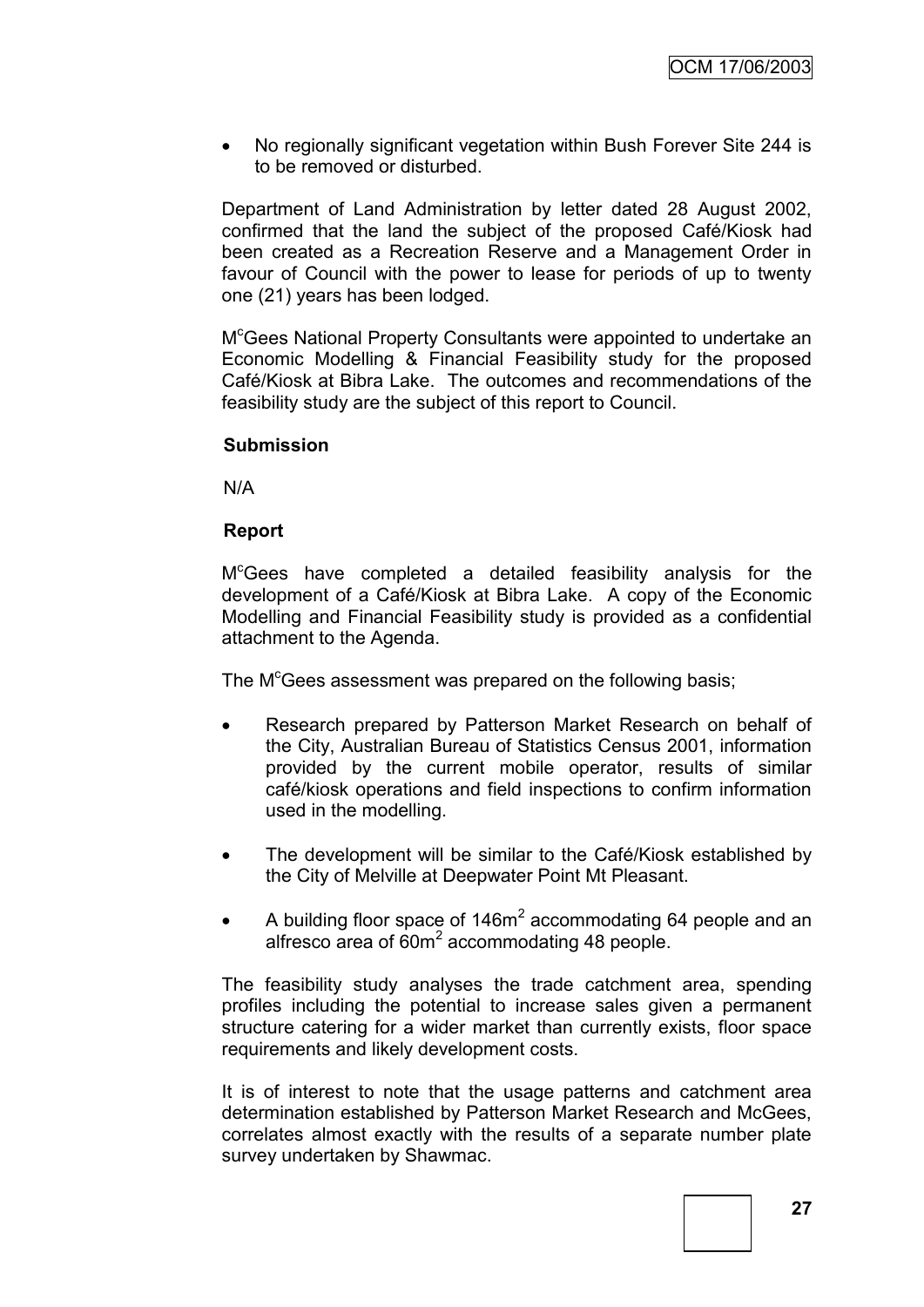No regionally significant vegetation within Bush Forever Site 244 is to be removed or disturbed.

Department of Land Administration by letter dated 28 August 2002, confirmed that the land the subject of the proposed Café/Kiosk had been created as a Recreation Reserve and a Management Order in favour of Council with the power to lease for periods of up to twenty one (21) years has been lodged.

M <sup>c</sup>Gees National Property Consultants were appointed to undertake an Economic Modelling & Financial Feasibility study for the proposed Café/Kiosk at Bibra Lake. The outcomes and recommendations of the feasibility study are the subject of this report to Council.

#### **Submission**

N/A

#### **Report**

M <sup>c</sup>Gees have completed a detailed feasibility analysis for the development of a Café/Kiosk at Bibra Lake. A copy of the Economic Modelling and Financial Feasibility study is provided as a confidential attachment to the Agenda.

The M<sup>c</sup>Gees assessment was prepared on the following basis;

- Research prepared by Patterson Market Research on behalf of the City, Australian Bureau of Statistics Census 2001, information provided by the current mobile operator, results of similar café/kiosk operations and field inspections to confirm information used in the modelling.
- The development will be similar to the Café/Kiosk established by the City of Melville at Deepwater Point Mt Pleasant.
- A building floor space of  $146m^2$  accommodating 64 people and an alfresco area of 60m<sup>2</sup> accommodating 48 people.

The feasibility study analyses the trade catchment area, spending profiles including the potential to increase sales given a permanent structure catering for a wider market than currently exists, floor space requirements and likely development costs.

It is of interest to note that the usage patterns and catchment area determination established by Patterson Market Research and McGees, correlates almost exactly with the results of a separate number plate survey undertaken by Shawmac.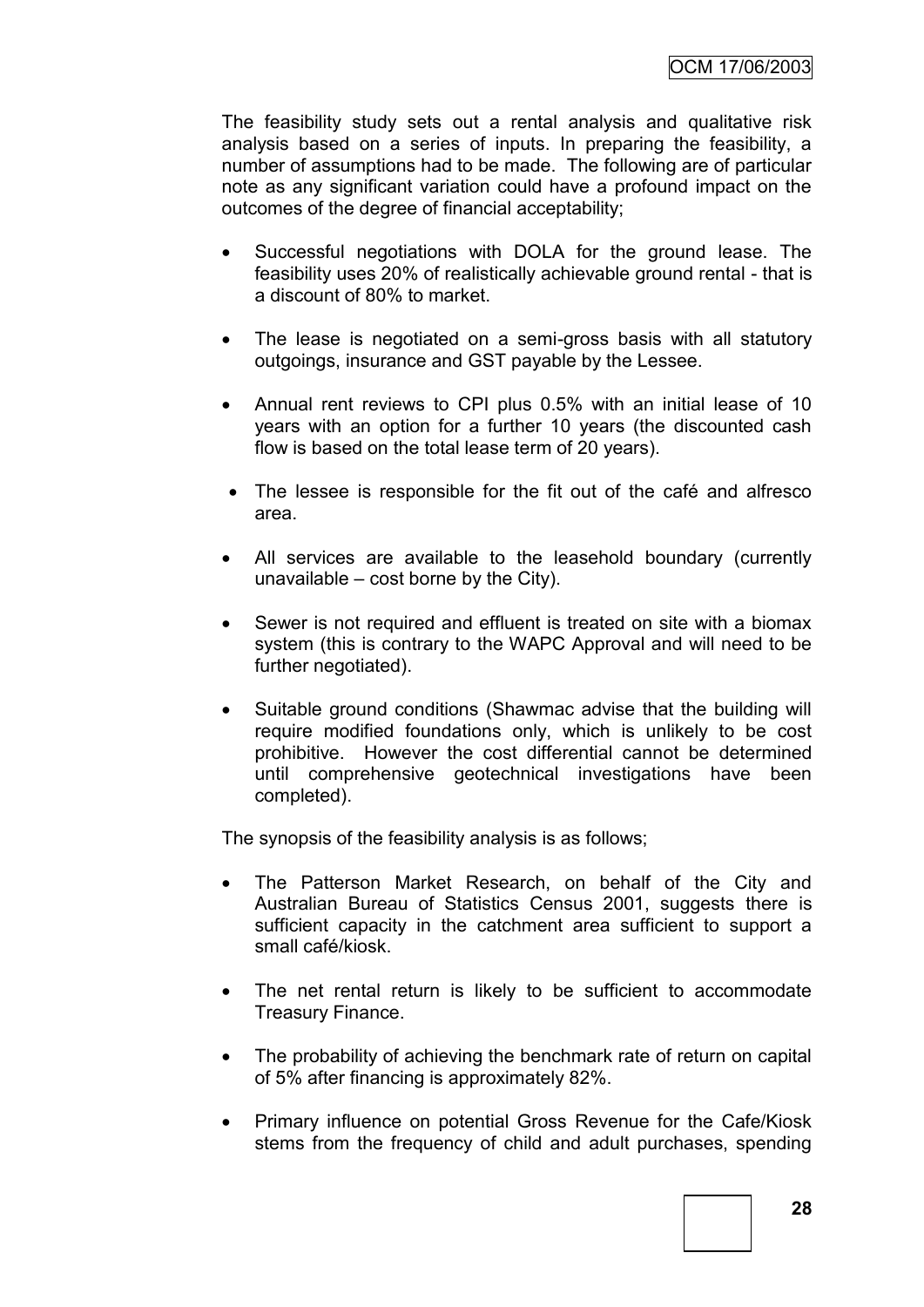The feasibility study sets out a rental analysis and qualitative risk analysis based on a series of inputs. In preparing the feasibility, a number of assumptions had to be made. The following are of particular note as any significant variation could have a profound impact on the outcomes of the degree of financial acceptability;

- Successful negotiations with DOLA for the ground lease. The feasibility uses 20% of realistically achievable ground rental - that is a discount of 80% to market.
- The lease is negotiated on a semi-gross basis with all statutory outgoings, insurance and GST payable by the Lessee.
- Annual rent reviews to CPI plus 0.5% with an initial lease of 10 years with an option for a further 10 years (the discounted cash flow is based on the total lease term of 20 years).
- The lessee is responsible for the fit out of the café and alfresco area.
- All services are available to the leasehold boundary (currently unavailable – cost borne by the City).
- Sewer is not required and effluent is treated on site with a biomax system (this is contrary to the WAPC Approval and will need to be further negotiated).
- Suitable ground conditions (Shawmac advise that the building will require modified foundations only, which is unlikely to be cost prohibitive. However the cost differential cannot be determined until comprehensive geotechnical investigations have been completed).

The synopsis of the feasibility analysis is as follows;

- The Patterson Market Research, on behalf of the City and Australian Bureau of Statistics Census 2001, suggests there is sufficient capacity in the catchment area sufficient to support a small café/kiosk.
- The net rental return is likely to be sufficient to accommodate Treasury Finance.
- The probability of achieving the benchmark rate of return on capital of 5% after financing is approximately 82%.
- Primary influence on potential Gross Revenue for the Cafe/Kiosk stems from the frequency of child and adult purchases, spending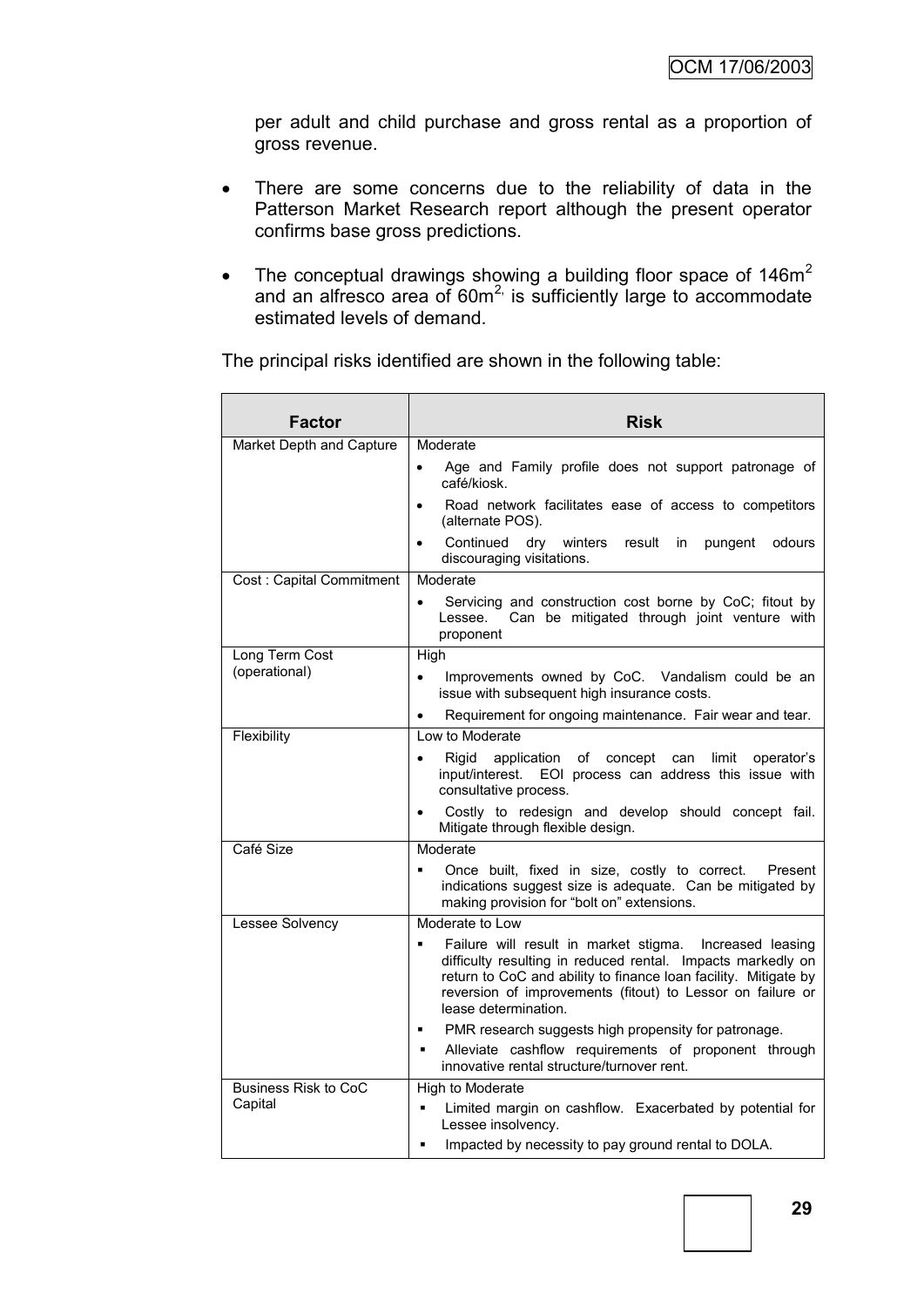per adult and child purchase and gross rental as a proportion of gross revenue.

- There are some concerns due to the reliability of data in the Patterson Market Research report although the present operator confirms base gross predictions.
- The conceptual drawings showing a building floor space of  $146m^2$ and an alfresco area of  $60m^2$  is sufficiently large to accommodate estimated levels of demand.

The principal risks identified are shown in the following table:

| <b>Factor</b>               | <b>Risk</b>                                                                                                                                                                                                                                                                     |
|-----------------------------|---------------------------------------------------------------------------------------------------------------------------------------------------------------------------------------------------------------------------------------------------------------------------------|
| Market Depth and Capture    | Moderate                                                                                                                                                                                                                                                                        |
|                             | Age and Family profile does not support patronage of<br>café/kiosk.                                                                                                                                                                                                             |
|                             | Road network facilitates ease of access to competitors<br>$\bullet$<br>(alternate POS).                                                                                                                                                                                         |
|                             | Continued<br>dry winters<br>result<br>odours<br>in.<br>pungent<br>$\bullet$<br>discouraging visitations.                                                                                                                                                                        |
| Cost: Capital Commitment    | Moderate                                                                                                                                                                                                                                                                        |
|                             | Servicing and construction cost borne by CoC; fitout by<br>$\bullet$<br>Can be mitigated through joint venture with<br>Lessee.<br>proponent                                                                                                                                     |
| Long Term Cost              | High                                                                                                                                                                                                                                                                            |
| (operational)               | Improvements owned by CoC. Vandalism could be an<br>$\bullet$<br>issue with subsequent high insurance costs.                                                                                                                                                                    |
|                             | Requirement for ongoing maintenance. Fair wear and tear.<br>$\bullet$                                                                                                                                                                                                           |
| Flexibility                 | Low to Moderate                                                                                                                                                                                                                                                                 |
|                             | Rigid application of concept can<br>limit<br>operator's<br>$\bullet$<br>EOI process can address this issue with<br>input/interest.<br>consultative process.                                                                                                                     |
|                             | Costly to redesign and develop should concept fail.<br>Mitigate through flexible design.                                                                                                                                                                                        |
| Café Size                   | Moderate                                                                                                                                                                                                                                                                        |
|                             | Once built, fixed in size, costly to correct.<br>Present<br>$\blacksquare$<br>indications suggest size is adequate. Can be mitigated by<br>making provision for "bolt on" extensions.                                                                                           |
| Lessee Solvency             | Moderate to Low                                                                                                                                                                                                                                                                 |
|                             | Failure will result in market stigma. Increased leasing<br>difficulty resulting in reduced rental. Impacts markedly on<br>return to CoC and ability to finance loan facility. Mitigate by<br>reversion of improvements (fitout) to Lessor on failure or<br>lease determination. |
|                             | PMR research suggests high propensity for patronage.<br>٠                                                                                                                                                                                                                       |
|                             | Alleviate cashflow requirements of proponent through<br>٠<br>innovative rental structure/turnover rent.                                                                                                                                                                         |
| <b>Business Risk to CoC</b> | High to Moderate                                                                                                                                                                                                                                                                |
| Capital                     | Limited margin on cashflow. Exacerbated by potential for<br>٠<br>Lessee insolvency.                                                                                                                                                                                             |
|                             | Impacted by necessity to pay ground rental to DOLA.<br>П                                                                                                                                                                                                                        |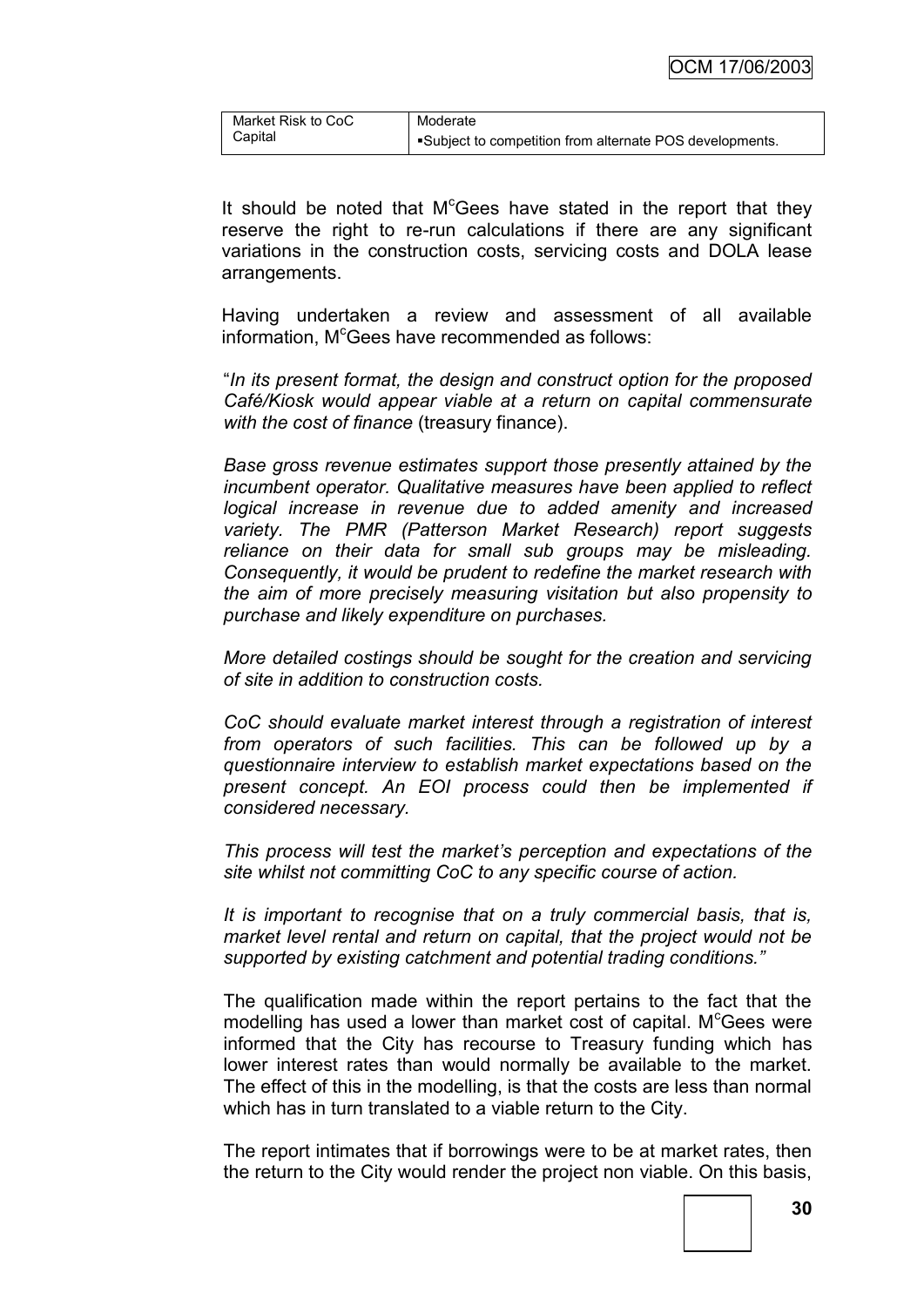| Market Risk to CoC | Moderate                                                |
|--------------------|---------------------------------------------------------|
| Capital            | Subject to competition from alternate POS developments. |

It should be noted that  $M^c$ Gees have stated in the report that they reserve the right to re-run calculations if there are any significant variations in the construction costs, servicing costs and DOLA lease arrangements.

Having undertaken a review and assessment of all available information,  $M^c$ Gees have recommended as follows:

"*In its present format, the design and construct option for the proposed Café/Kiosk would appear viable at a return on capital commensurate with the cost of finance* (treasury finance).

*Base gross revenue estimates support those presently attained by the incumbent operator. Qualitative measures have been applied to reflect logical increase in revenue due to added amenity and increased variety. The PMR (Patterson Market Research) report suggests reliance on their data for small sub groups may be misleading. Consequently, it would be prudent to redefine the market research with the aim of more precisely measuring visitation but also propensity to purchase and likely expenditure on purchases.*

*More detailed costings should be sought for the creation and servicing of site in addition to construction costs.*

*CoC should evaluate market interest through a registration of interest from operators of such facilities. This can be followed up by a questionnaire interview to establish market expectations based on the present concept. An EOI process could then be implemented if considered necessary.*

*This process will test the market's perception and expectations of the site whilst not committing CoC to any specific course of action.*

*It is important to recognise that on a truly commercial basis, that is, market level rental and return on capital, that the project would not be supported by existing catchment and potential trading conditions."*

The qualification made within the report pertains to the fact that the modelling has used a lower than market cost of capital.  $M<sup>c</sup>Gees$  were informed that the City has recourse to Treasury funding which has lower interest rates than would normally be available to the market. The effect of this in the modelling, is that the costs are less than normal which has in turn translated to a viable return to the City.

The report intimates that if borrowings were to be at market rates, then the return to the City would render the project non viable. On this basis,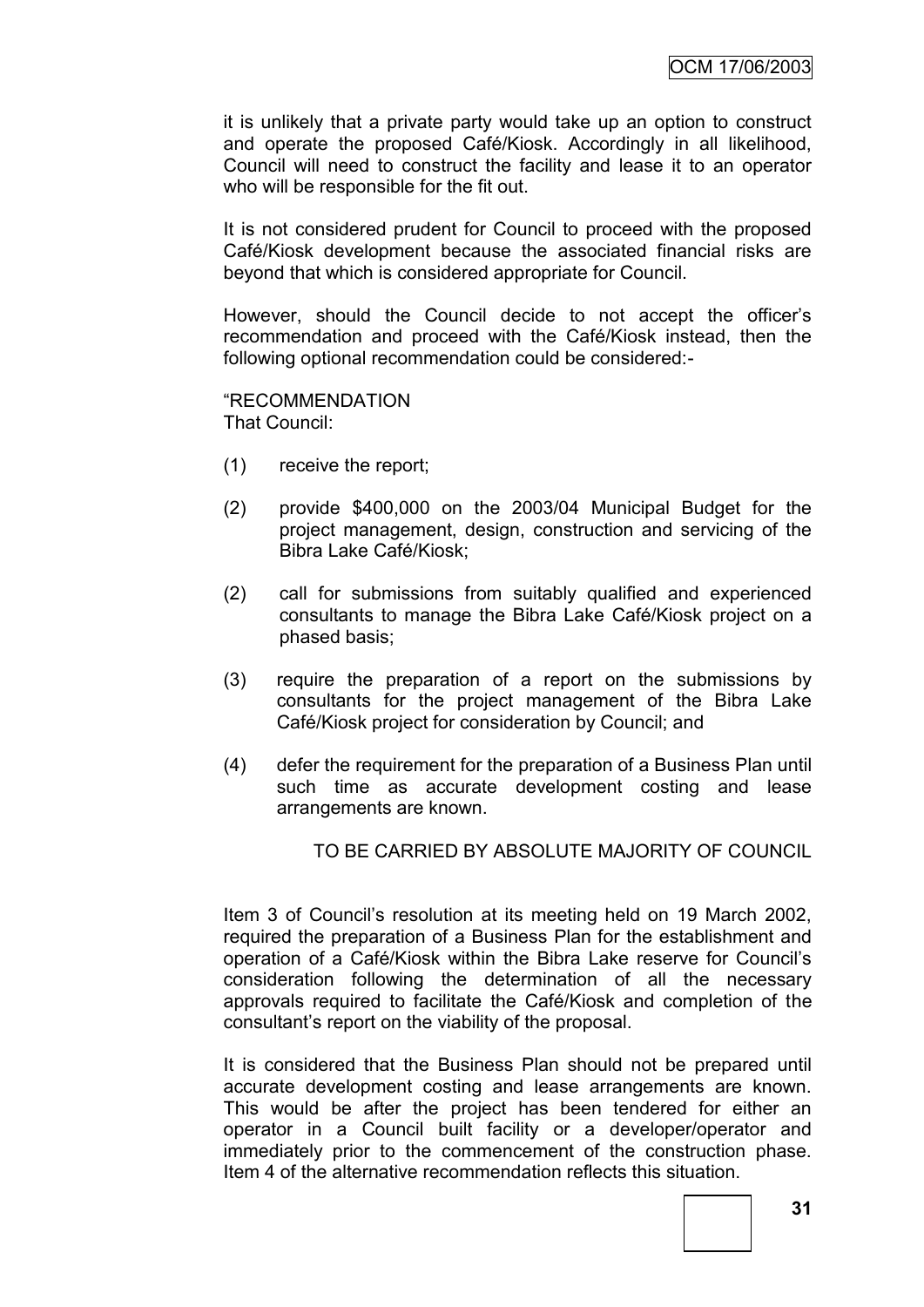it is unlikely that a private party would take up an option to construct and operate the proposed Café/Kiosk. Accordingly in all likelihood, Council will need to construct the facility and lease it to an operator who will be responsible for the fit out.

It is not considered prudent for Council to proceed with the proposed Café/Kiosk development because the associated financial risks are beyond that which is considered appropriate for Council.

However, should the Council decide to not accept the officer"s recommendation and proceed with the Café/Kiosk instead, then the following optional recommendation could be considered:-

"RECOMMENDATION That Council:

- (1) receive the report;
- (2) provide \$400,000 on the 2003/04 Municipal Budget for the project management, design, construction and servicing of the Bibra Lake Café/Kiosk;
- (2) call for submissions from suitably qualified and experienced consultants to manage the Bibra Lake Café/Kiosk project on a phased basis;
- (3) require the preparation of a report on the submissions by consultants for the project management of the Bibra Lake Café/Kiosk project for consideration by Council; and
- (4) defer the requirement for the preparation of a Business Plan until such time as accurate development costing and lease arrangements are known.

TO BE CARRIED BY ABSOLUTE MAJORITY OF COUNCIL

Item 3 of Council"s resolution at its meeting held on 19 March 2002, required the preparation of a Business Plan for the establishment and operation of a Café/Kiosk within the Bibra Lake reserve for Council"s consideration following the determination of all the necessary approvals required to facilitate the Café/Kiosk and completion of the consultant"s report on the viability of the proposal.

It is considered that the Business Plan should not be prepared until accurate development costing and lease arrangements are known. This would be after the project has been tendered for either an operator in a Council built facility or a developer/operator and immediately prior to the commencement of the construction phase. Item 4 of the alternative recommendation reflects this situation.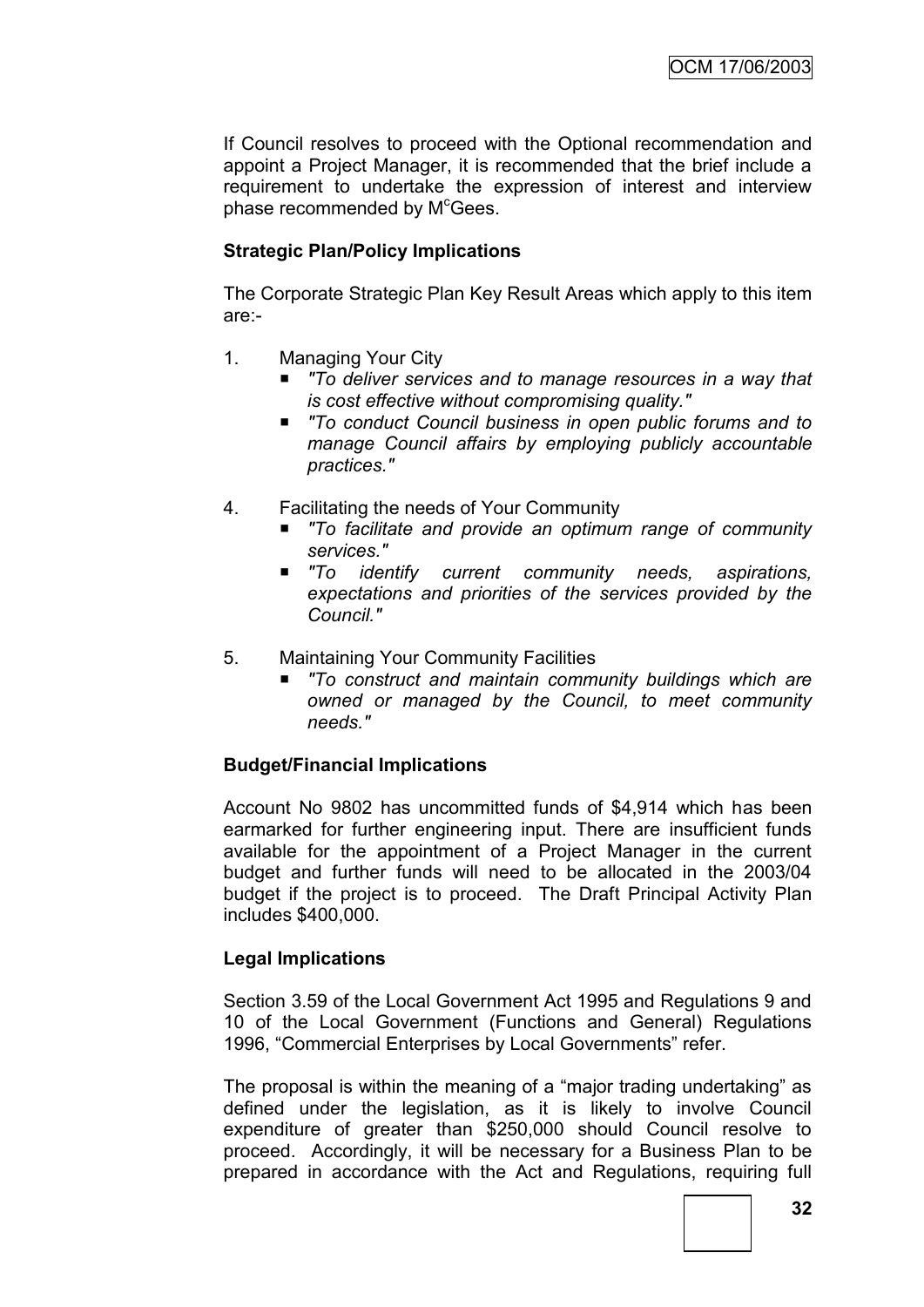If Council resolves to proceed with the Optional recommendation and appoint a Project Manager, it is recommended that the brief include a requirement to undertake the expression of interest and interview phase recommended by M<sup>c</sup>Gees.

# **Strategic Plan/Policy Implications**

The Corporate Strategic Plan Key Result Areas which apply to this item are:-

- 1. Managing Your City
	- *"To deliver services and to manage resources in a way that is cost effective without compromising quality."*
	- To conduct Council business in open public forums and to *manage Council affairs by employing publicly accountable practices."*
- 4. Facilitating the needs of Your Community
	- *"To facilitate and provide an optimum range of community services."*
	- *"To identify current community needs, aspirations, expectations and priorities of the services provided by the Council."*
- 5. Maintaining Your Community Facilities
	- *"To construct and maintain community buildings which are owned or managed by the Council, to meet community needs."*

# **Budget/Financial Implications**

Account No 9802 has uncommitted funds of \$4,914 which has been earmarked for further engineering input. There are insufficient funds available for the appointment of a Project Manager in the current budget and further funds will need to be allocated in the 2003/04 budget if the project is to proceed. The Draft Principal Activity Plan includes \$400,000.

# **Legal Implications**

Section 3.59 of the Local Government Act 1995 and Regulations 9 and 10 of the Local Government (Functions and General) Regulations 1996, "Commercial Enterprises by Local Governments" refer.

The proposal is within the meaning of a "major trading undertaking" as defined under the legislation, as it is likely to involve Council expenditure of greater than \$250,000 should Council resolve to proceed. Accordingly, it will be necessary for a Business Plan to be prepared in accordance with the Act and Regulations, requiring full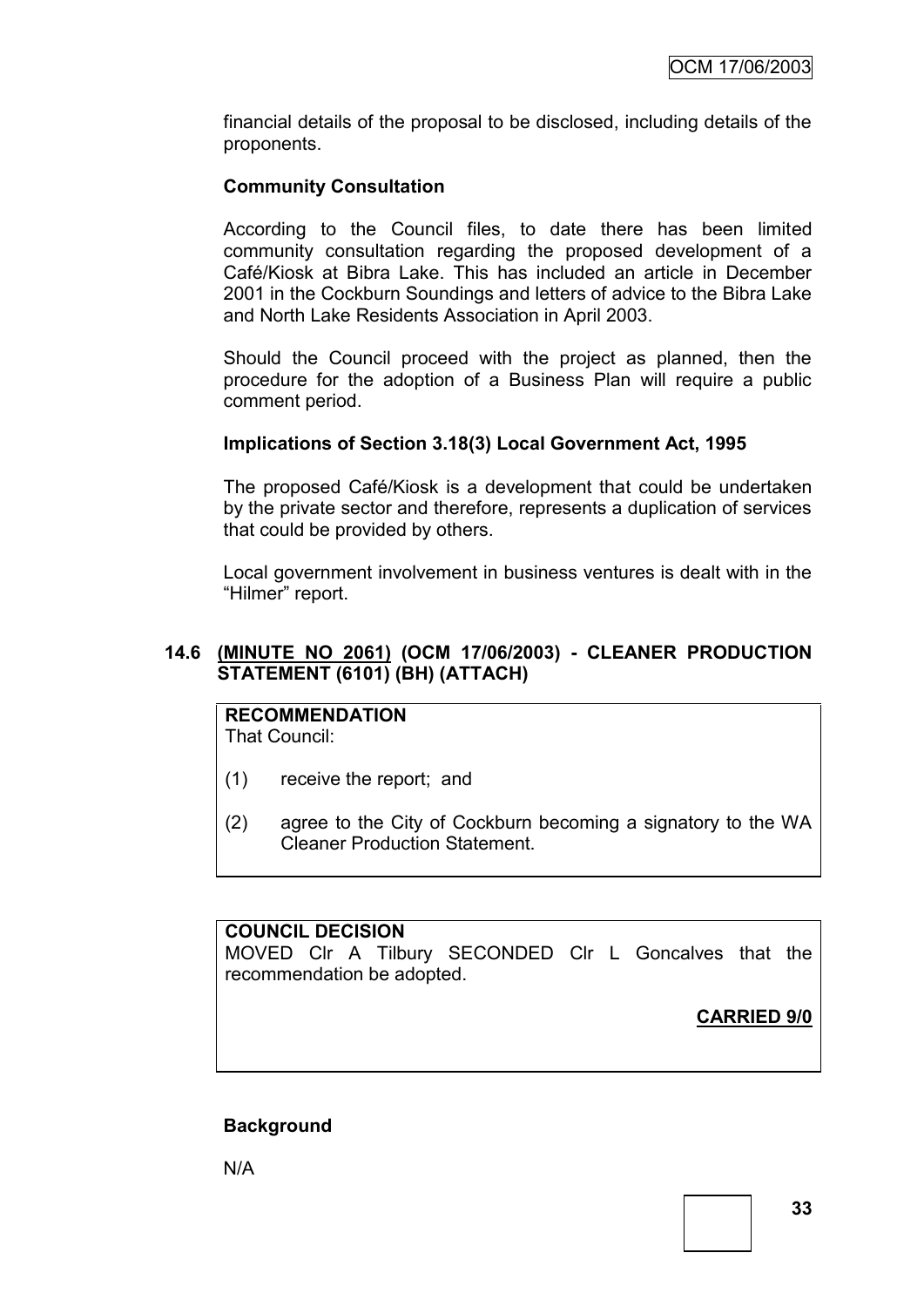financial details of the proposal to be disclosed, including details of the proponents.

# **Community Consultation**

According to the Council files, to date there has been limited community consultation regarding the proposed development of a Café/Kiosk at Bibra Lake. This has included an article in December 2001 in the Cockburn Soundings and letters of advice to the Bibra Lake and North Lake Residents Association in April 2003.

Should the Council proceed with the project as planned, then the procedure for the adoption of a Business Plan will require a public comment period.

# **Implications of Section 3.18(3) Local Government Act, 1995**

The proposed Café/Kiosk is a development that could be undertaken by the private sector and therefore, represents a duplication of services that could be provided by others.

Local government involvement in business ventures is dealt with in the "Hilmer" report.

# **14.6 (MINUTE NO 2061) (OCM 17/06/2003) - CLEANER PRODUCTION STATEMENT (6101) (BH) (ATTACH)**

#### **RECOMMENDATION** That Council:

- (1) receive the report; and
- (2) agree to the City of Cockburn becoming a signatory to the WA Cleaner Production Statement.

# **COUNCIL DECISION**

MOVED Clr A Tilbury SECONDED Clr L Goncalves that the recommendation be adopted.

**CARRIED 9/0**

# **Background**

N/A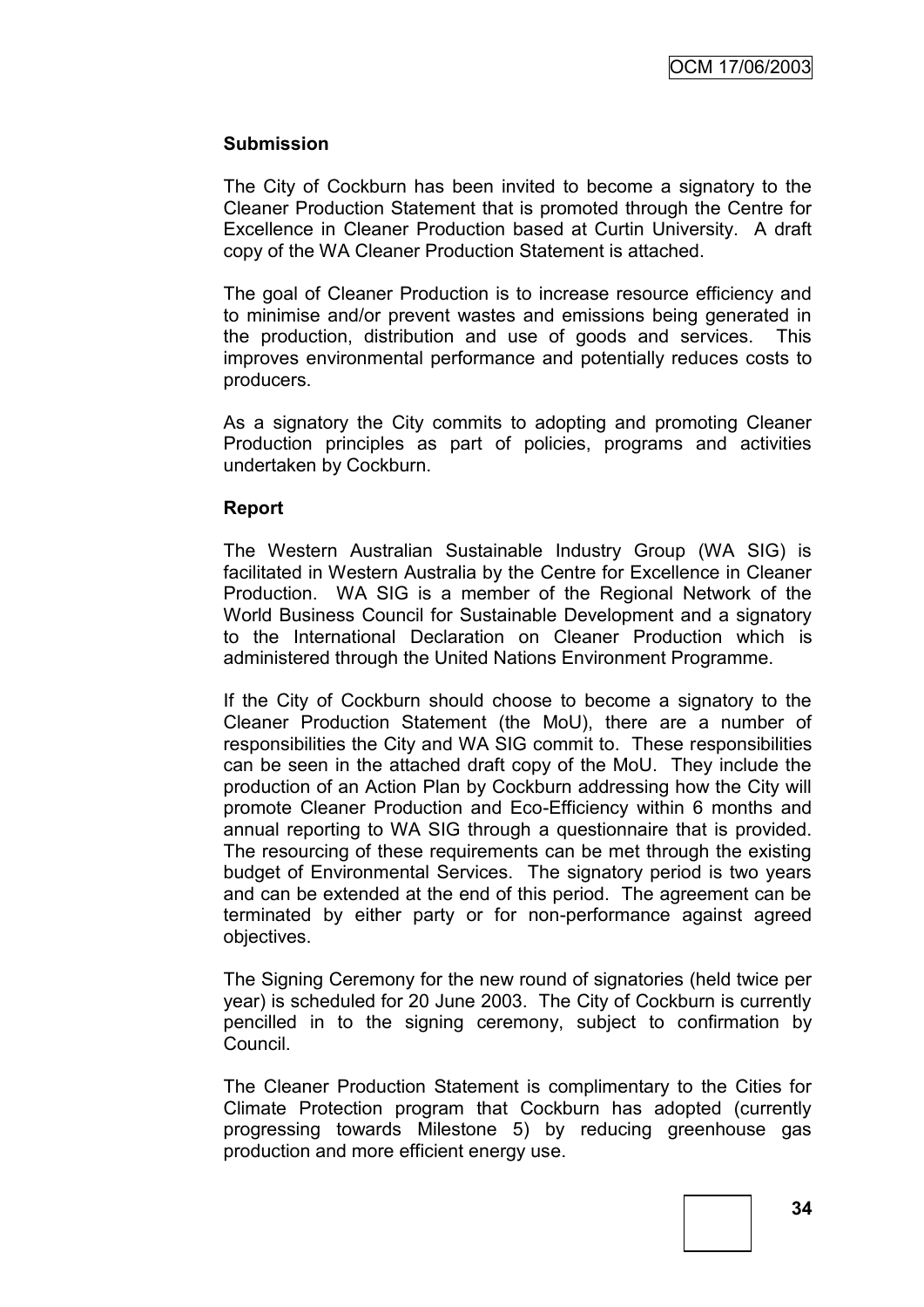#### **Submission**

The City of Cockburn has been invited to become a signatory to the Cleaner Production Statement that is promoted through the Centre for Excellence in Cleaner Production based at Curtin University. A draft copy of the WA Cleaner Production Statement is attached.

The goal of Cleaner Production is to increase resource efficiency and to minimise and/or prevent wastes and emissions being generated in the production, distribution and use of goods and services. This improves environmental performance and potentially reduces costs to producers.

As a signatory the City commits to adopting and promoting Cleaner Production principles as part of policies, programs and activities undertaken by Cockburn.

#### **Report**

The Western Australian Sustainable Industry Group (WA SIG) is facilitated in Western Australia by the Centre for Excellence in Cleaner Production. WA SIG is a member of the Regional Network of the World Business Council for Sustainable Development and a signatory to the International Declaration on Cleaner Production which is administered through the United Nations Environment Programme.

If the City of Cockburn should choose to become a signatory to the Cleaner Production Statement (the MoU), there are a number of responsibilities the City and WA SIG commit to. These responsibilities can be seen in the attached draft copy of the MoU. They include the production of an Action Plan by Cockburn addressing how the City will promote Cleaner Production and Eco-Efficiency within 6 months and annual reporting to WA SIG through a questionnaire that is provided. The resourcing of these requirements can be met through the existing budget of Environmental Services. The signatory period is two years and can be extended at the end of this period. The agreement can be terminated by either party or for non-performance against agreed objectives.

The Signing Ceremony for the new round of signatories (held twice per year) is scheduled for 20 June 2003. The City of Cockburn is currently pencilled in to the signing ceremony, subject to confirmation by Council.

The Cleaner Production Statement is complimentary to the Cities for Climate Protection program that Cockburn has adopted (currently progressing towards Milestone 5) by reducing greenhouse gas production and more efficient energy use.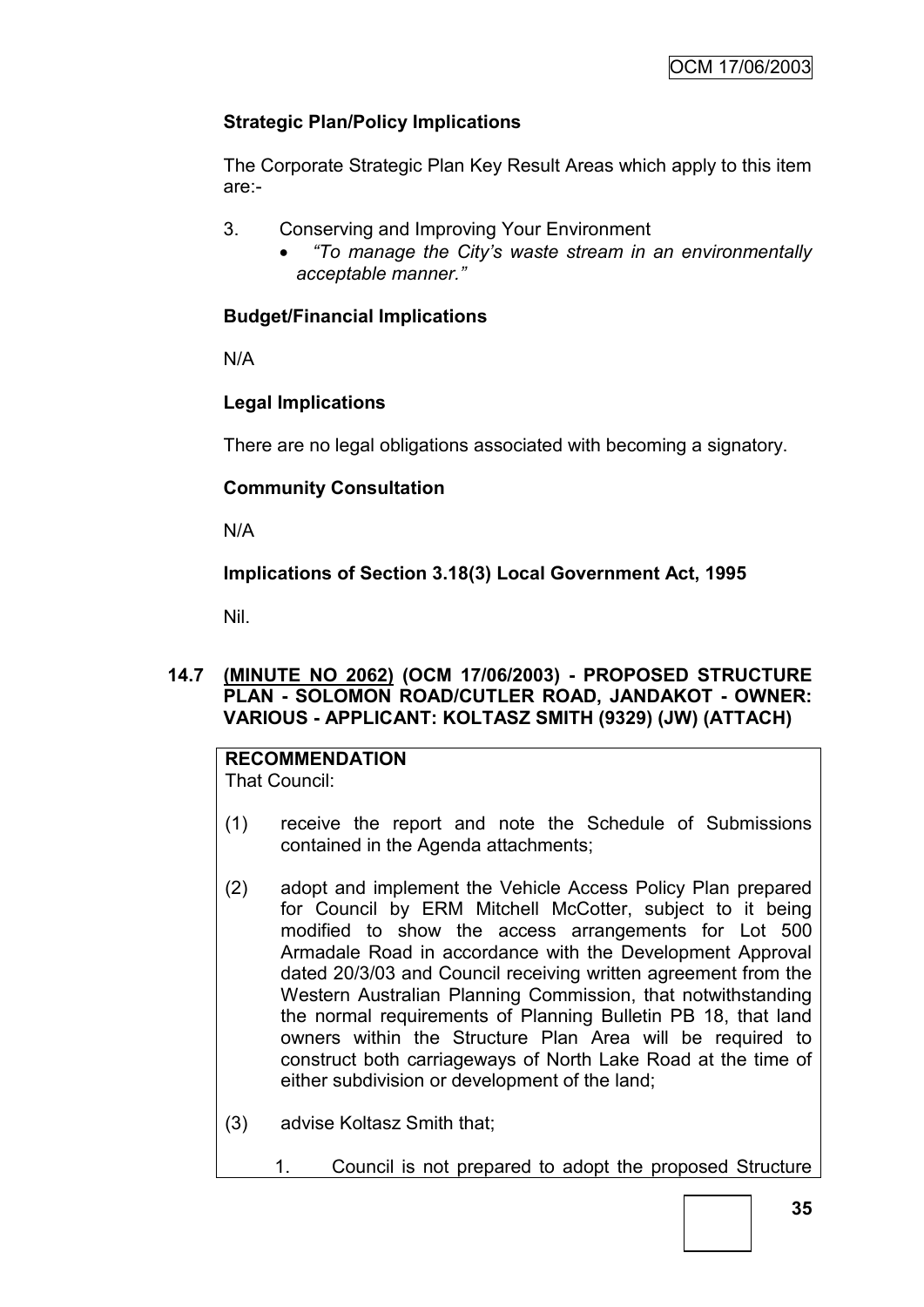### **Strategic Plan/Policy Implications**

The Corporate Strategic Plan Key Result Areas which apply to this item are:-

- 3. Conserving and Improving Your Environment
	- *"To manage the City's waste stream in an environmentally acceptable manner."*

### **Budget/Financial Implications**

N/A

### **Legal Implications**

There are no legal obligations associated with becoming a signatory.

### **Community Consultation**

N/A

### **Implications of Section 3.18(3) Local Government Act, 1995**

Nil.

### **14.7 (MINUTE NO 2062) (OCM 17/06/2003) - PROPOSED STRUCTURE PLAN - SOLOMON ROAD/CUTLER ROAD, JANDAKOT - OWNER: VARIOUS - APPLICANT: KOLTASZ SMITH (9329) (JW) (ATTACH)**

# **RECOMMENDATION**

That Council:

- (1) receive the report and note the Schedule of Submissions contained in the Agenda attachments;
- (2) adopt and implement the Vehicle Access Policy Plan prepared for Council by ERM Mitchell McCotter, subject to it being modified to show the access arrangements for Lot 500 Armadale Road in accordance with the Development Approval dated 20/3/03 and Council receiving written agreement from the Western Australian Planning Commission, that notwithstanding the normal requirements of Planning Bulletin PB 18, that land owners within the Structure Plan Area will be required to construct both carriageways of North Lake Road at the time of either subdivision or development of the land;
- (3) advise Koltasz Smith that;
	- 1. Council is not prepared to adopt the proposed Structure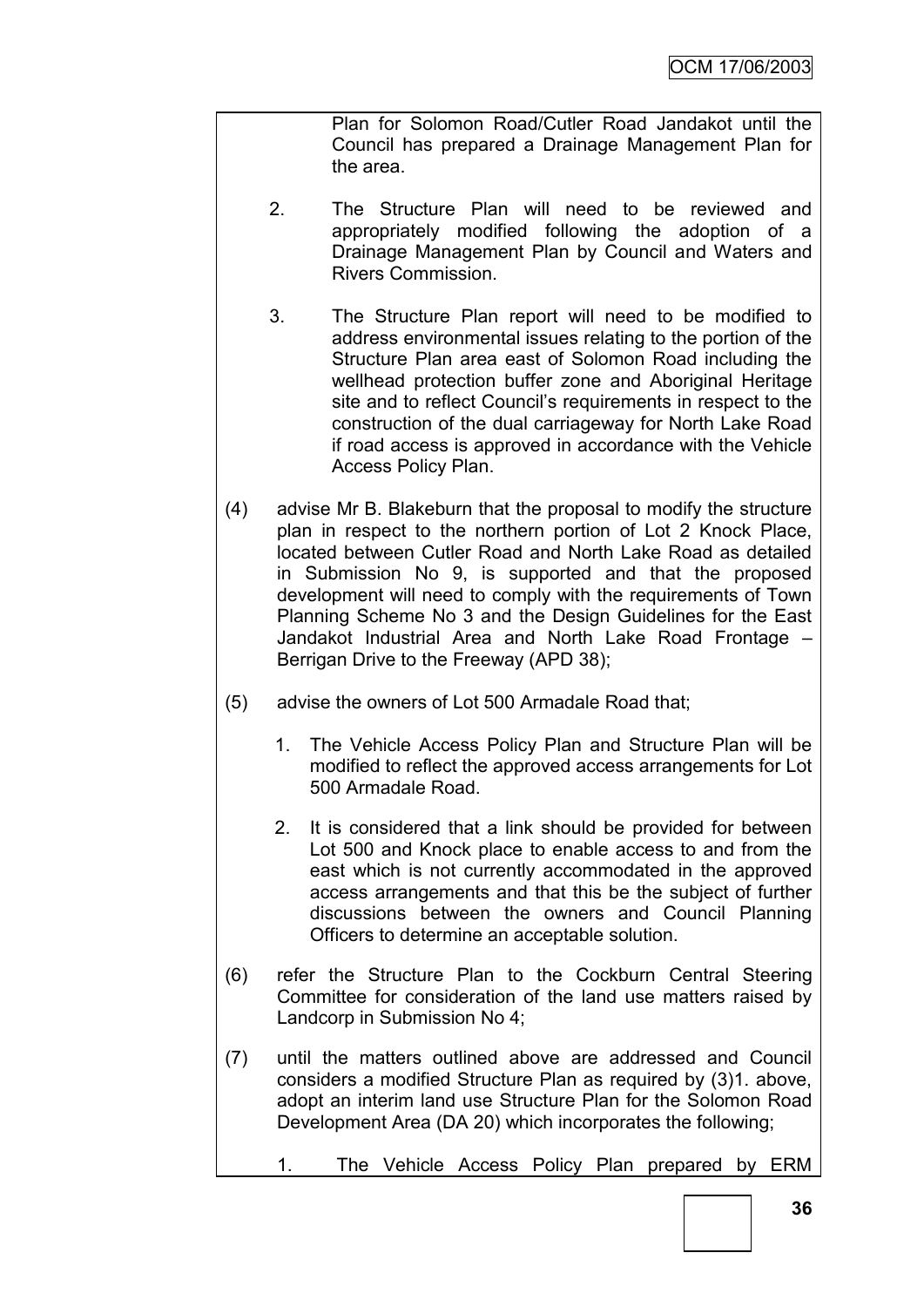Plan for Solomon Road/Cutler Road Jandakot until the Council has prepared a Drainage Management Plan for the area.

- 2. The Structure Plan will need to be reviewed and appropriately modified following the adoption of a Drainage Management Plan by Council and Waters and Rivers Commission.
- 3. The Structure Plan report will need to be modified to address environmental issues relating to the portion of the Structure Plan area east of Solomon Road including the wellhead protection buffer zone and Aboriginal Heritage site and to reflect Council"s requirements in respect to the construction of the dual carriageway for North Lake Road if road access is approved in accordance with the Vehicle Access Policy Plan.
- (4) advise Mr B. Blakeburn that the proposal to modify the structure plan in respect to the northern portion of Lot 2 Knock Place, located between Cutler Road and North Lake Road as detailed in Submission No 9, is supported and that the proposed development will need to comply with the requirements of Town Planning Scheme No 3 and the Design Guidelines for the East Jandakot Industrial Area and North Lake Road Frontage – Berrigan Drive to the Freeway (APD 38);
- (5) advise the owners of Lot 500 Armadale Road that;
	- 1. The Vehicle Access Policy Plan and Structure Plan will be modified to reflect the approved access arrangements for Lot 500 Armadale Road.
	- 2. It is considered that a link should be provided for between Lot 500 and Knock place to enable access to and from the east which is not currently accommodated in the approved access arrangements and that this be the subject of further discussions between the owners and Council Planning Officers to determine an acceptable solution.
- (6) refer the Structure Plan to the Cockburn Central Steering Committee for consideration of the land use matters raised by Landcorp in Submission No 4;
- (7) until the matters outlined above are addressed and Council considers a modified Structure Plan as required by (3)1. above, adopt an interim land use Structure Plan for the Solomon Road Development Area (DA 20) which incorporates the following;

```
1. The Vehicle Access Policy Plan prepared by ERM
```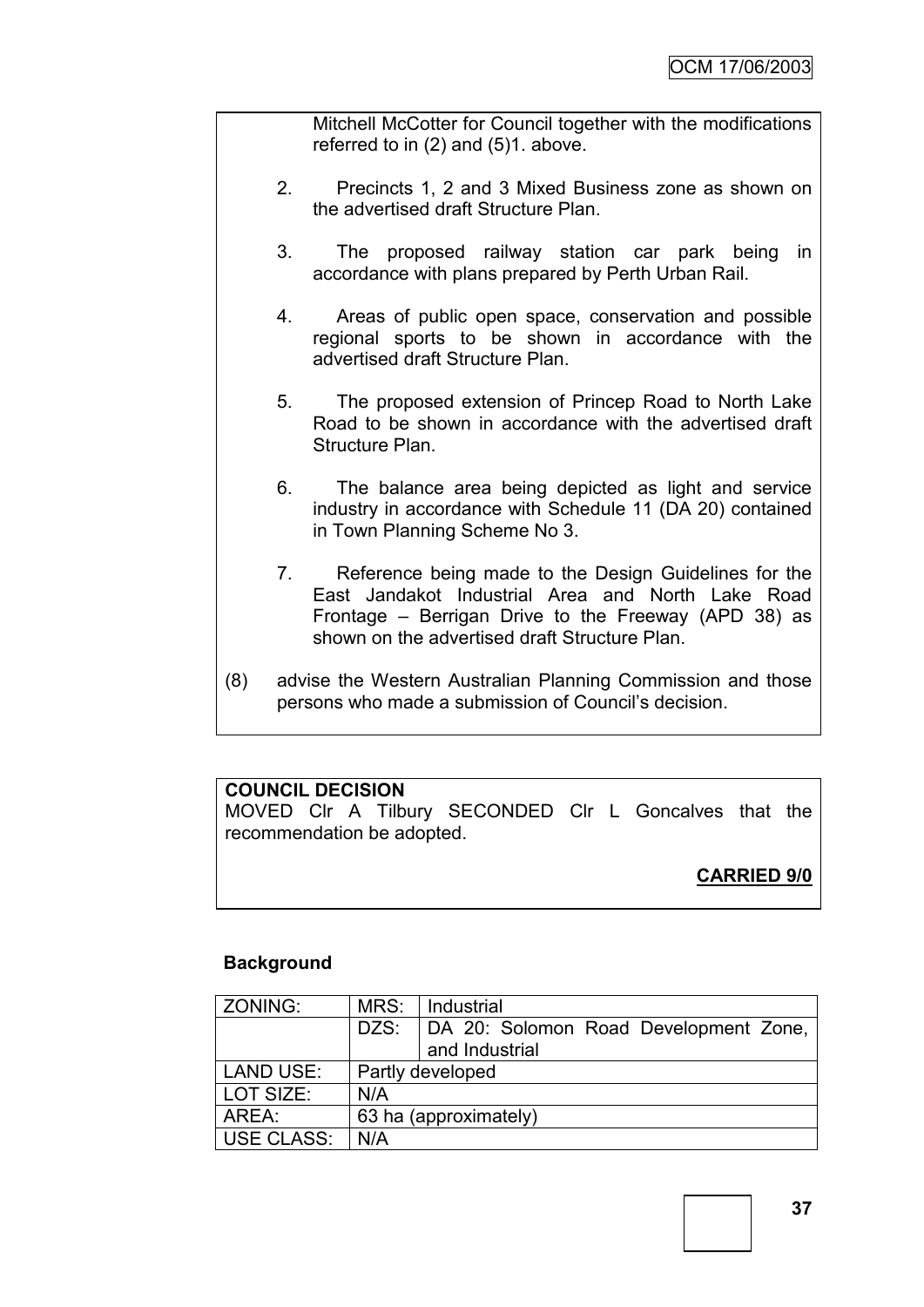Mitchell McCotter for Council together with the modifications referred to in (2) and (5)1. above.

- 2. Precincts 1, 2 and 3 Mixed Business zone as shown on the advertised draft Structure Plan.
- 3. The proposed railway station car park being in accordance with plans prepared by Perth Urban Rail.
- 4. Areas of public open space, conservation and possible regional sports to be shown in accordance with the advertised draft Structure Plan.
- 5. The proposed extension of Princep Road to North Lake Road to be shown in accordance with the advertised draft Structure Plan.
- 6. The balance area being depicted as light and service industry in accordance with Schedule 11 (DA 20) contained in Town Planning Scheme No 3.
- 7. Reference being made to the Design Guidelines for the East Jandakot Industrial Area and North Lake Road Frontage – Berrigan Drive to the Freeway (APD 38) as shown on the advertised draft Structure Plan.
- (8) advise the Western Australian Planning Commission and those persons who made a submission of Council"s decision.

### **COUNCIL DECISION**

MOVED Clr A Tilbury SECONDED Clr L Goncalves that the recommendation be adopted.

# **CARRIED 9/0**

### **Background**

| ZONING:           | MRS: | Industrial                                              |
|-------------------|------|---------------------------------------------------------|
|                   | DZS: | DA 20: Solomon Road Development Zone,<br>and Industrial |
| <b>LAND USE:</b>  |      | Partly developed                                        |
| LOT SIZE:         | N/A  |                                                         |
| AREA:             |      | 63 ha (approximately)                                   |
| <b>USE CLASS:</b> | N/A  |                                                         |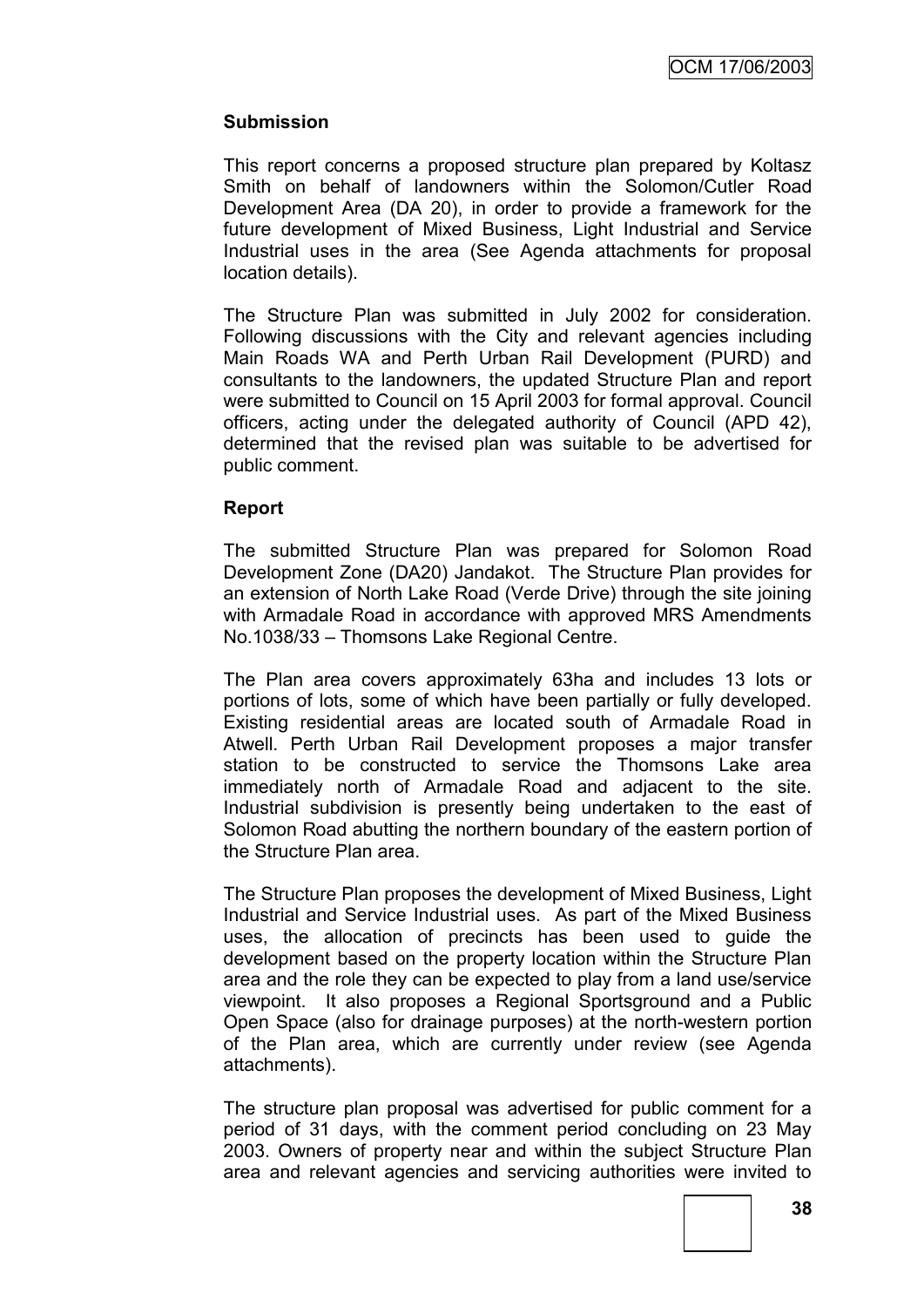### **Submission**

This report concerns a proposed structure plan prepared by Koltasz Smith on behalf of landowners within the Solomon/Cutler Road Development Area (DA 20), in order to provide a framework for the future development of Mixed Business, Light Industrial and Service Industrial uses in the area (See Agenda attachments for proposal location details).

The Structure Plan was submitted in July 2002 for consideration. Following discussions with the City and relevant agencies including Main Roads WA and Perth Urban Rail Development (PURD) and consultants to the landowners, the updated Structure Plan and report were submitted to Council on 15 April 2003 for formal approval. Council officers, acting under the delegated authority of Council (APD 42), determined that the revised plan was suitable to be advertised for public comment.

### **Report**

The submitted Structure Plan was prepared for Solomon Road Development Zone (DA20) Jandakot. The Structure Plan provides for an extension of North Lake Road (Verde Drive) through the site joining with Armadale Road in accordance with approved MRS Amendments No.1038/33 – Thomsons Lake Regional Centre.

The Plan area covers approximately 63ha and includes 13 lots or portions of lots, some of which have been partially or fully developed. Existing residential areas are located south of Armadale Road in Atwell. Perth Urban Rail Development proposes a major transfer station to be constructed to service the Thomsons Lake area immediately north of Armadale Road and adjacent to the site. Industrial subdivision is presently being undertaken to the east of Solomon Road abutting the northern boundary of the eastern portion of the Structure Plan area.

The Structure Plan proposes the development of Mixed Business, Light Industrial and Service Industrial uses. As part of the Mixed Business uses, the allocation of precincts has been used to guide the development based on the property location within the Structure Plan area and the role they can be expected to play from a land use/service viewpoint. It also proposes a Regional Sportsground and a Public Open Space (also for drainage purposes) at the north-western portion of the Plan area, which are currently under review (see Agenda attachments).

The structure plan proposal was advertised for public comment for a period of 31 days, with the comment period concluding on 23 May 2003. Owners of property near and within the subject Structure Plan area and relevant agencies and servicing authorities were invited to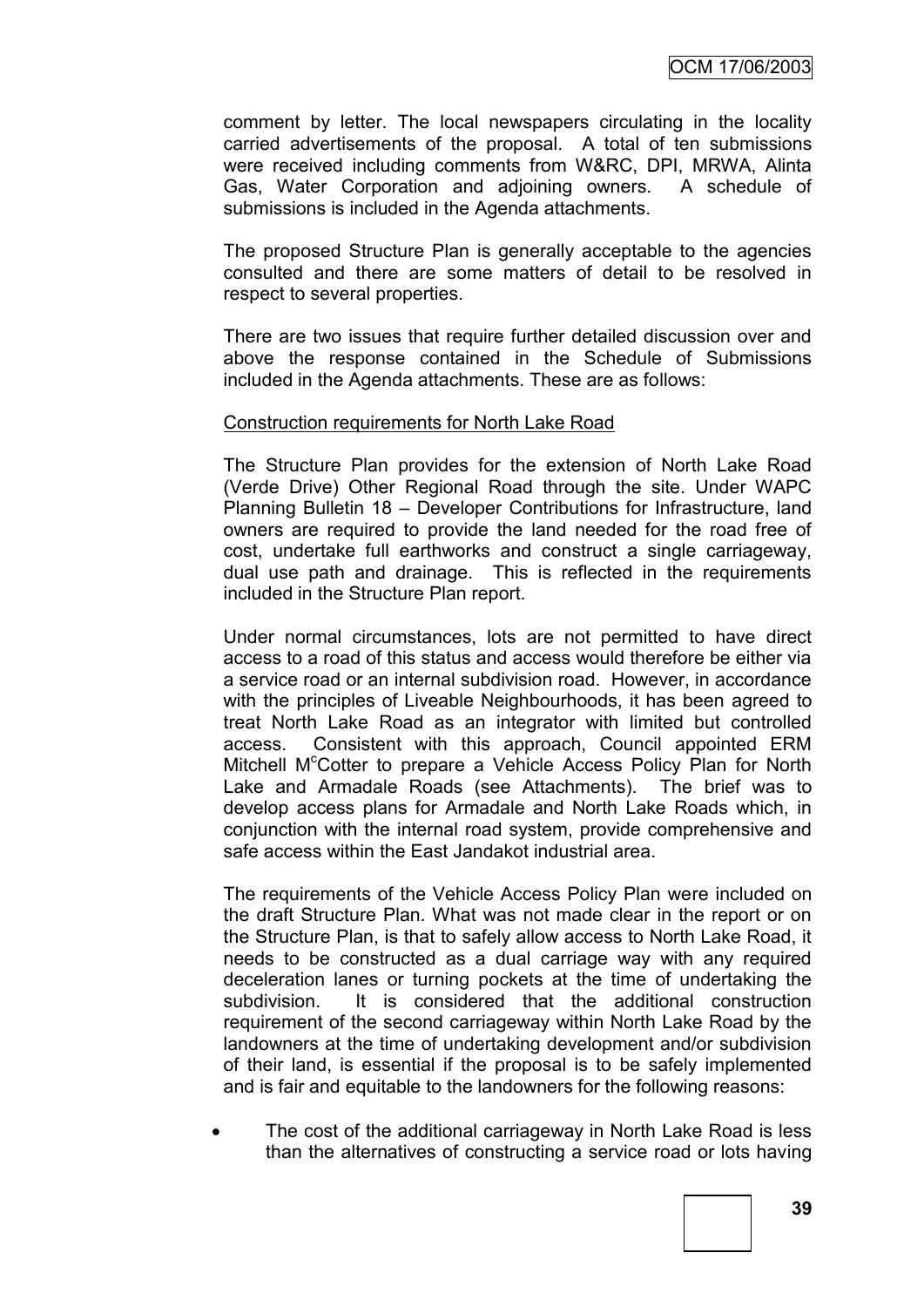comment by letter. The local newspapers circulating in the locality carried advertisements of the proposal. A total of ten submissions were received including comments from W&RC, DPI, MRWA, Alinta Gas, Water Corporation and adjoining owners. A schedule of submissions is included in the Agenda attachments.

The proposed Structure Plan is generally acceptable to the agencies consulted and there are some matters of detail to be resolved in respect to several properties.

There are two issues that require further detailed discussion over and above the response contained in the Schedule of Submissions included in the Agenda attachments. These are as follows:

#### Construction requirements for North Lake Road

The Structure Plan provides for the extension of North Lake Road (Verde Drive) Other Regional Road through the site. Under WAPC Planning Bulletin 18 – Developer Contributions for Infrastructure, land owners are required to provide the land needed for the road free of cost, undertake full earthworks and construct a single carriageway, dual use path and drainage. This is reflected in the requirements included in the Structure Plan report.

Under normal circumstances, lots are not permitted to have direct access to a road of this status and access would therefore be either via a service road or an internal subdivision road. However, in accordance with the principles of Liveable Neighbourhoods, it has been agreed to treat North Lake Road as an integrator with limited but controlled access. Consistent with this approach, Council appointed ERM Mitchell M<sup>c</sup>Cotter to prepare a Vehicle Access Policy Plan for North Lake and Armadale Roads (see Attachments). The brief was to develop access plans for Armadale and North Lake Roads which, in conjunction with the internal road system, provide comprehensive and safe access within the East Jandakot industrial area.

The requirements of the Vehicle Access Policy Plan were included on the draft Structure Plan. What was not made clear in the report or on the Structure Plan, is that to safely allow access to North Lake Road, it needs to be constructed as a dual carriage way with any required deceleration lanes or turning pockets at the time of undertaking the subdivision. It is considered that the additional construction requirement of the second carriageway within North Lake Road by the landowners at the time of undertaking development and/or subdivision of their land, is essential if the proposal is to be safely implemented and is fair and equitable to the landowners for the following reasons:

 The cost of the additional carriageway in North Lake Road is less than the alternatives of constructing a service road or lots having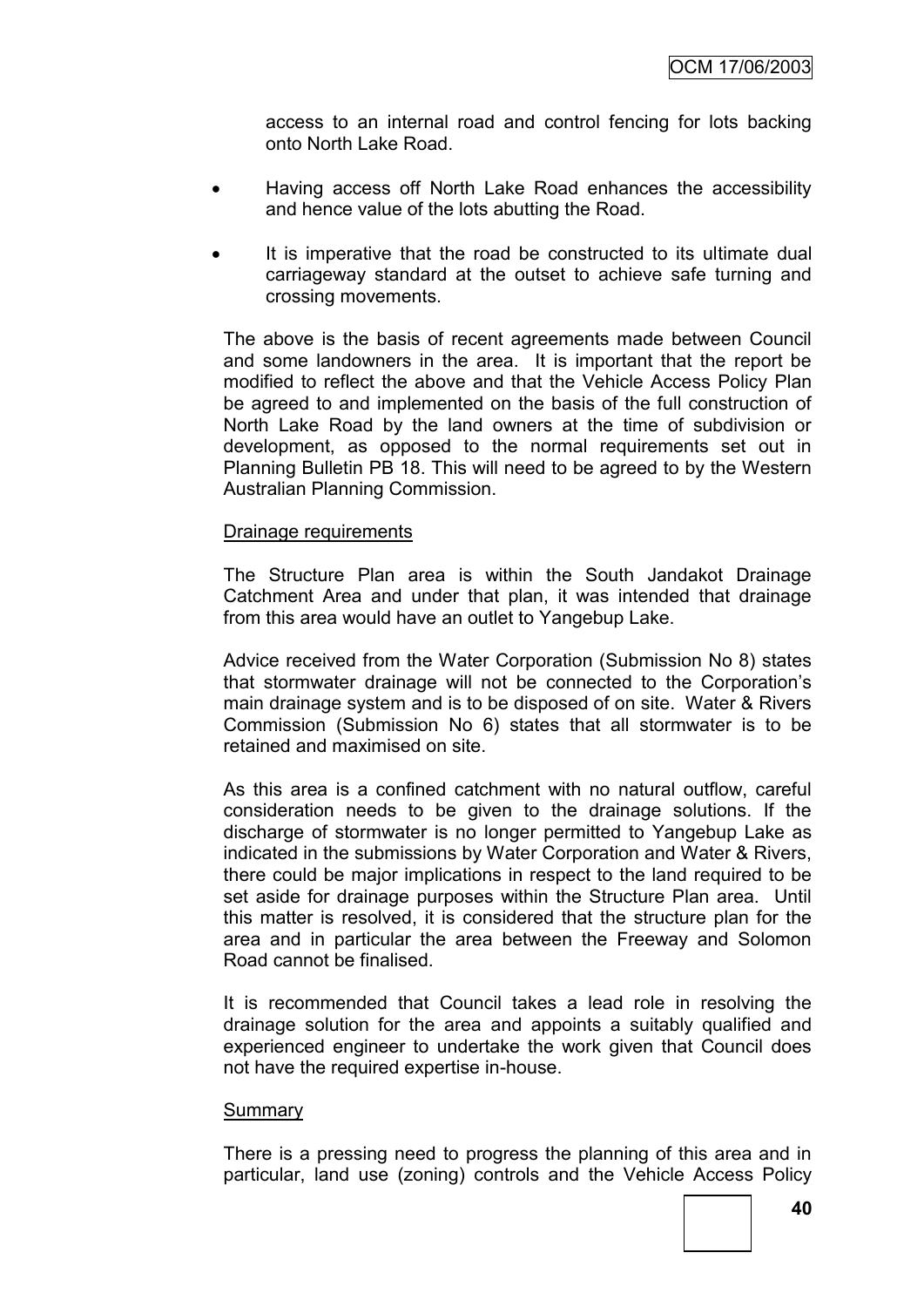access to an internal road and control fencing for lots backing onto North Lake Road.

- Having access off North Lake Road enhances the accessibility and hence value of the lots abutting the Road.
- It is imperative that the road be constructed to its ultimate dual carriageway standard at the outset to achieve safe turning and crossing movements.

The above is the basis of recent agreements made between Council and some landowners in the area. It is important that the report be modified to reflect the above and that the Vehicle Access Policy Plan be agreed to and implemented on the basis of the full construction of North Lake Road by the land owners at the time of subdivision or development, as opposed to the normal requirements set out in Planning Bulletin PB 18. This will need to be agreed to by the Western Australian Planning Commission.

#### Drainage requirements

The Structure Plan area is within the South Jandakot Drainage Catchment Area and under that plan, it was intended that drainage from this area would have an outlet to Yangebup Lake.

Advice received from the Water Corporation (Submission No 8) states that stormwater drainage will not be connected to the Corporation"s main drainage system and is to be disposed of on site. Water & Rivers Commission (Submission No 6) states that all stormwater is to be retained and maximised on site.

As this area is a confined catchment with no natural outflow, careful consideration needs to be given to the drainage solutions. If the discharge of stormwater is no longer permitted to Yangebup Lake as indicated in the submissions by Water Corporation and Water & Rivers, there could be major implications in respect to the land required to be set aside for drainage purposes within the Structure Plan area. Until this matter is resolved, it is considered that the structure plan for the area and in particular the area between the Freeway and Solomon Road cannot be finalised.

It is recommended that Council takes a lead role in resolving the drainage solution for the area and appoints a suitably qualified and experienced engineer to undertake the work given that Council does not have the required expertise in-house.

#### **Summary**

There is a pressing need to progress the planning of this area and in particular, land use (zoning) controls and the Vehicle Access Policy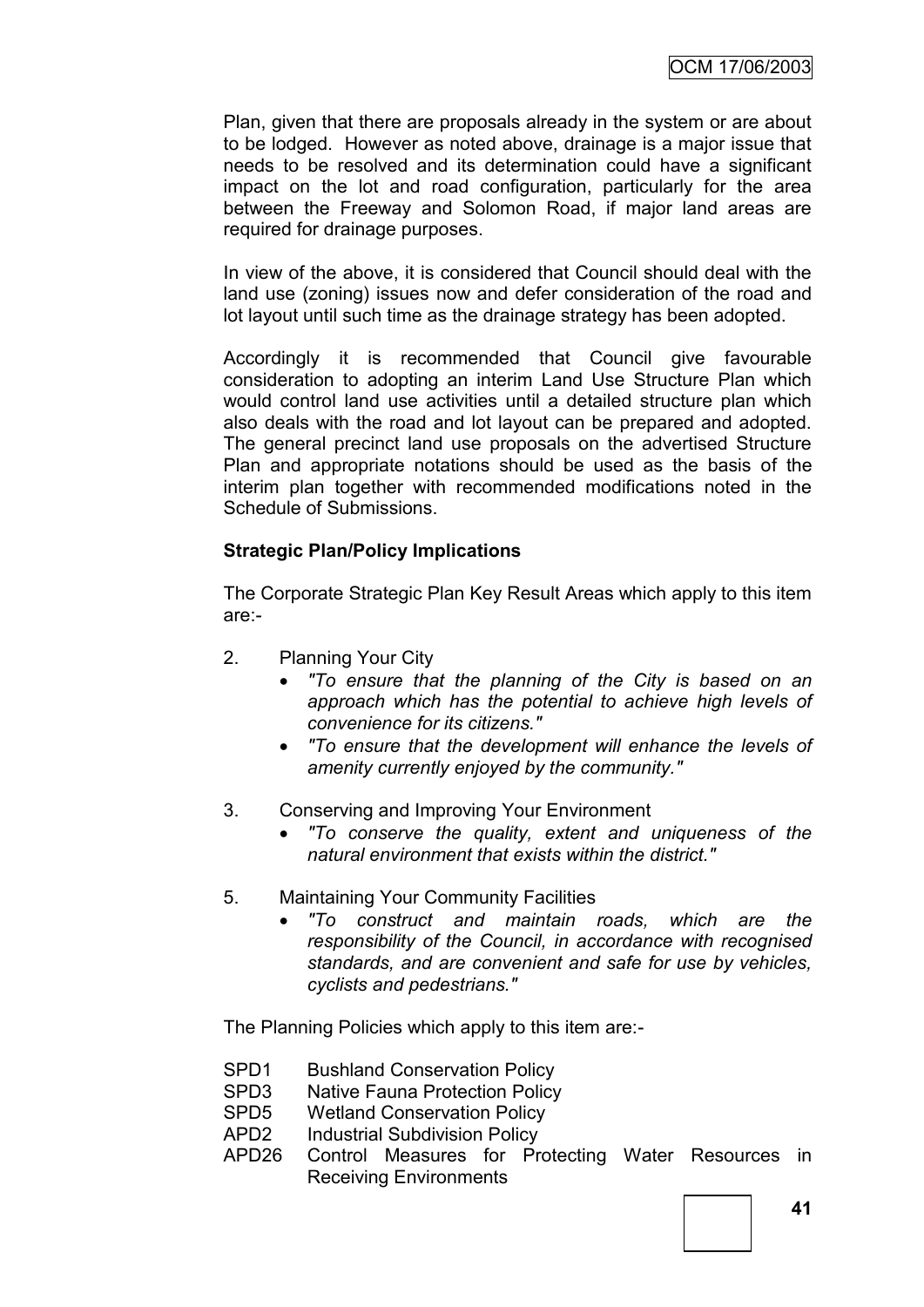Plan, given that there are proposals already in the system or are about to be lodged. However as noted above, drainage is a major issue that needs to be resolved and its determination could have a significant impact on the lot and road configuration, particularly for the area between the Freeway and Solomon Road, if major land areas are required for drainage purposes.

In view of the above, it is considered that Council should deal with the land use (zoning) issues now and defer consideration of the road and lot layout until such time as the drainage strategy has been adopted.

Accordingly it is recommended that Council give favourable consideration to adopting an interim Land Use Structure Plan which would control land use activities until a detailed structure plan which also deals with the road and lot layout can be prepared and adopted. The general precinct land use proposals on the advertised Structure Plan and appropriate notations should be used as the basis of the interim plan together with recommended modifications noted in the Schedule of Submissions.

### **Strategic Plan/Policy Implications**

The Corporate Strategic Plan Key Result Areas which apply to this item are:-

- 2. Planning Your City
	- *"To ensure that the planning of the City is based on an approach which has the potential to achieve high levels of convenience for its citizens."*
	- *"To ensure that the development will enhance the levels of amenity currently enjoyed by the community."*
- 3. Conserving and Improving Your Environment
	- *"To conserve the quality, extent and uniqueness of the natural environment that exists within the district."*
- 5. Maintaining Your Community Facilities
	- *"To construct and maintain roads, which are the responsibility of the Council, in accordance with recognised standards, and are convenient and safe for use by vehicles, cyclists and pedestrians."*

The Planning Policies which apply to this item are:-

- SPD1 Bushland Conservation Policy
- SPD3 Native Fauna Protection Policy
- SPD5 Wetland Conservation Policy
- APD2 Industrial Subdivision Policy
- APD26 Control Measures for Protecting Water Resources in Receiving Environments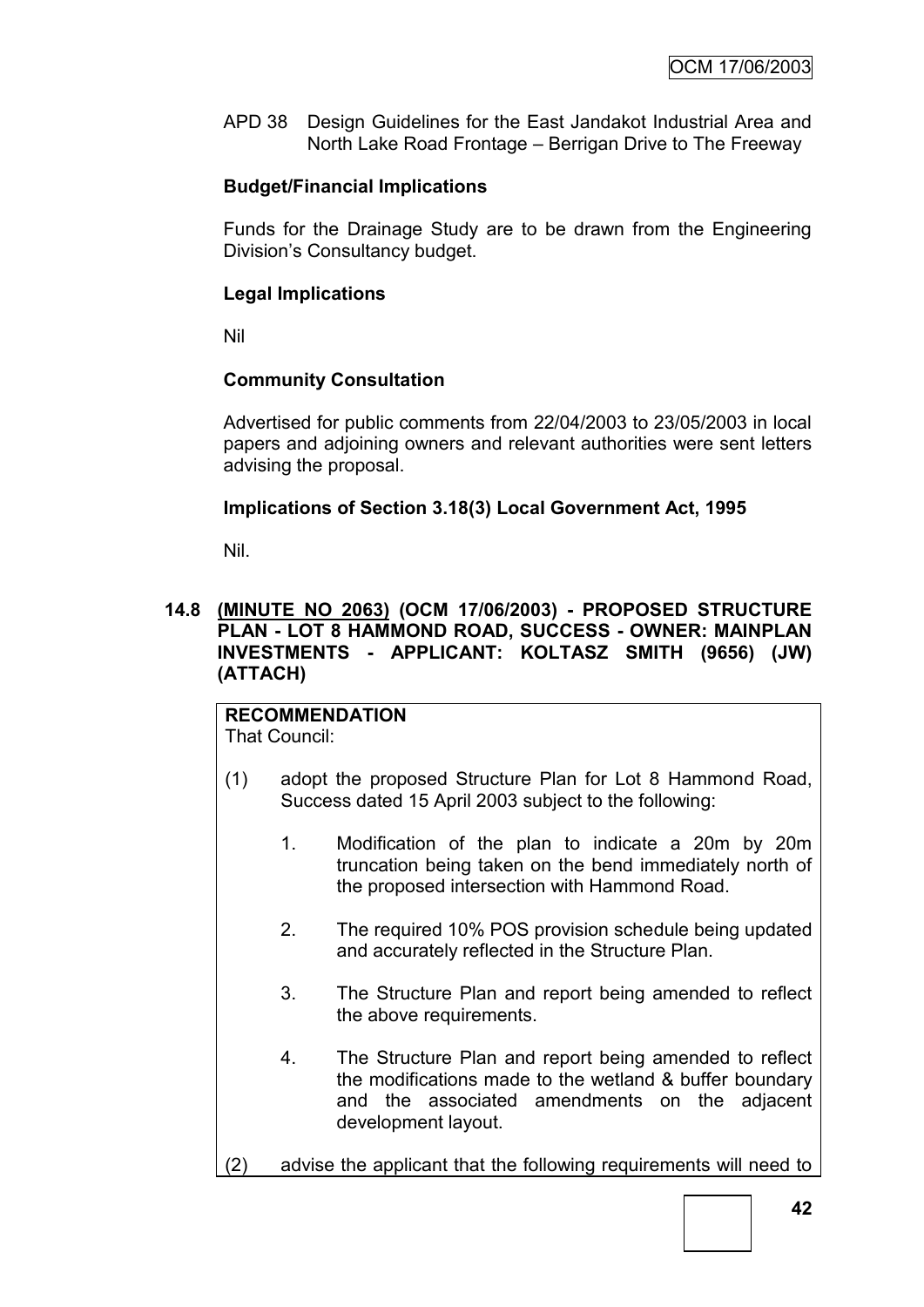APD 38 Design Guidelines for the East Jandakot Industrial Area and North Lake Road Frontage – Berrigan Drive to The Freeway

### **Budget/Financial Implications**

Funds for the Drainage Study are to be drawn from the Engineering Division"s Consultancy budget.

### **Legal Implications**

Nil

### **Community Consultation**

Advertised for public comments from 22/04/2003 to 23/05/2003 in local papers and adjoining owners and relevant authorities were sent letters advising the proposal.

### **Implications of Section 3.18(3) Local Government Act, 1995**

Nil.

### **14.8 (MINUTE NO 2063) (OCM 17/06/2003) - PROPOSED STRUCTURE PLAN - LOT 8 HAMMOND ROAD, SUCCESS - OWNER: MAINPLAN INVESTMENTS - APPLICANT: KOLTASZ SMITH (9656) (JW) (ATTACH)**

#### **RECOMMENDATION** That Council:

- (1) adopt the proposed Structure Plan for Lot 8 Hammond Road, Success dated 15 April 2003 subject to the following:
	- 1. Modification of the plan to indicate a 20m by 20m truncation being taken on the bend immediately north of the proposed intersection with Hammond Road.
	- 2. The required 10% POS provision schedule being updated and accurately reflected in the Structure Plan.
	- 3. The Structure Plan and report being amended to reflect the above requirements.
	- 4. The Structure Plan and report being amended to reflect the modifications made to the wetland & buffer boundary and the associated amendments on the adjacent development layout.
- (2) advise the applicant that the following requirements will need to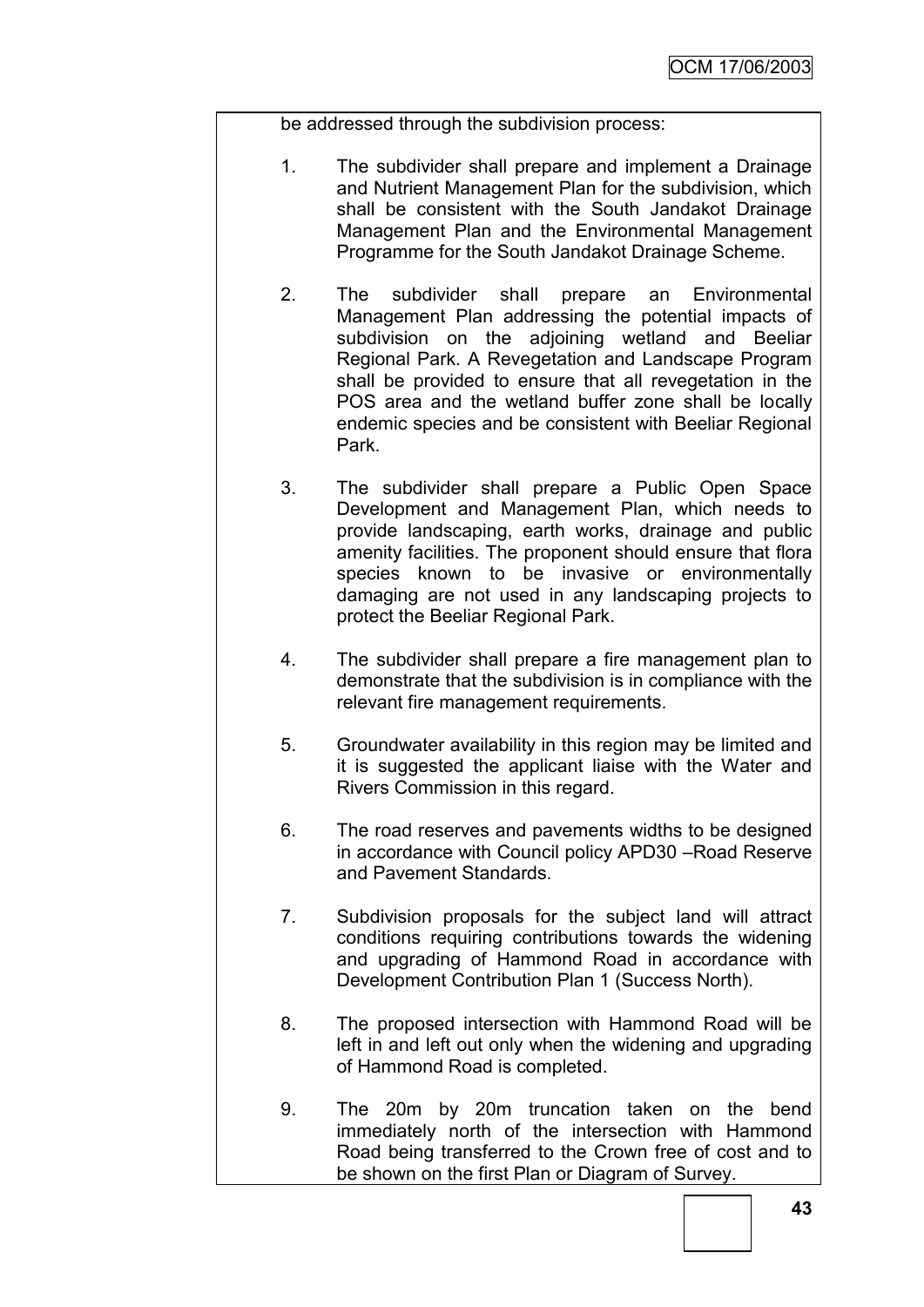be addressed through the subdivision process:

- 1. The subdivider shall prepare and implement a Drainage and Nutrient Management Plan for the subdivision, which shall be consistent with the South Jandakot Drainage Management Plan and the Environmental Management Programme for the South Jandakot Drainage Scheme.
- 2. The subdivider shall prepare an Environmental Management Plan addressing the potential impacts of subdivision on the adjoining wetland and Beeliar Regional Park. A Revegetation and Landscape Program shall be provided to ensure that all revegetation in the POS area and the wetland buffer zone shall be locally endemic species and be consistent with Beeliar Regional Park.
- 3. The subdivider shall prepare a Public Open Space Development and Management Plan, which needs to provide landscaping, earth works, drainage and public amenity facilities. The proponent should ensure that flora species known to be invasive or environmentally damaging are not used in any landscaping projects to protect the Beeliar Regional Park.
- 4. The subdivider shall prepare a fire management plan to demonstrate that the subdivision is in compliance with the relevant fire management requirements.
- 5. Groundwater availability in this region may be limited and it is suggested the applicant liaise with the Water and Rivers Commission in this regard.
- 6. The road reserves and pavements widths to be designed in accordance with Council policy APD30 –Road Reserve and Pavement Standards.
- 7. Subdivision proposals for the subject land will attract conditions requiring contributions towards the widening and upgrading of Hammond Road in accordance with Development Contribution Plan 1 (Success North).
- 8. The proposed intersection with Hammond Road will be left in and left out only when the widening and upgrading of Hammond Road is completed.
- 9. The 20m by 20m truncation taken on the bend immediately north of the intersection with Hammond Road being transferred to the Crown free of cost and to be shown on the first Plan or Diagram of Survey.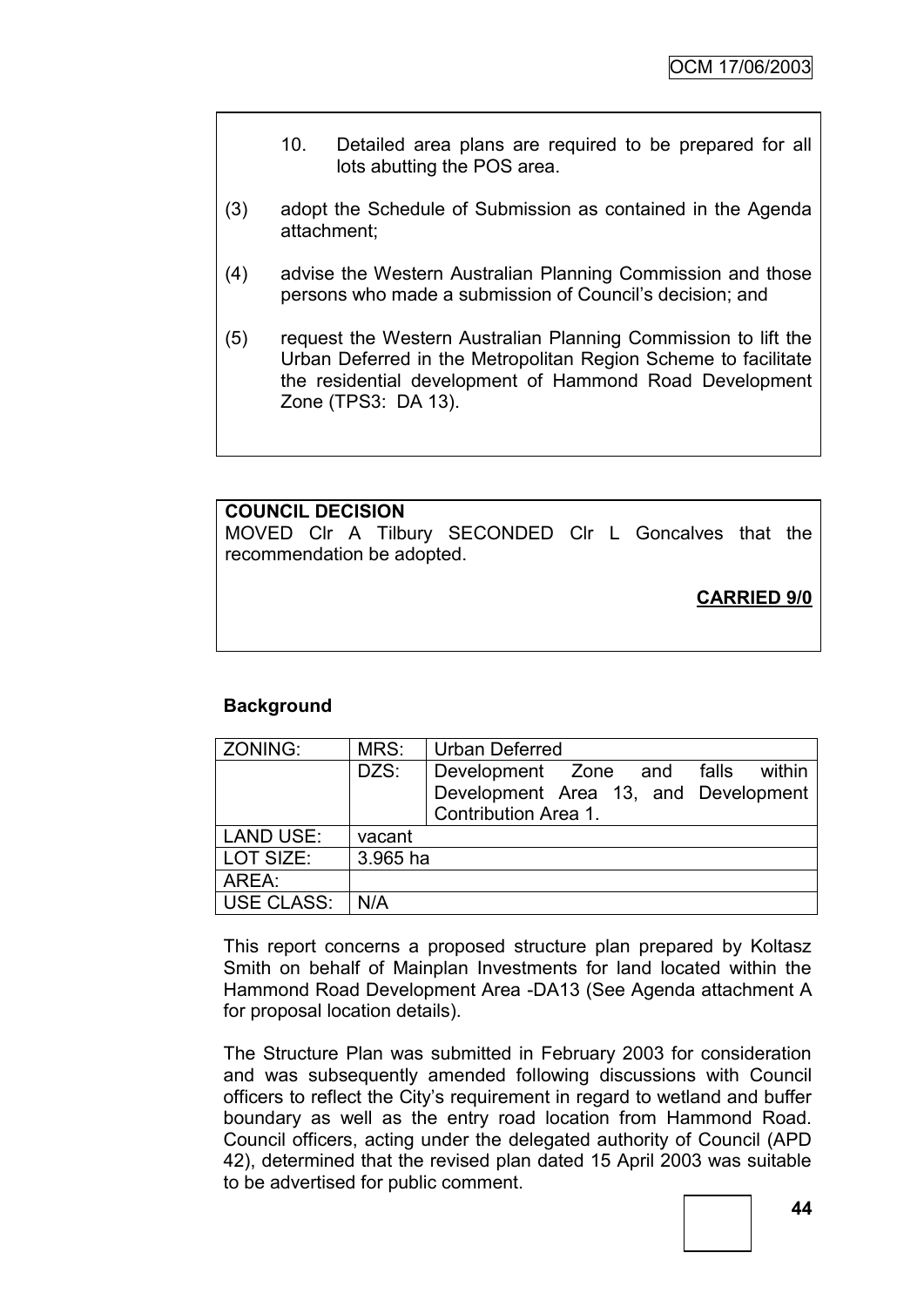- 10. Detailed area plans are required to be prepared for all lots abutting the POS area.
- (3) adopt the Schedule of Submission as contained in the Agenda attachment;
- (4) advise the Western Australian Planning Commission and those persons who made a submission of Council"s decision; and
- (5) request the Western Australian Planning Commission to lift the Urban Deferred in the Metropolitan Region Scheme to facilitate the residential development of Hammond Road Development Zone (TPS3: DA 13).

### **COUNCIL DECISION**

MOVED Clr A Tilbury SECONDED Clr L Goncalves that the recommendation be adopted.

**CARRIED 9/0**

### **Background**

| ZONING:    | MRS:     | Urban Deferred                       |
|------------|----------|--------------------------------------|
|            | DZS:     | Development Zone and falls within    |
|            |          | Development Area 13, and Development |
|            |          | Contribution Area 1.                 |
| LAND USE:  | vacant   |                                      |
| LOT SIZE:  | 3.965 ha |                                      |
| AREA:      |          |                                      |
| USE CLASS: | N/A      |                                      |

This report concerns a proposed structure plan prepared by Koltasz Smith on behalf of Mainplan Investments for land located within the Hammond Road Development Area -DA13 (See Agenda attachment A for proposal location details).

The Structure Plan was submitted in February 2003 for consideration and was subsequently amended following discussions with Council officers to reflect the City"s requirement in regard to wetland and buffer boundary as well as the entry road location from Hammond Road. Council officers, acting under the delegated authority of Council (APD 42), determined that the revised plan dated 15 April 2003 was suitable to be advertised for public comment.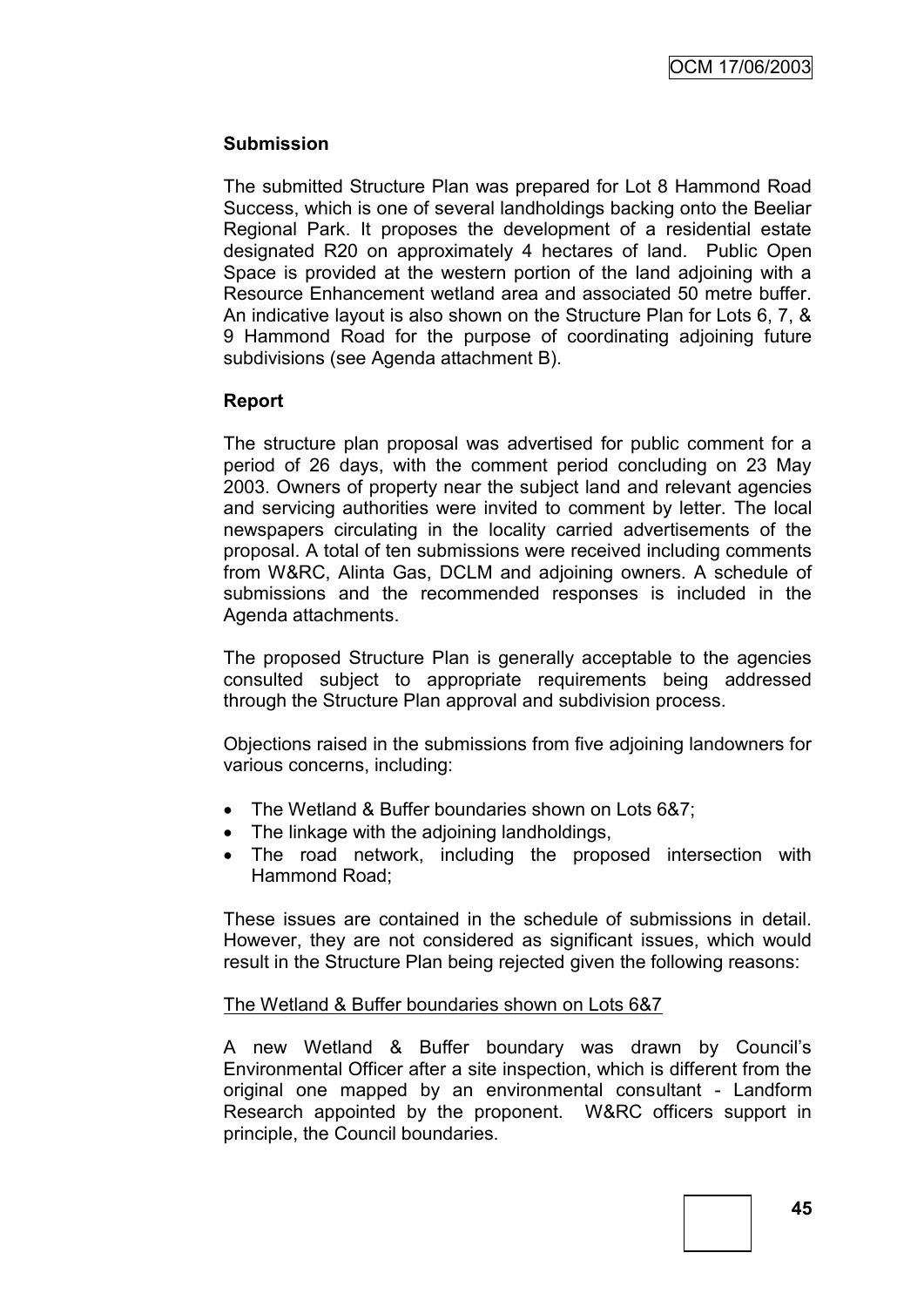### **Submission**

The submitted Structure Plan was prepared for Lot 8 Hammond Road Success, which is one of several landholdings backing onto the Beeliar Regional Park. It proposes the development of a residential estate designated R20 on approximately 4 hectares of land. Public Open Space is provided at the western portion of the land adjoining with a Resource Enhancement wetland area and associated 50 metre buffer. An indicative layout is also shown on the Structure Plan for Lots 6, 7, & 9 Hammond Road for the purpose of coordinating adjoining future subdivisions (see Agenda attachment B).

### **Report**

The structure plan proposal was advertised for public comment for a period of 26 days, with the comment period concluding on 23 May 2003. Owners of property near the subject land and relevant agencies and servicing authorities were invited to comment by letter. The local newspapers circulating in the locality carried advertisements of the proposal. A total of ten submissions were received including comments from W&RC, Alinta Gas, DCLM and adjoining owners. A schedule of submissions and the recommended responses is included in the Agenda attachments.

The proposed Structure Plan is generally acceptable to the agencies consulted subject to appropriate requirements being addressed through the Structure Plan approval and subdivision process.

Objections raised in the submissions from five adjoining landowners for various concerns, including:

- The Wetland & Buffer boundaries shown on Lots 6&7:
- The linkage with the adjoining landholdings,
- The road network, including the proposed intersection with Hammond Road;

These issues are contained in the schedule of submissions in detail. However, they are not considered as significant issues, which would result in the Structure Plan being rejected given the following reasons:

### The Wetland & Buffer boundaries shown on Lots 6&7

A new Wetland & Buffer boundary was drawn by Council"s Environmental Officer after a site inspection, which is different from the original one mapped by an environmental consultant - Landform Research appointed by the proponent. W&RC officers support in principle, the Council boundaries.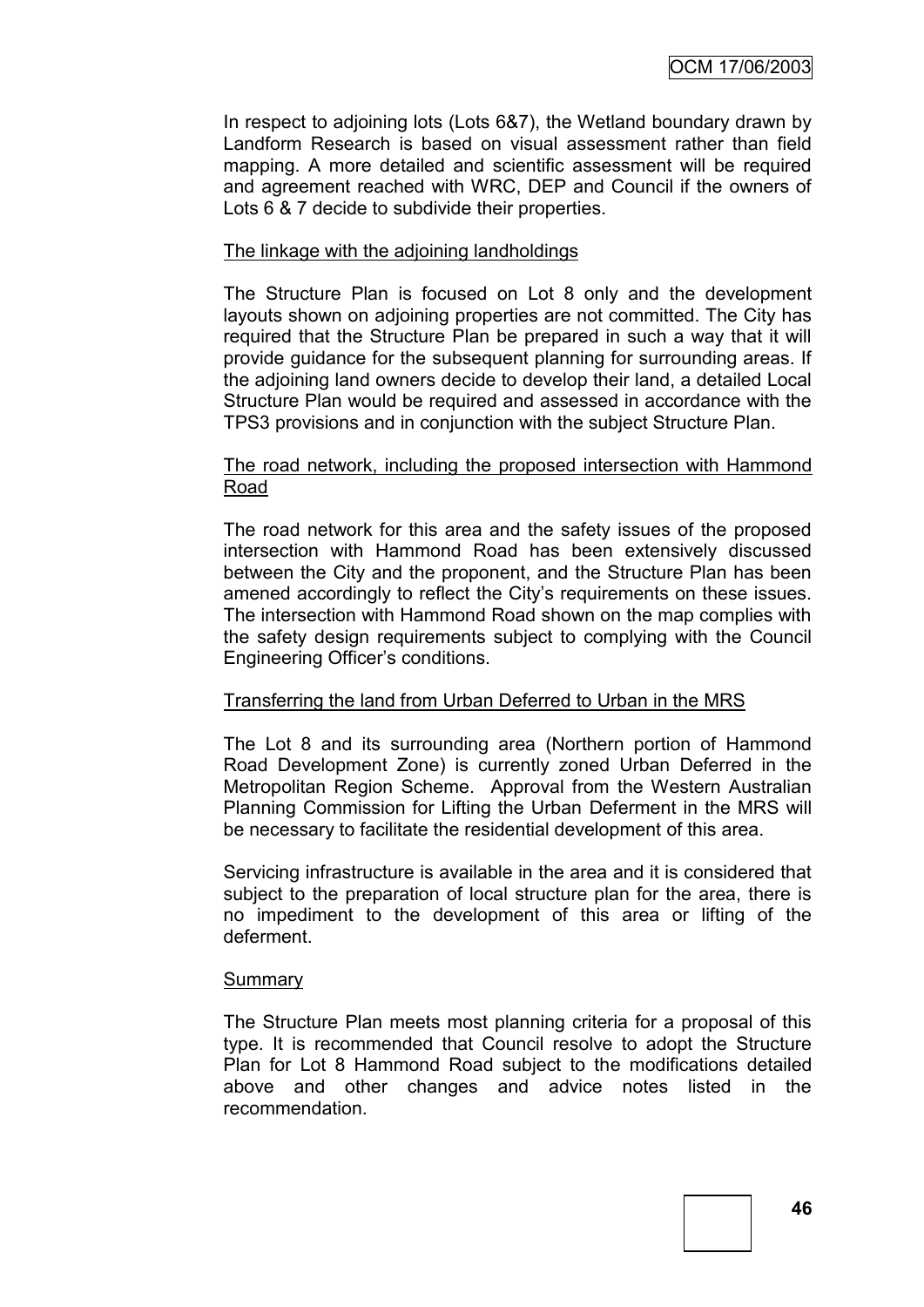In respect to adjoining lots (Lots 6&7), the Wetland boundary drawn by Landform Research is based on visual assessment rather than field mapping. A more detailed and scientific assessment will be required and agreement reached with WRC, DEP and Council if the owners of Lots 6 & 7 decide to subdivide their properties.

### The linkage with the adjoining landholdings

The Structure Plan is focused on Lot 8 only and the development layouts shown on adjoining properties are not committed. The City has required that the Structure Plan be prepared in such a way that it will provide guidance for the subsequent planning for surrounding areas. If the adjoining land owners decide to develop their land, a detailed Local Structure Plan would be required and assessed in accordance with the TPS3 provisions and in conjunction with the subject Structure Plan.

#### The road network, including the proposed intersection with Hammond Road

The road network for this area and the safety issues of the proposed intersection with Hammond Road has been extensively discussed between the City and the proponent, and the Structure Plan has been amened accordingly to reflect the City"s requirements on these issues. The intersection with Hammond Road shown on the map complies with the safety design requirements subject to complying with the Council Engineering Officer"s conditions.

### Transferring the land from Urban Deferred to Urban in the MRS

The Lot 8 and its surrounding area (Northern portion of Hammond Road Development Zone) is currently zoned Urban Deferred in the Metropolitan Region Scheme. Approval from the Western Australian Planning Commission for Lifting the Urban Deferment in the MRS will be necessary to facilitate the residential development of this area.

Servicing infrastructure is available in the area and it is considered that subject to the preparation of local structure plan for the area, there is no impediment to the development of this area or lifting of the deferment.

#### **Summary**

The Structure Plan meets most planning criteria for a proposal of this type. It is recommended that Council resolve to adopt the Structure Plan for Lot 8 Hammond Road subject to the modifications detailed above and other changes and advice notes listed in the recommendation.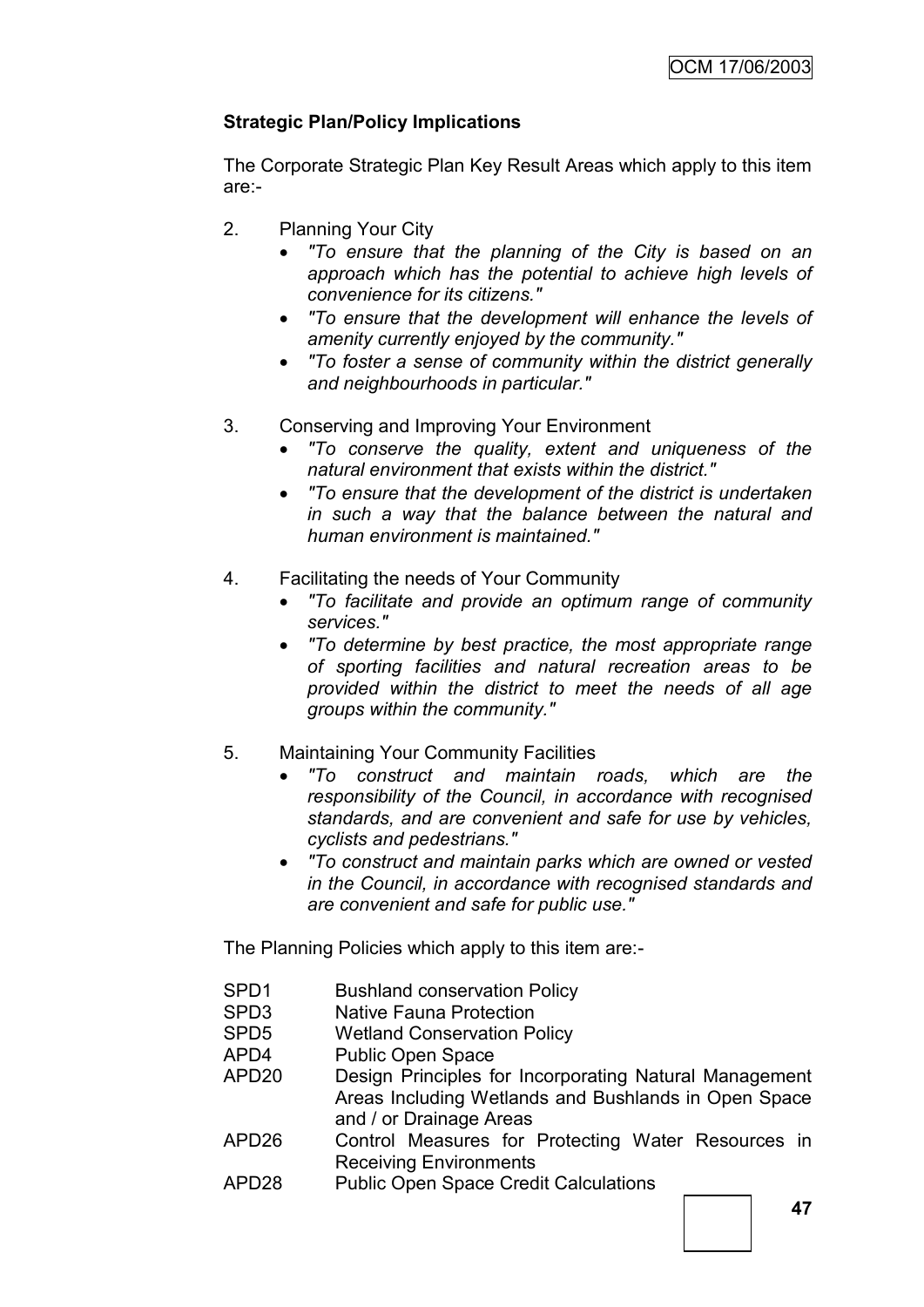### **Strategic Plan/Policy Implications**

The Corporate Strategic Plan Key Result Areas which apply to this item are:-

- 2. Planning Your City
	- *"To ensure that the planning of the City is based on an approach which has the potential to achieve high levels of convenience for its citizens."*
	- *"To ensure that the development will enhance the levels of amenity currently enjoyed by the community."*
	- *"To foster a sense of community within the district generally and neighbourhoods in particular."*
- 3. Conserving and Improving Your Environment
	- *"To conserve the quality, extent and uniqueness of the natural environment that exists within the district."*
	- *"To ensure that the development of the district is undertaken in such a way that the balance between the natural and human environment is maintained."*
- 4. Facilitating the needs of Your Community
	- *"To facilitate and provide an optimum range of community services."*
	- *"To determine by best practice, the most appropriate range of sporting facilities and natural recreation areas to be provided within the district to meet the needs of all age groups within the community."*
- 5. Maintaining Your Community Facilities
	- *"To construct and maintain roads, which are the responsibility of the Council, in accordance with recognised standards, and are convenient and safe for use by vehicles, cyclists and pedestrians."*
	- *"To construct and maintain parks which are owned or vested in the Council, in accordance with recognised standards and are convenient and safe for public use."*

The Planning Policies which apply to this item are:-

- SPD1 Bushland conservation Policy
- SPD3 Native Fauna Protection
- SPD5 Wetland Conservation Policy
- APD4 Public Open Space
- APD20 Design Principles for Incorporating Natural Management Areas Including Wetlands and Bushlands in Open Space and / or Drainage Areas
- APD26 Control Measures for Protecting Water Resources in Receiving Environments
- APD28 Public Open Space Credit Calculations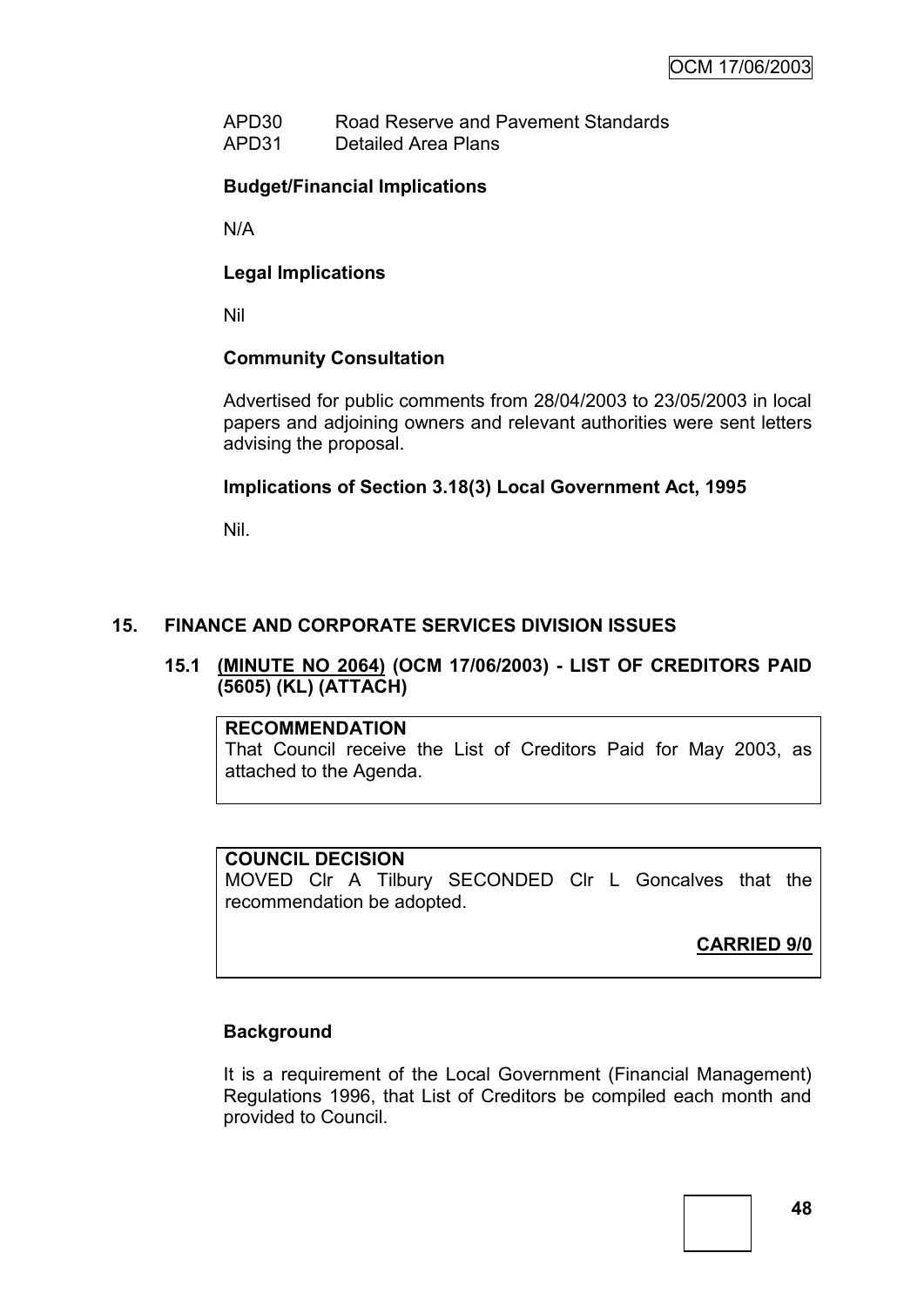APD30 Road Reserve and Pavement Standards APD31 Detailed Area Plans

### **Budget/Financial Implications**

N/A

### **Legal Implications**

Nil

### **Community Consultation**

Advertised for public comments from 28/04/2003 to 23/05/2003 in local papers and adjoining owners and relevant authorities were sent letters advising the proposal.

### **Implications of Section 3.18(3) Local Government Act, 1995**

Nil.

### **15. FINANCE AND CORPORATE SERVICES DIVISION ISSUES**

### **15.1 (MINUTE NO 2064) (OCM 17/06/2003) - LIST OF CREDITORS PAID (5605) (KL) (ATTACH)**

### **RECOMMENDATION**

That Council receive the List of Creditors Paid for May 2003, as attached to the Agenda.

### **COUNCIL DECISION**

MOVED Clr A Tilbury SECONDED Clr L Goncalves that the recommendation be adopted.

**CARRIED 9/0**

### **Background**

It is a requirement of the Local Government (Financial Management) Regulations 1996, that List of Creditors be compiled each month and provided to Council.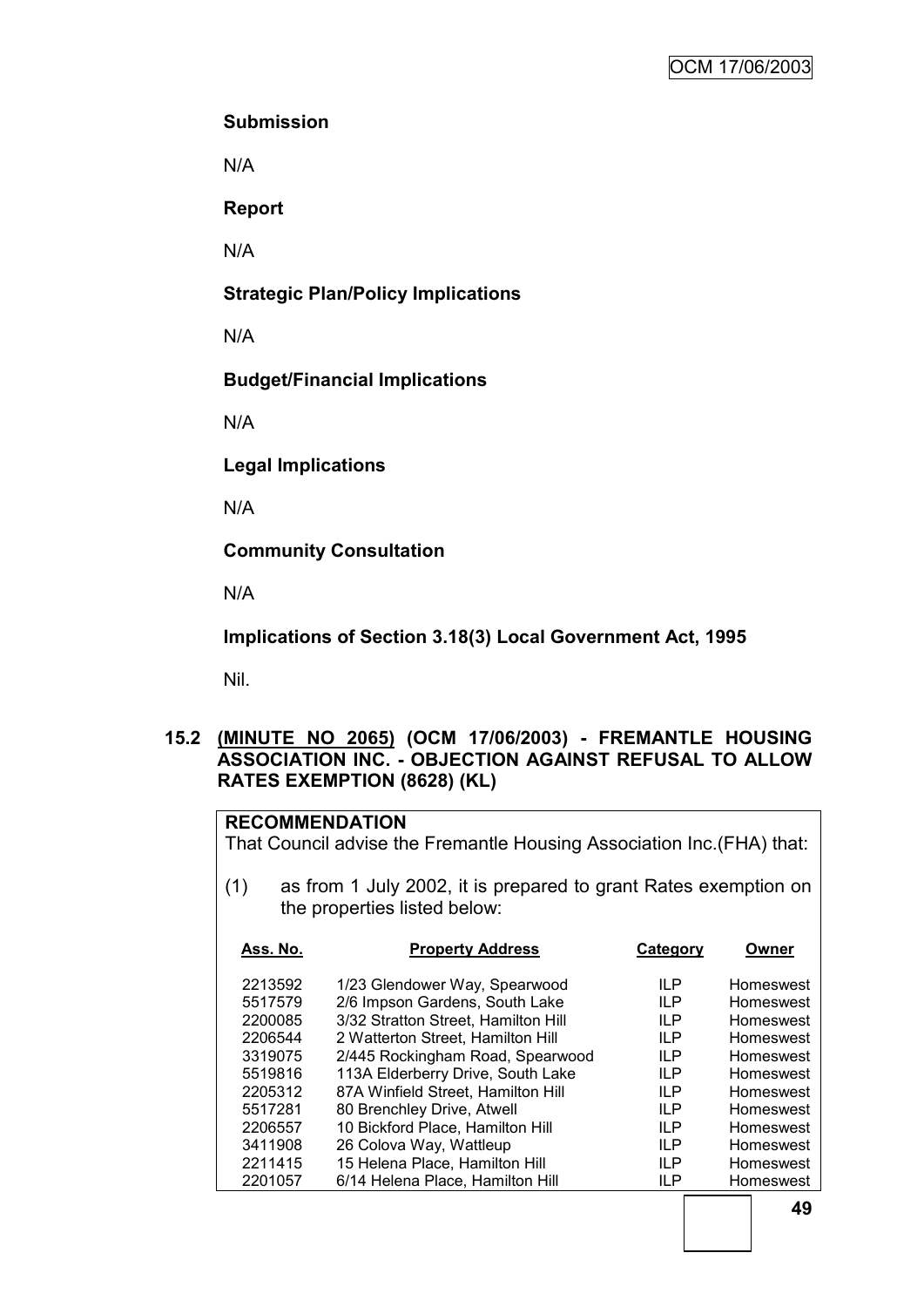### **Submission**

N/A

**Report**

N/A

**Strategic Plan/Policy Implications**

N/A

**Budget/Financial Implications**

N/A

**Legal Implications**

N/A

**Community Consultation**

N/A

**Implications of Section 3.18(3) Local Government Act, 1995**

Nil.

### **15.2 (MINUTE NO 2065) (OCM 17/06/2003) - FREMANTLE HOUSING ASSOCIATION INC. - OBJECTION AGAINST REFUSAL TO ALLOW RATES EXEMPTION (8628) (KL)**

### **RECOMMENDATION**

That Council advise the Fremantle Housing Association Inc.(FHA) that:

(1) as from 1 July 2002, it is prepared to grant Rates exemption on the properties listed below:

| Ass. No. | <b>Property Address</b>             | Category   | Owner     |
|----------|-------------------------------------|------------|-----------|
| 2213592  | 1/23 Glendower Way, Spearwood       | <b>ILP</b> | Homeswest |
| 5517579  | 2/6 Impson Gardens, South Lake      | <b>ILP</b> | Homeswest |
| 2200085  | 3/32 Stratton Street, Hamilton Hill | <b>ILP</b> | Homeswest |
| 2206544  | 2 Watterton Street, Hamilton Hill   | IL P       | Homeswest |
| 3319075  | 2/445 Rockingham Road, Spearwood    | <b>ILP</b> | Homeswest |
| 5519816  | 113A Elderberry Drive, South Lake   | <b>ILP</b> | Homeswest |
| 2205312  | 87A Winfield Street, Hamilton Hill  | IL P       | Homeswest |
| 5517281  | 80 Brenchley Drive, Atwell          | IL P       | Homeswest |
| 2206557  | 10 Bickford Place, Hamilton Hill    | <b>ILP</b> | Homeswest |
| 3411908  | 26 Colova Way, Wattleup             | IL P       | Homeswest |
| 2211415  | 15 Helena Place, Hamilton Hill      | IL P       | Homeswest |
| 2201057  | 6/14 Helena Place, Hamilton Hill    | ILP        | Homeswest |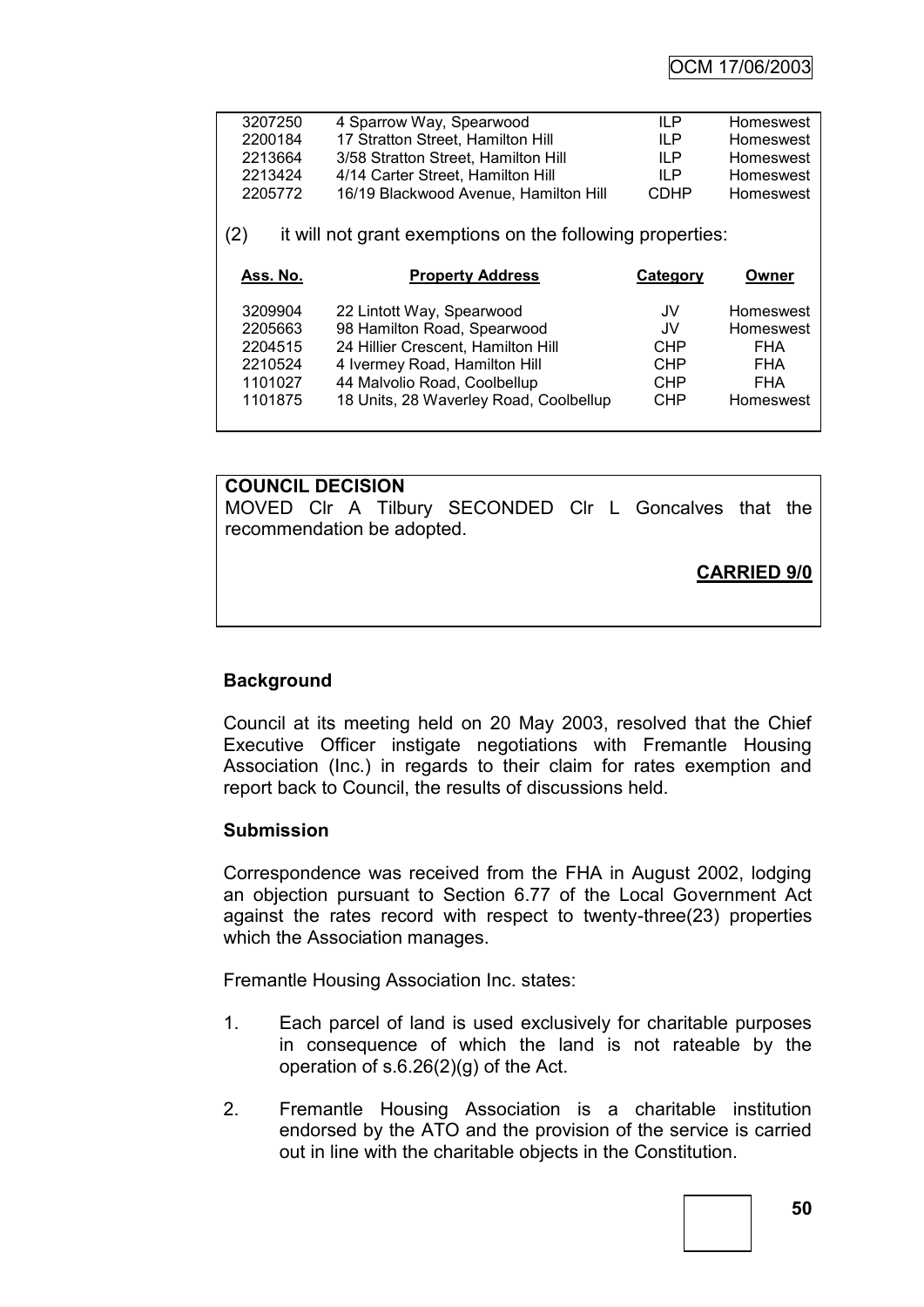| 3207250 | 4 Sparrow Way, Spearwood              | II P        | Homeswest |
|---------|---------------------------------------|-------------|-----------|
| 2200184 | 17 Stratton Street, Hamilton Hill     | II P        | Homeswest |
| 2213664 | 3/58 Stratton Street, Hamilton Hill   | II P        | Homeswest |
| 2213424 | 4/14 Carter Street, Hamilton Hill     | II P        | Homeswest |
| 2205772 | 16/19 Blackwood Avenue, Hamilton Hill | <b>CDHP</b> | Homeswest |
|         |                                       |             |           |

(2) it will not grant exemptions on the following properties:

| Ass. No. | <b>Property Address</b>                | Category   | Owner      |
|----------|----------------------------------------|------------|------------|
| 3209904  | 22 Lintott Way, Spearwood              | JV.        | Homeswest  |
| 2205663  | 98 Hamilton Road, Spearwood            | JV.        | Homeswest  |
| 2204515  | 24 Hillier Crescent, Hamilton Hill     | <b>CHP</b> | <b>FHA</b> |
| 2210524  | 4 Ivermey Road, Hamilton Hill          | <b>CHP</b> | <b>FHA</b> |
| 1101027  | 44 Malvolio Road, Coolbellup           | <b>CHP</b> | FHA        |
| 1101875  | 18 Units, 28 Waverley Road, Coolbellup | <b>CHP</b> | Homeswest  |

### **COUNCIL DECISION**

MOVED Clr A Tilbury SECONDED Clr L Goncalves that the recommendation be adopted.

**CARRIED 9/0**

### **Background**

Council at its meeting held on 20 May 2003, resolved that the Chief Executive Officer instigate negotiations with Fremantle Housing Association (Inc.) in regards to their claim for rates exemption and report back to Council, the results of discussions held.

### **Submission**

Correspondence was received from the FHA in August 2002, lodging an objection pursuant to Section 6.77 of the Local Government Act against the rates record with respect to twenty-three(23) properties which the Association manages.

Fremantle Housing Association Inc. states:

- 1. Each parcel of land is used exclusively for charitable purposes in consequence of which the land is not rateable by the operation of s.6.26(2)(g) of the Act.
- 2. Fremantle Housing Association is a charitable institution endorsed by the ATO and the provision of the service is carried out in line with the charitable objects in the Constitution.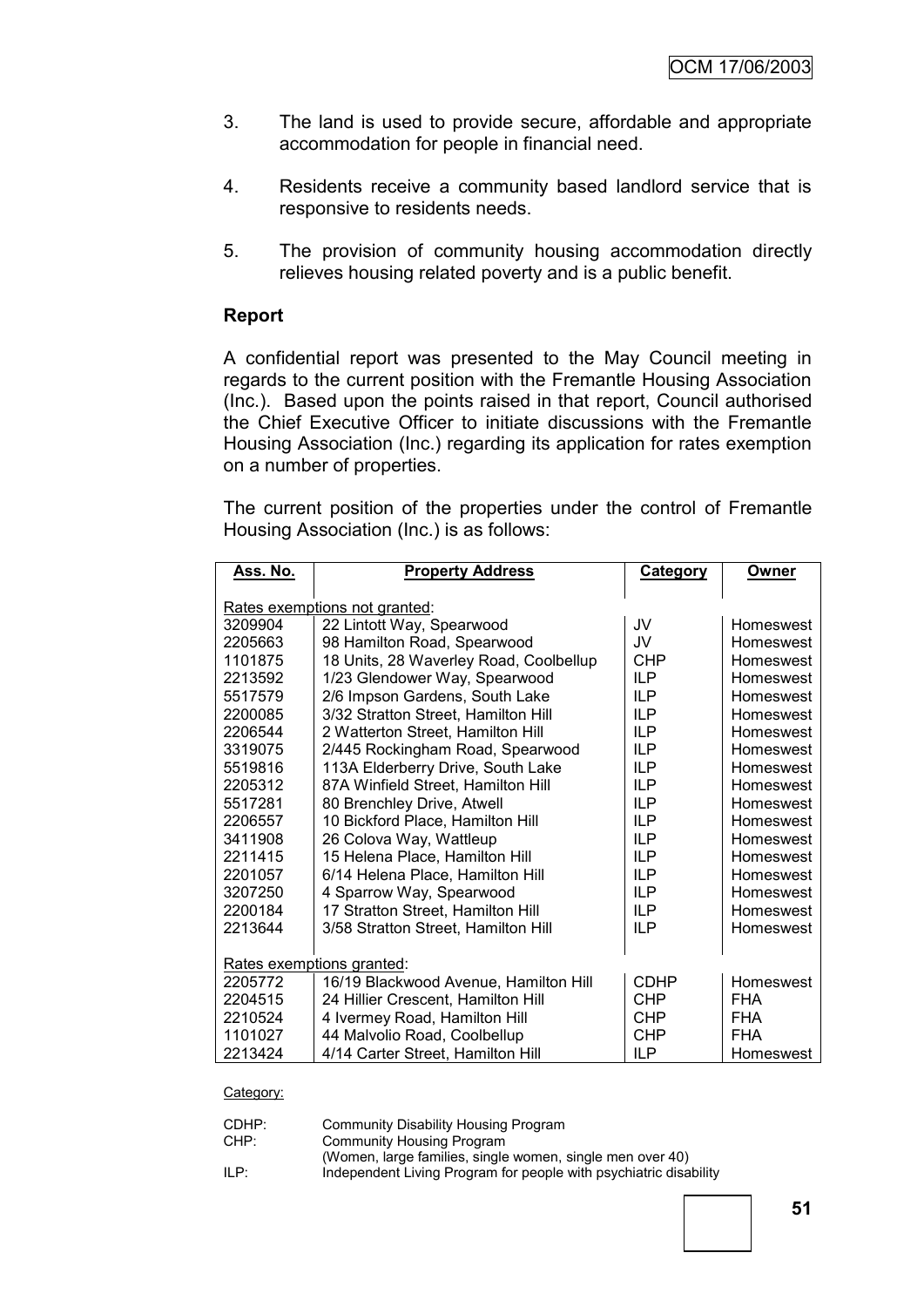- 3. The land is used to provide secure, affordable and appropriate accommodation for people in financial need.
- 4. Residents receive a community based landlord service that is responsive to residents needs.
- 5. The provision of community housing accommodation directly relieves housing related poverty and is a public benefit.

### **Report**

A confidential report was presented to the May Council meeting in regards to the current position with the Fremantle Housing Association (Inc.). Based upon the points raised in that report, Council authorised the Chief Executive Officer to initiate discussions with the Fremantle Housing Association (Inc.) regarding its application for rates exemption on a number of properties.

The current position of the properties under the control of Fremantle Housing Association (Inc.) is as follows:

| Ass. No. | <b>Property Address</b>                | <b>Category</b> | Owner      |  |
|----------|----------------------------------------|-----------------|------------|--|
|          |                                        |                 |            |  |
|          | Rates exemptions not granted:          |                 |            |  |
| 3209904  | 22 Lintott Way, Spearwood              | JV              | Homeswest  |  |
| 2205663  | 98 Hamilton Road, Spearwood            | JV.             | Homeswest  |  |
| 1101875  | 18 Units, 28 Waverley Road, Coolbellup | <b>CHP</b>      | Homeswest  |  |
| 2213592  | 1/23 Glendower Way, Spearwood          | IL P            | Homeswest  |  |
| 5517579  | 2/6 Impson Gardens, South Lake         | IL P            | Homeswest  |  |
| 2200085  | 3/32 Stratton Street, Hamilton Hill    | IL P            | Homeswest  |  |
| 2206544  | 2 Watterton Street, Hamilton Hill      | IL P            | Homeswest  |  |
| 3319075  | 2/445 Rockingham Road, Spearwood       | IL P            | Homeswest  |  |
| 5519816  | 113A Elderberry Drive, South Lake      | IL P            | Homeswest  |  |
| 2205312  | 87A Winfield Street, Hamilton Hill     | IL P            | Homeswest  |  |
| 5517281  | 80 Brenchley Drive, Atwell             | <b>ILP</b>      | Homeswest  |  |
| 2206557  | 10 Bickford Place, Hamilton Hill       | IL P            | Homeswest  |  |
| 3411908  | 26 Colova Way, Wattleup                | IL P            | Homeswest  |  |
| 2211415  | 15 Helena Place, Hamilton Hill         | <b>ILP</b>      | Homeswest  |  |
| 2201057  | 6/14 Helena Place, Hamilton Hill       | IL P            | Homeswest  |  |
| 3207250  | 4 Sparrow Way, Spearwood               | IL P            | Homeswest  |  |
| 2200184  | 17 Stratton Street, Hamilton Hill      | IL P            | Homeswest  |  |
| 2213644  | 3/58 Stratton Street, Hamilton Hill    | IL <sub>P</sub> | Homeswest  |  |
|          |                                        |                 |            |  |
|          | Rates exemptions granted:              |                 |            |  |
| 2205772  | 16/19 Blackwood Avenue, Hamilton Hill  | <b>CDHP</b>     | Homeswest  |  |
| 2204515  | 24 Hillier Crescent, Hamilton Hill     | <b>CHP</b>      | <b>FHA</b> |  |
| 2210524  | 4 Ivermey Road, Hamilton Hill          | <b>CHP</b>      | <b>FHA</b> |  |
| 1101027  | 44 Malvolio Road, Coolbellup           | <b>CHP</b>      | <b>FHA</b> |  |
| 2213424  | 4/14 Carter Street, Hamilton Hill      | IL P            | Homeswest  |  |
|          |                                        |                 |            |  |

Category:

| CDHP: | Community Disability Housing Program                              |
|-------|-------------------------------------------------------------------|
| CHP:  | Community Housing Program                                         |
|       | (Women, large families, single women, single men over 40)         |
| ILP:  | Independent Living Program for people with psychiatric disability |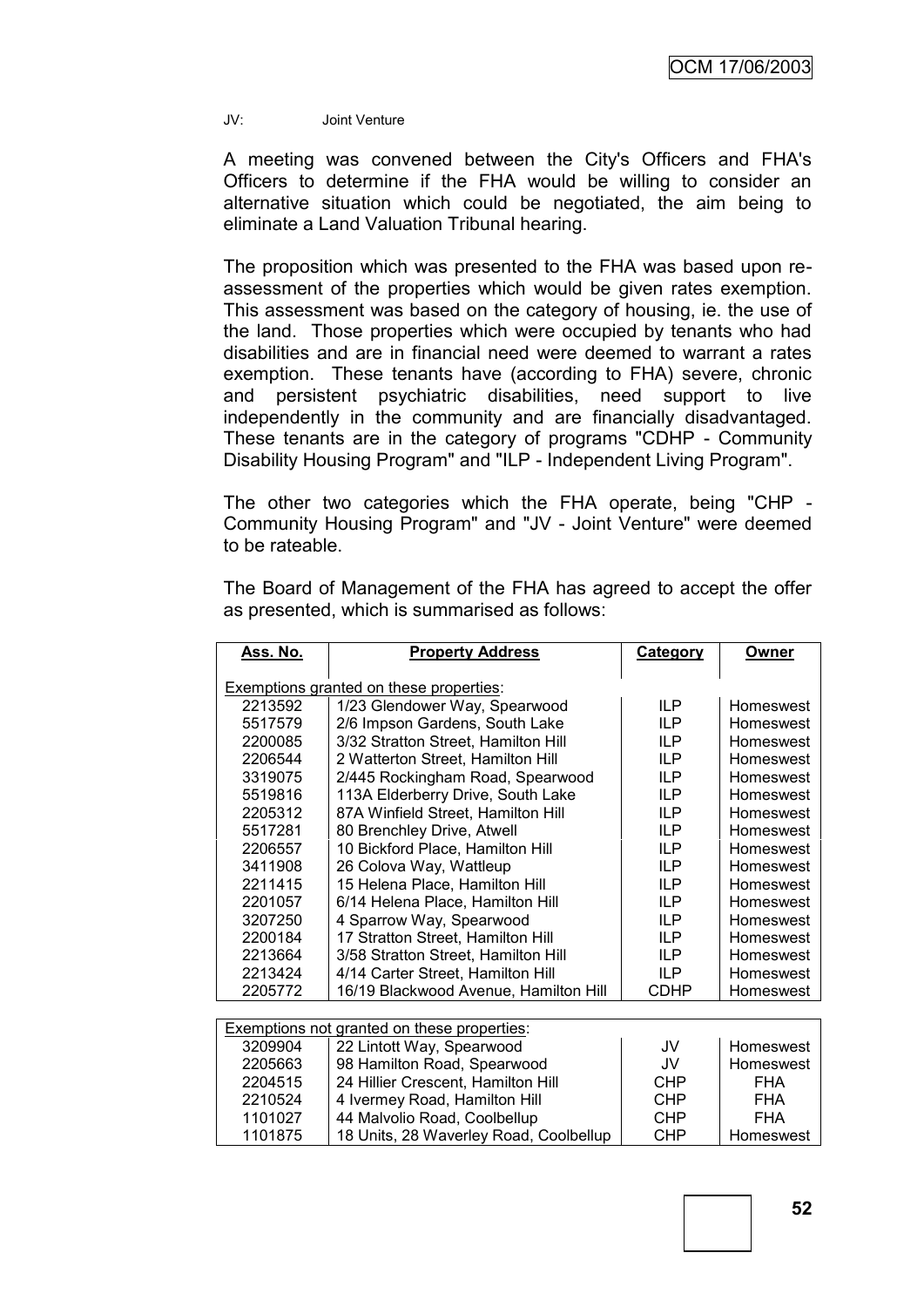JV: Joint Venture

A meeting was convened between the City's Officers and FHA's Officers to determine if the FHA would be willing to consider an alternative situation which could be negotiated, the aim being to eliminate a Land Valuation Tribunal hearing.

The proposition which was presented to the FHA was based upon reassessment of the properties which would be given rates exemption. This assessment was based on the category of housing, ie. the use of the land. Those properties which were occupied by tenants who had disabilities and are in financial need were deemed to warrant a rates exemption. These tenants have (according to FHA) severe, chronic and persistent psychiatric disabilities, need support to live independently in the community and are financially disadvantaged. These tenants are in the category of programs "CDHP - Community Disability Housing Program" and "ILP - Independent Living Program".

The other two categories which the FHA operate, being "CHP - Community Housing Program" and "JV - Joint Venture" were deemed to be rateable.

The Board of Management of the FHA has agreed to accept the offer as presented, which is summarised as follows:

| Ass. No.                                | <b>Property Address</b>                            | <b>Category</b> | Owner      |  |
|-----------------------------------------|----------------------------------------------------|-----------------|------------|--|
| Exemptions granted on these properties: |                                                    |                 |            |  |
| 2213592                                 | 1/23 Glendower Way, Spearwood                      | <b>ILP</b>      | Homeswest  |  |
| 5517579                                 | 2/6 Impson Gardens, South Lake                     | <b>ILP</b>      | Homeswest  |  |
| 2200085                                 | 3/32 Stratton Street, Hamilton Hill                | <b>ILP</b>      | Homeswest  |  |
| 2206544                                 | 2 Watterton Street, Hamilton Hill                  | <b>ILP</b>      | Homeswest  |  |
| 3319075                                 | 2/445 Rockingham Road, Spearwood                   | <b>ILP</b>      | Homeswest  |  |
| 5519816                                 | 113A Elderberry Drive, South Lake                  | <b>ILP</b>      | Homeswest  |  |
| 2205312                                 | 87A Winfield Street, Hamilton Hill                 | <b>ILP</b>      | Homeswest  |  |
| 5517281                                 | 80 Brenchley Drive, Atwell                         | <b>ILP</b>      | Homeswest  |  |
| 2206557                                 | 10 Bickford Place, Hamilton Hill                   | <b>ILP</b>      | Homeswest  |  |
| 3411908                                 | 26 Colova Way, Wattleup                            | <b>ILP</b>      | Homeswest  |  |
| 2211415                                 | 15 Helena Place, Hamilton Hill                     | <b>ILP</b>      | Homeswest  |  |
| 2201057                                 | 6/14 Helena Place, Hamilton Hill                   | ILP             | Homeswest  |  |
| 3207250                                 | 4 Sparrow Way, Spearwood                           | <b>ILP</b>      | Homeswest  |  |
| 2200184                                 | 17 Stratton Street, Hamilton Hill                  | ILP             | Homeswest  |  |
| 2213664                                 | 3/58 Stratton Street, Hamilton Hill                | <b>ILP</b>      | Homeswest  |  |
| 2213424                                 | 4/14 Carter Street, Hamilton Hill                  | <b>ILP</b>      | Homeswest  |  |
| 2205772                                 | 16/19 Blackwood Avenue, Hamilton Hill              | CDHP            | Homeswest  |  |
|                                         |                                                    |                 |            |  |
|                                         | <b>Exemptions not granted on these properties:</b> |                 |            |  |
| 3209904                                 | 22 Lintott Way, Spearwood                          | JV              | Homeswest  |  |
| 2205663                                 | 98 Hamilton Road, Spearwood                        | JV              | Homeswest  |  |
| 2204515                                 | 24 Hillier Crescent, Hamilton Hill                 | <b>CHP</b>      | <b>FHA</b> |  |
| 2210524                                 | 4 Ivermey Road, Hamilton Hill                      | <b>CHP</b>      | <b>FHA</b> |  |
| 1101027                                 | 44 Malvolio Road, Coolbellup                       | <b>CHP</b>      | <b>FHA</b> |  |
| 1101875                                 | 18 Units, 28 Waverley Road, Coolbellup             | CHP             | Homeswest  |  |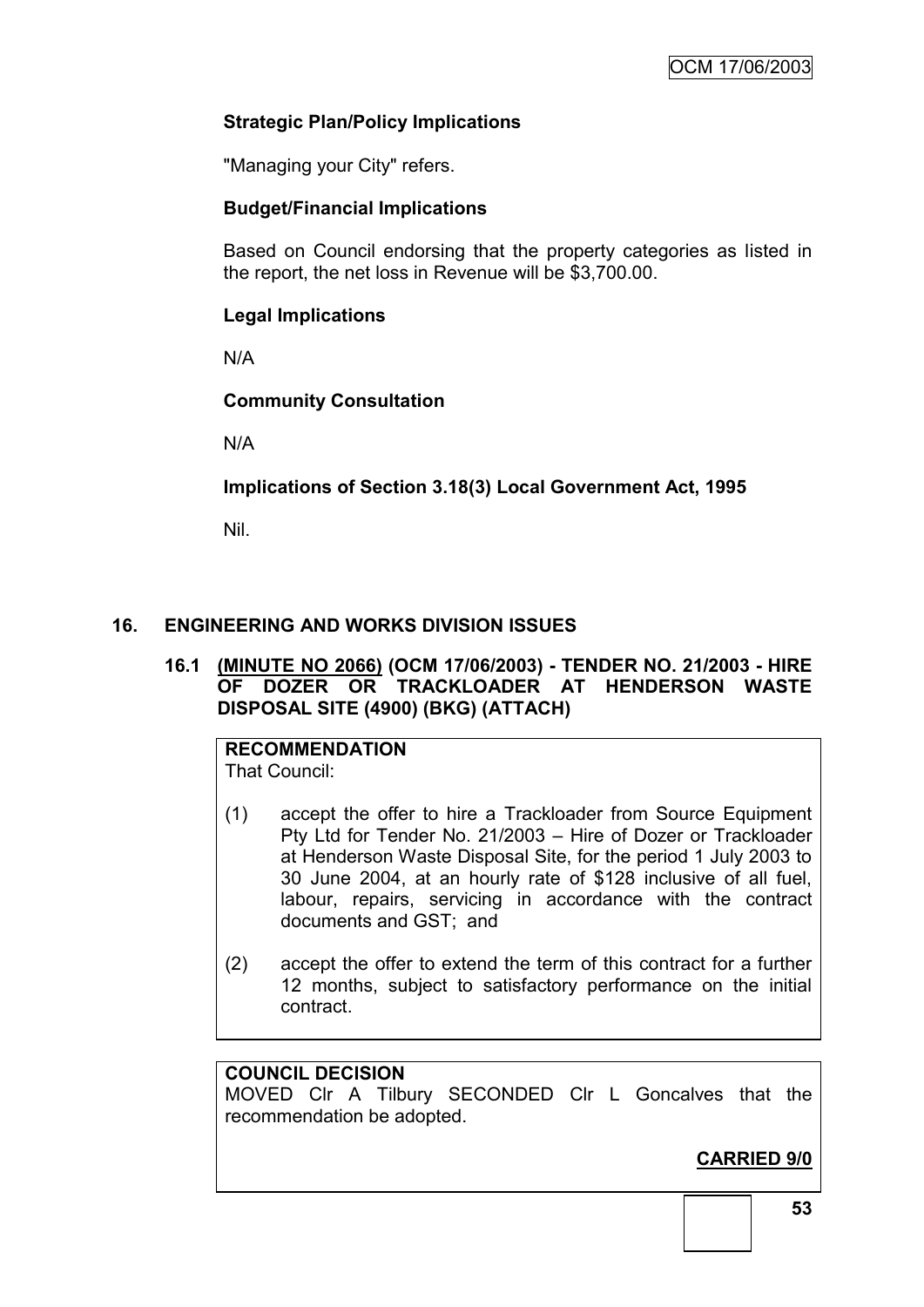### **Strategic Plan/Policy Implications**

"Managing your City" refers.

### **Budget/Financial Implications**

Based on Council endorsing that the property categories as listed in the report, the net loss in Revenue will be \$3,700.00.

### **Legal Implications**

N/A

### **Community Consultation**

N/A

**Implications of Section 3.18(3) Local Government Act, 1995**

Nil.

### **16. ENGINEERING AND WORKS DIVISION ISSUES**

### **16.1 (MINUTE NO 2066) (OCM 17/06/2003) - TENDER NO. 21/2003 - HIRE OF DOZER OR TRACKLOADER AT HENDERSON WASTE DISPOSAL SITE (4900) (BKG) (ATTACH)**

#### **RECOMMENDATION** That Council:

- (1) accept the offer to hire a Trackloader from Source Equipment Pty Ltd for Tender No. 21/2003 – Hire of Dozer or Trackloader at Henderson Waste Disposal Site, for the period 1 July 2003 to 30 June 2004, at an hourly rate of \$128 inclusive of all fuel, labour, repairs, servicing in accordance with the contract documents and GST; and
- (2) accept the offer to extend the term of this contract for a further 12 months, subject to satisfactory performance on the initial contract.

### **COUNCIL DECISION**

MOVED Clr A Tilbury SECONDED Clr L Goncalves that the recommendation be adopted.

**CARRIED 9/0**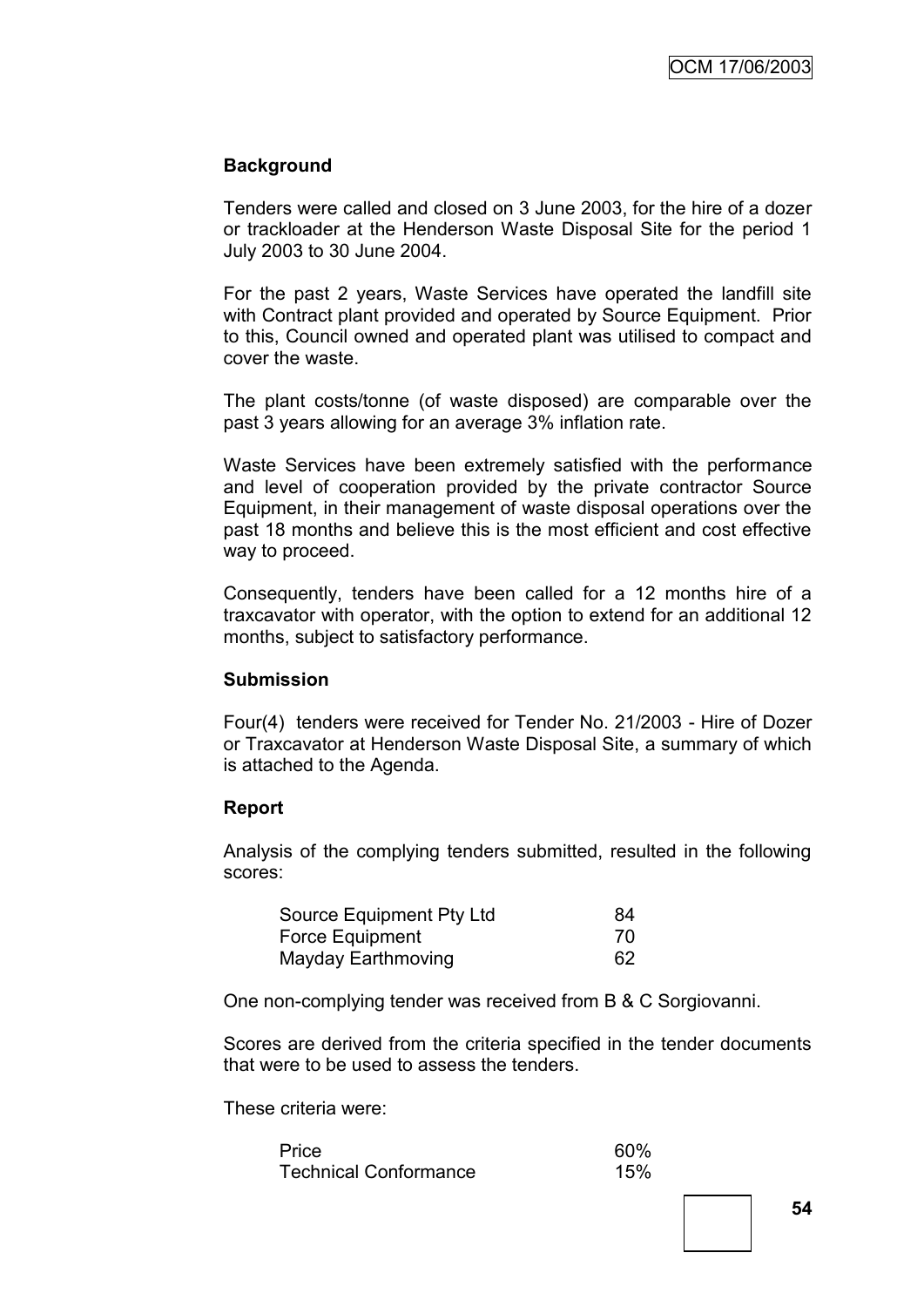### **Background**

Tenders were called and closed on 3 June 2003, for the hire of a dozer or trackloader at the Henderson Waste Disposal Site for the period 1 July 2003 to 30 June 2004.

For the past 2 years, Waste Services have operated the landfill site with Contract plant provided and operated by Source Equipment. Prior to this, Council owned and operated plant was utilised to compact and cover the waste.

The plant costs/tonne (of waste disposed) are comparable over the past 3 years allowing for an average 3% inflation rate.

Waste Services have been extremely satisfied with the performance and level of cooperation provided by the private contractor Source Equipment, in their management of waste disposal operations over the past 18 months and believe this is the most efficient and cost effective way to proceed.

Consequently, tenders have been called for a 12 months hire of a traxcavator with operator, with the option to extend for an additional 12 months, subject to satisfactory performance.

### **Submission**

Four(4) tenders were received for Tender No. 21/2003 - Hire of Dozer or Traxcavator at Henderson Waste Disposal Site, a summary of which is attached to the Agenda.

### **Report**

Analysis of the complying tenders submitted, resulted in the following scores:

| Source Equipment Pty Ltd | 84 |
|--------------------------|----|
| Force Equipment          | 70 |
| Mayday Earthmoving       | 62 |

One non-complying tender was received from B & C Sorgiovanni.

Scores are derived from the criteria specified in the tender documents that were to be used to assess the tenders.

These criteria were:

| Price                        | 60% |
|------------------------------|-----|
| <b>Technical Conformance</b> | 15% |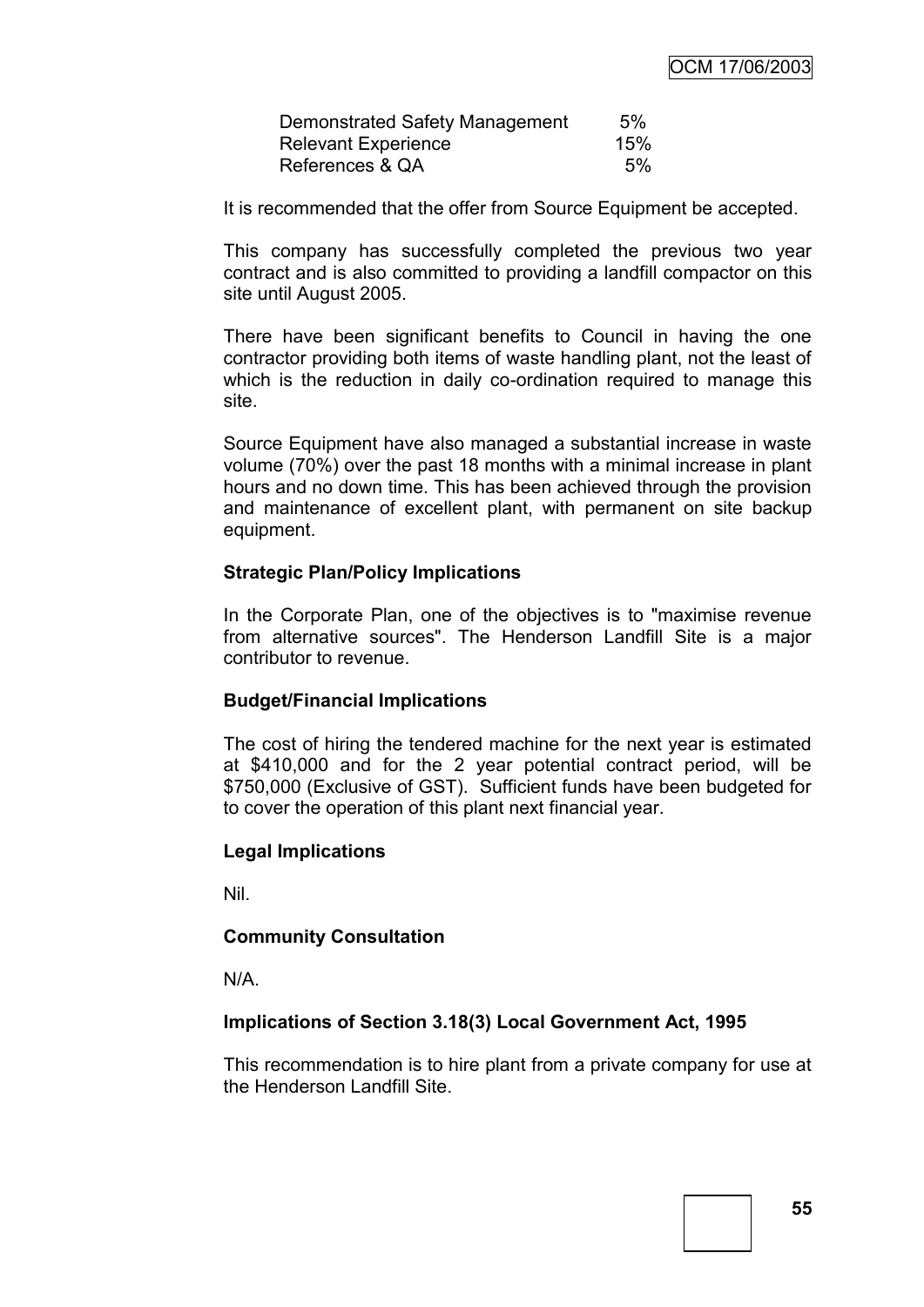| Demonstrated Safety Management | 5%  |
|--------------------------------|-----|
| <b>Relevant Experience</b>     | 15% |
| References & QA                | .5% |

It is recommended that the offer from Source Equipment be accepted.

This company has successfully completed the previous two year contract and is also committed to providing a landfill compactor on this site until August 2005.

There have been significant benefits to Council in having the one contractor providing both items of waste handling plant, not the least of which is the reduction in daily co-ordination required to manage this site.

Source Equipment have also managed a substantial increase in waste volume (70%) over the past 18 months with a minimal increase in plant hours and no down time. This has been achieved through the provision and maintenance of excellent plant, with permanent on site backup equipment.

#### **Strategic Plan/Policy Implications**

In the Corporate Plan, one of the objectives is to "maximise revenue from alternative sources". The Henderson Landfill Site is a major contributor to revenue.

### **Budget/Financial Implications**

The cost of hiring the tendered machine for the next year is estimated at \$410,000 and for the 2 year potential contract period, will be \$750,000 (Exclusive of GST). Sufficient funds have been budgeted for to cover the operation of this plant next financial year.

#### **Legal Implications**

Nil.

#### **Community Consultation**

N/A.

### **Implications of Section 3.18(3) Local Government Act, 1995**

This recommendation is to hire plant from a private company for use at the Henderson Landfill Site.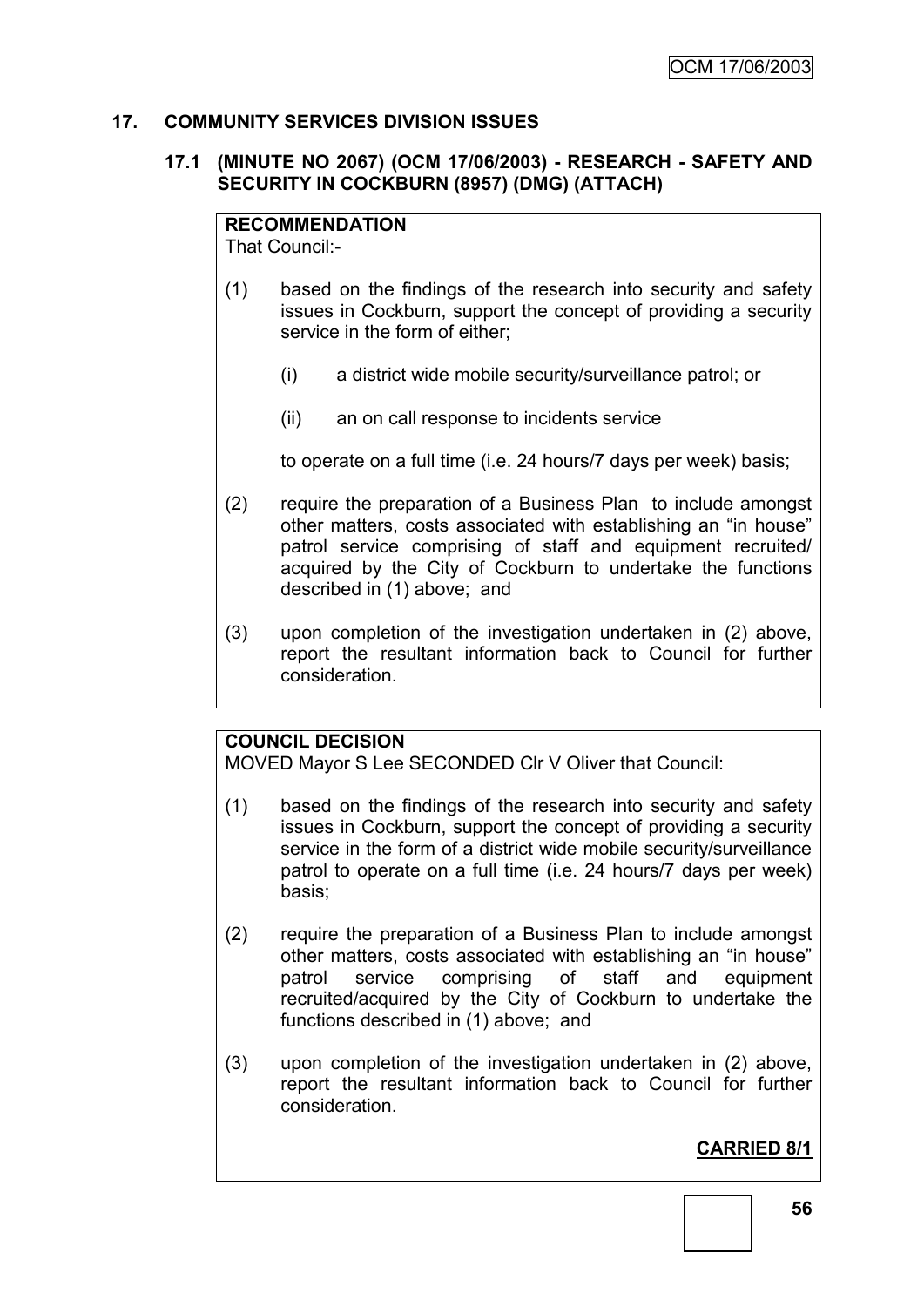### **17. COMMUNITY SERVICES DIVISION ISSUES**

### **17.1 (MINUTE NO 2067) (OCM 17/06/2003) - RESEARCH - SAFETY AND SECURITY IN COCKBURN (8957) (DMG) (ATTACH)**

### **RECOMMENDATION**

That Council:-

- (1) based on the findings of the research into security and safety issues in Cockburn, support the concept of providing a security service in the form of either;
	- (i) a district wide mobile security/surveillance patrol; or
	- (ii) an on call response to incidents service

to operate on a full time (i.e. 24 hours/7 days per week) basis;

- (2) require the preparation of a Business Plan to include amongst other matters, costs associated with establishing an "in house" patrol service comprising of staff and equipment recruited/ acquired by the City of Cockburn to undertake the functions described in (1) above; and
- (3) upon completion of the investigation undertaken in (2) above, report the resultant information back to Council for further consideration.

### **COUNCIL DECISION**

MOVED Mayor S Lee SECONDED Clr V Oliver that Council:

- (1) based on the findings of the research into security and safety issues in Cockburn, support the concept of providing a security service in the form of a district wide mobile security/surveillance patrol to operate on a full time (i.e. 24 hours/7 days per week) basis;
- (2) require the preparation of a Business Plan to include amongst other matters, costs associated with establishing an "in house" patrol service comprising of staff and equipment recruited/acquired by the City of Cockburn to undertake the functions described in (1) above; and
- (3) upon completion of the investigation undertaken in (2) above, report the resultant information back to Council for further consideration.

### **CARRIED 8/1**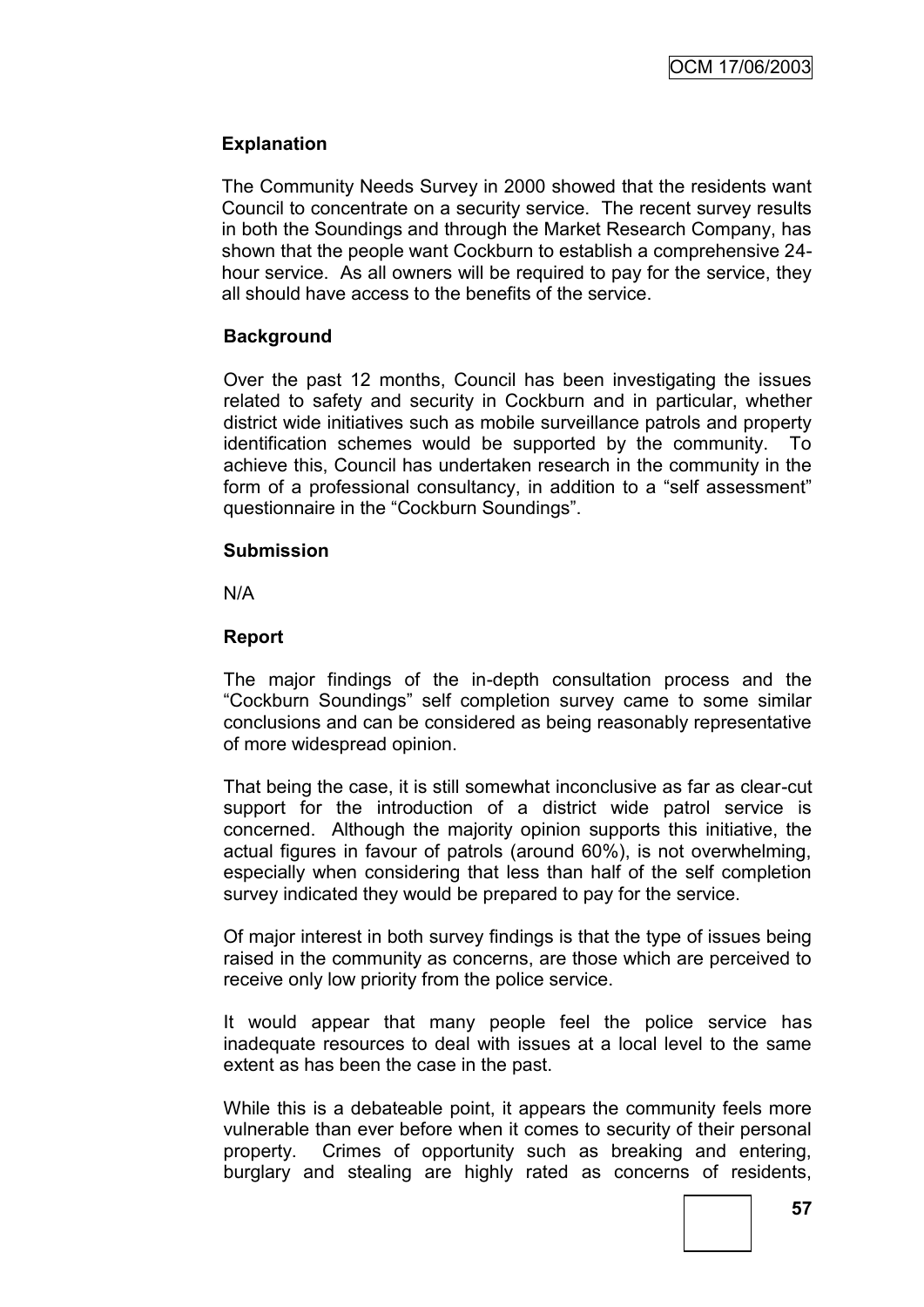### **Explanation**

The Community Needs Survey in 2000 showed that the residents want Council to concentrate on a security service. The recent survey results in both the Soundings and through the Market Research Company, has shown that the people want Cockburn to establish a comprehensive 24 hour service. As all owners will be required to pay for the service, they all should have access to the benefits of the service.

### **Background**

Over the past 12 months, Council has been investigating the issues related to safety and security in Cockburn and in particular, whether district wide initiatives such as mobile surveillance patrols and property identification schemes would be supported by the community. To achieve this, Council has undertaken research in the community in the form of a professional consultancy, in addition to a "self assessment" questionnaire in the "Cockburn Soundings".

### **Submission**

N/A

### **Report**

The major findings of the in-depth consultation process and the "Cockburn Soundings" self completion survey came to some similar conclusions and can be considered as being reasonably representative of more widespread opinion.

That being the case, it is still somewhat inconclusive as far as clear-cut support for the introduction of a district wide patrol service is concerned. Although the majority opinion supports this initiative, the actual figures in favour of patrols (around 60%), is not overwhelming, especially when considering that less than half of the self completion survey indicated they would be prepared to pay for the service.

Of major interest in both survey findings is that the type of issues being raised in the community as concerns, are those which are perceived to receive only low priority from the police service.

It would appear that many people feel the police service has inadequate resources to deal with issues at a local level to the same extent as has been the case in the past.

While this is a debateable point, it appears the community feels more vulnerable than ever before when it comes to security of their personal property. Crimes of opportunity such as breaking and entering, burglary and stealing are highly rated as concerns of residents,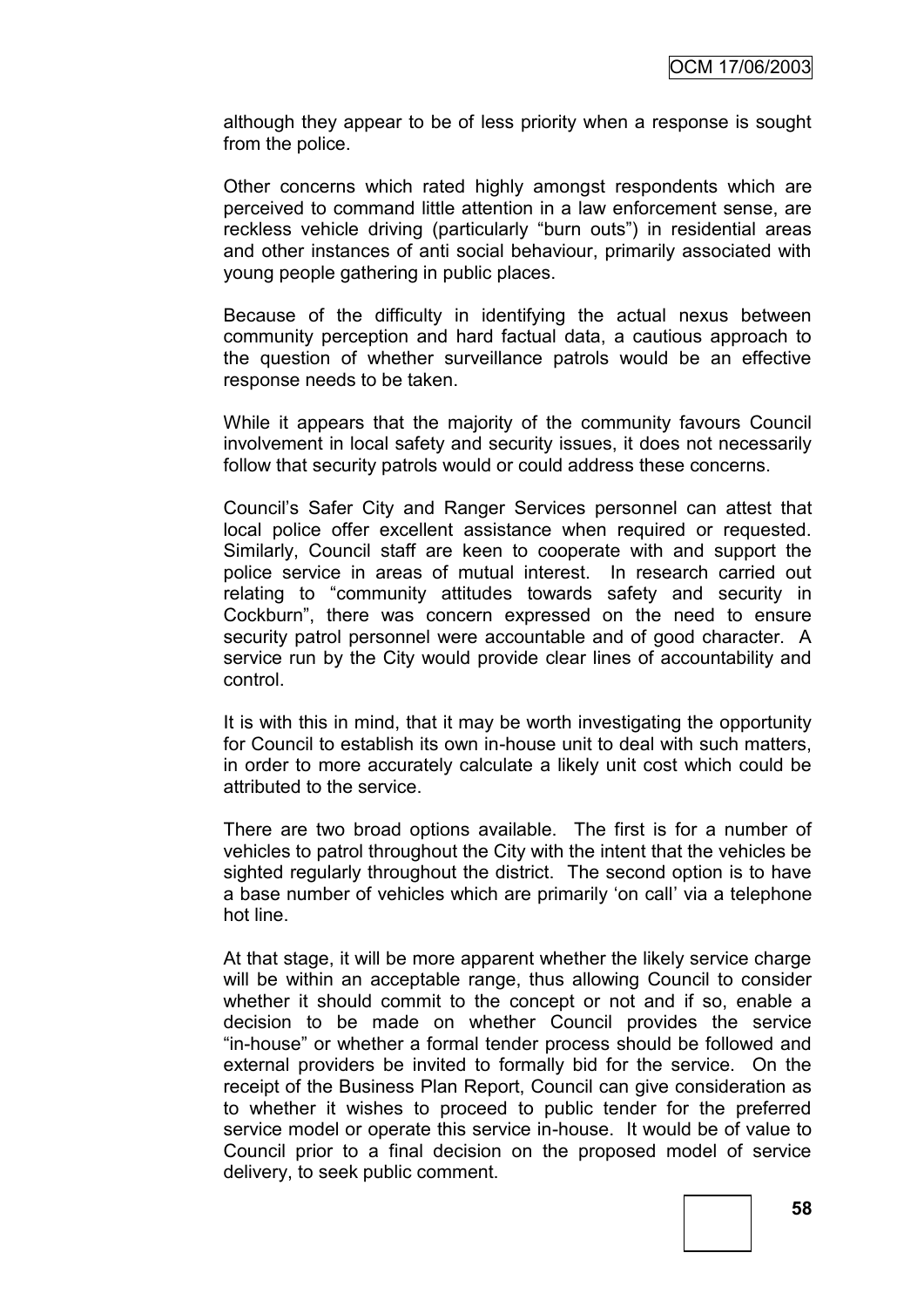although they appear to be of less priority when a response is sought from the police.

Other concerns which rated highly amongst respondents which are perceived to command little attention in a law enforcement sense, are reckless vehicle driving (particularly "burn outs") in residential areas and other instances of anti social behaviour, primarily associated with young people gathering in public places.

Because of the difficulty in identifying the actual nexus between community perception and hard factual data, a cautious approach to the question of whether surveillance patrols would be an effective response needs to be taken.

While it appears that the majority of the community favours Council involvement in local safety and security issues, it does not necessarily follow that security patrols would or could address these concerns.

Council"s Safer City and Ranger Services personnel can attest that local police offer excellent assistance when required or requested. Similarly, Council staff are keen to cooperate with and support the police service in areas of mutual interest. In research carried out relating to "community attitudes towards safety and security in Cockburn", there was concern expressed on the need to ensure security patrol personnel were accountable and of good character. A service run by the City would provide clear lines of accountability and control.

It is with this in mind, that it may be worth investigating the opportunity for Council to establish its own in-house unit to deal with such matters, in order to more accurately calculate a likely unit cost which could be attributed to the service.

There are two broad options available. The first is for a number of vehicles to patrol throughout the City with the intent that the vehicles be sighted regularly throughout the district. The second option is to have a base number of vehicles which are primarily "on call" via a telephone hot line.

At that stage, it will be more apparent whether the likely service charge will be within an acceptable range, thus allowing Council to consider whether it should commit to the concept or not and if so, enable a decision to be made on whether Council provides the service "in-house" or whether a formal tender process should be followed and external providers be invited to formally bid for the service. On the receipt of the Business Plan Report, Council can give consideration as to whether it wishes to proceed to public tender for the preferred service model or operate this service in-house. It would be of value to Council prior to a final decision on the proposed model of service delivery, to seek public comment.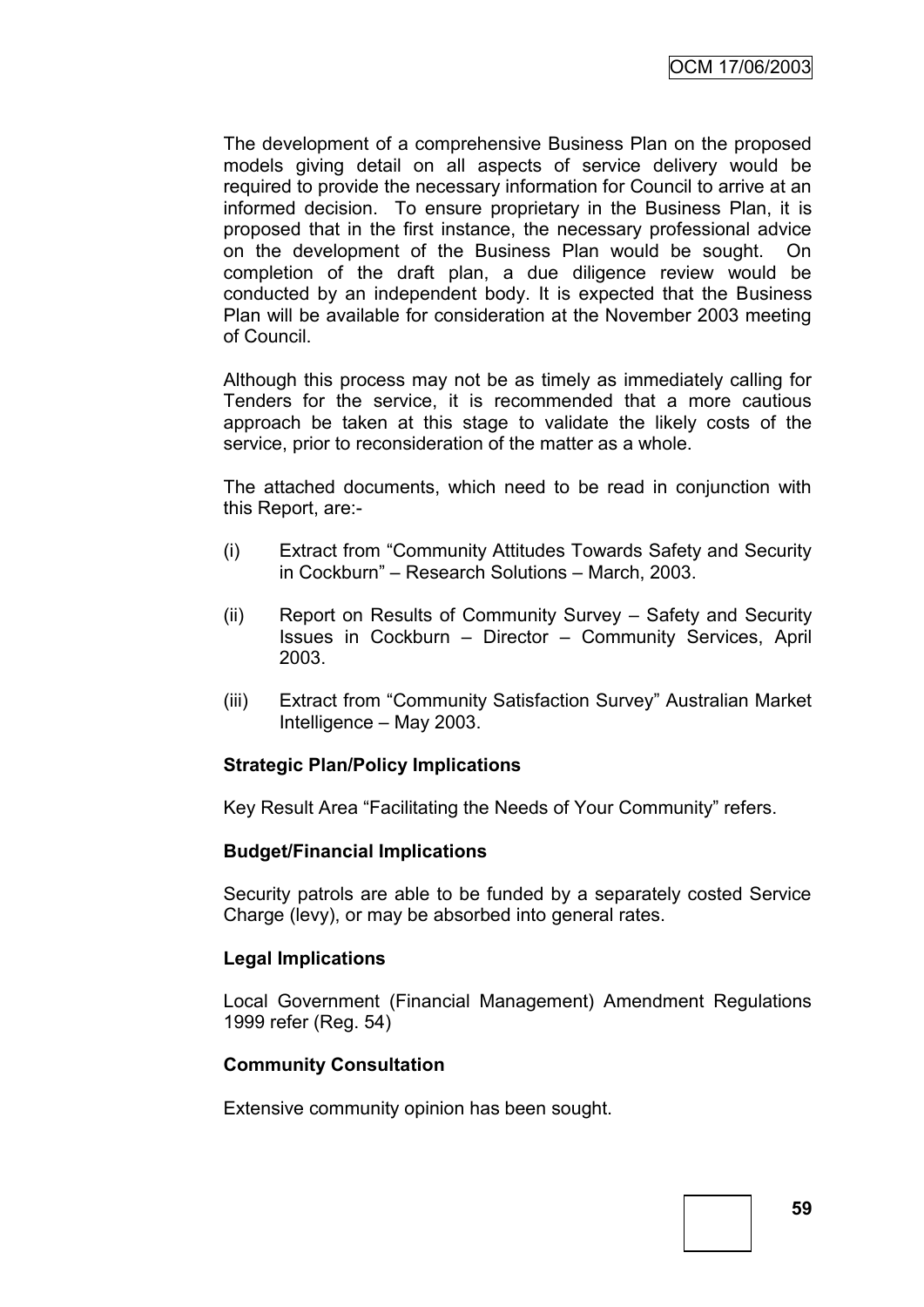The development of a comprehensive Business Plan on the proposed models giving detail on all aspects of service delivery would be required to provide the necessary information for Council to arrive at an informed decision. To ensure proprietary in the Business Plan, it is proposed that in the first instance, the necessary professional advice on the development of the Business Plan would be sought. On completion of the draft plan, a due diligence review would be conducted by an independent body. It is expected that the Business Plan will be available for consideration at the November 2003 meeting of Council.

Although this process may not be as timely as immediately calling for Tenders for the service, it is recommended that a more cautious approach be taken at this stage to validate the likely costs of the service, prior to reconsideration of the matter as a whole.

The attached documents, which need to be read in conjunction with this Report, are:-

- (i) Extract from "Community Attitudes Towards Safety and Security in Cockburn" – Research Solutions – March, 2003.
- (ii) Report on Results of Community Survey Safety and Security Issues in Cockburn – Director – Community Services, April 2003.
- (iii) Extract from "Community Satisfaction Survey" Australian Market Intelligence – May 2003.

### **Strategic Plan/Policy Implications**

Key Result Area "Facilitating the Needs of Your Community" refers.

#### **Budget/Financial Implications**

Security patrols are able to be funded by a separately costed Service Charge (levy), or may be absorbed into general rates.

#### **Legal Implications**

Local Government (Financial Management) Amendment Regulations 1999 refer (Reg. 54)

### **Community Consultation**

Extensive community opinion has been sought.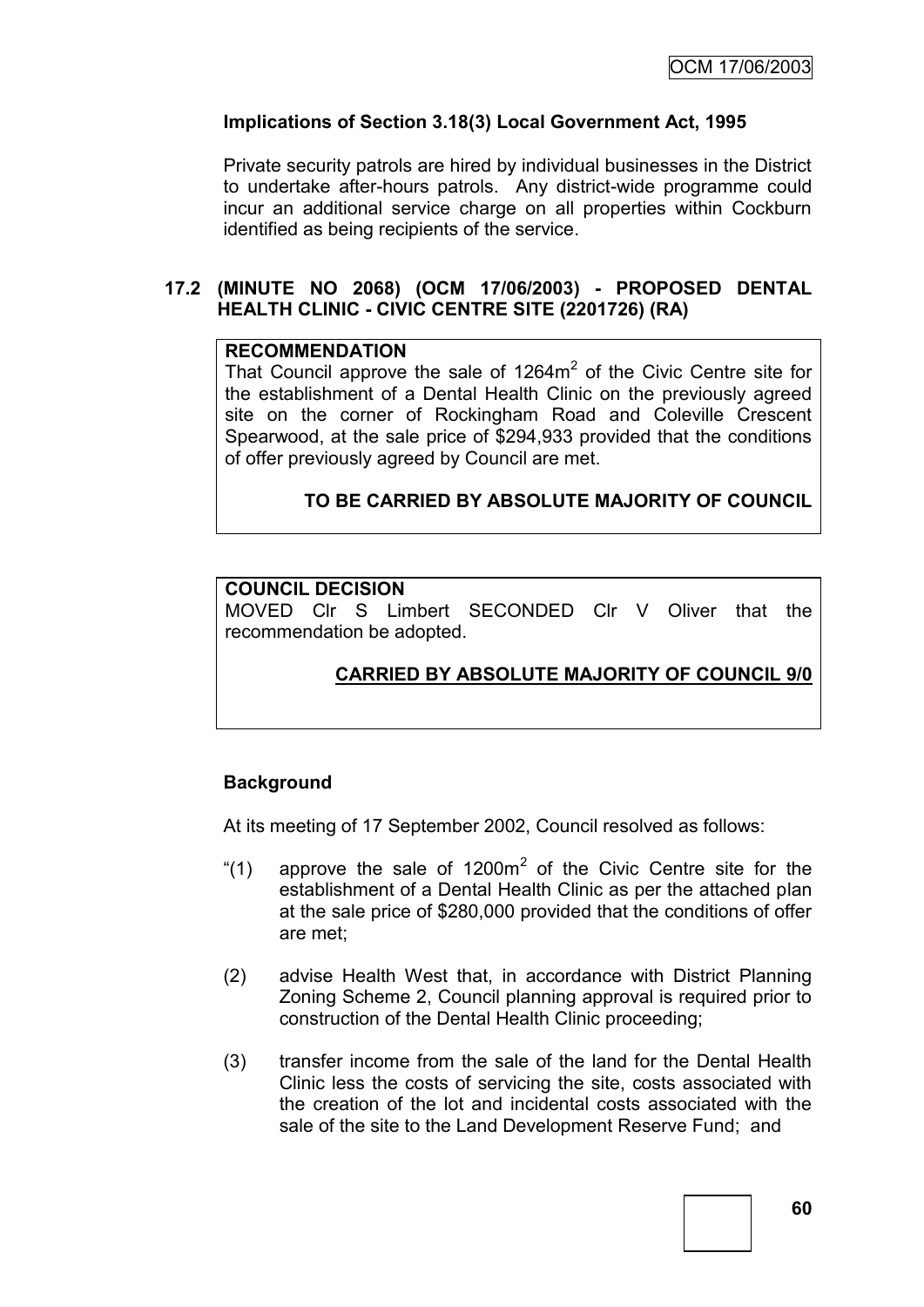### **Implications of Section 3.18(3) Local Government Act, 1995**

Private security patrols are hired by individual businesses in the District to undertake after-hours patrols. Any district-wide programme could incur an additional service charge on all properties within Cockburn identified as being recipients of the service.

### **17.2 (MINUTE NO 2068) (OCM 17/06/2003) - PROPOSED DENTAL HEALTH CLINIC - CIVIC CENTRE SITE (2201726) (RA)**

### **RECOMMENDATION**

That Council approve the sale of  $1264m^2$  of the Civic Centre site for the establishment of a Dental Health Clinic on the previously agreed site on the corner of Rockingham Road and Coleville Crescent Spearwood, at the sale price of \$294,933 provided that the conditions of offer previously agreed by Council are met.

### **TO BE CARRIED BY ABSOLUTE MAJORITY OF COUNCIL**

#### **COUNCIL DECISION**

MOVED Clr S Limbert SECONDED Clr V Oliver that the recommendation be adopted.

### **CARRIED BY ABSOLUTE MAJORITY OF COUNCIL 9/0**

### **Background**

At its meeting of 17 September 2002, Council resolved as follows:

- "(1) approve the sale of 1200 $m^2$  of the Civic Centre site for the establishment of a Dental Health Clinic as per the attached plan at the sale price of \$280,000 provided that the conditions of offer are met;
- (2) advise Health West that, in accordance with District Planning Zoning Scheme 2, Council planning approval is required prior to construction of the Dental Health Clinic proceeding;
- (3) transfer income from the sale of the land for the Dental Health Clinic less the costs of servicing the site, costs associated with the creation of the lot and incidental costs associated with the sale of the site to the Land Development Reserve Fund; and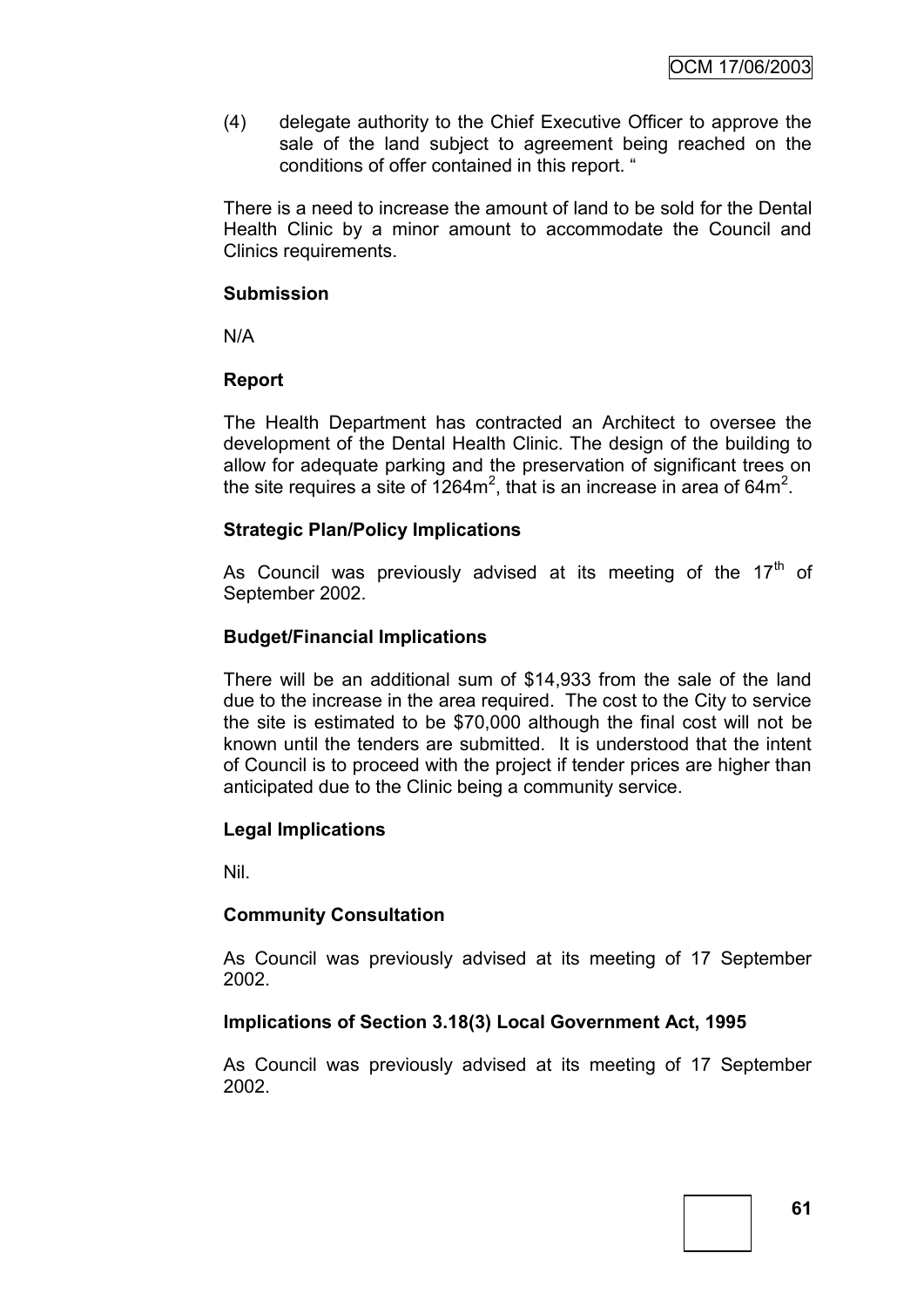(4) delegate authority to the Chief Executive Officer to approve the sale of the land subject to agreement being reached on the conditions of offer contained in this report. "

There is a need to increase the amount of land to be sold for the Dental Health Clinic by a minor amount to accommodate the Council and Clinics requirements.

### **Submission**

N/A

### **Report**

The Health Department has contracted an Architect to oversee the development of the Dental Health Clinic. The design of the building to allow for adequate parking and the preservation of significant trees on the site requires a site of  $1264m^2$ , that is an increase in area of 64m<sup>2</sup>.

### **Strategic Plan/Policy Implications**

As Council was previously advised at its meeting of the  $17<sup>th</sup>$  of September 2002.

### **Budget/Financial Implications**

There will be an additional sum of \$14,933 from the sale of the land due to the increase in the area required. The cost to the City to service the site is estimated to be \$70,000 although the final cost will not be known until the tenders are submitted. It is understood that the intent of Council is to proceed with the project if tender prices are higher than anticipated due to the Clinic being a community service.

### **Legal Implications**

Nil.

### **Community Consultation**

As Council was previously advised at its meeting of 17 September 2002.

### **Implications of Section 3.18(3) Local Government Act, 1995**

As Council was previously advised at its meeting of 17 September 2002.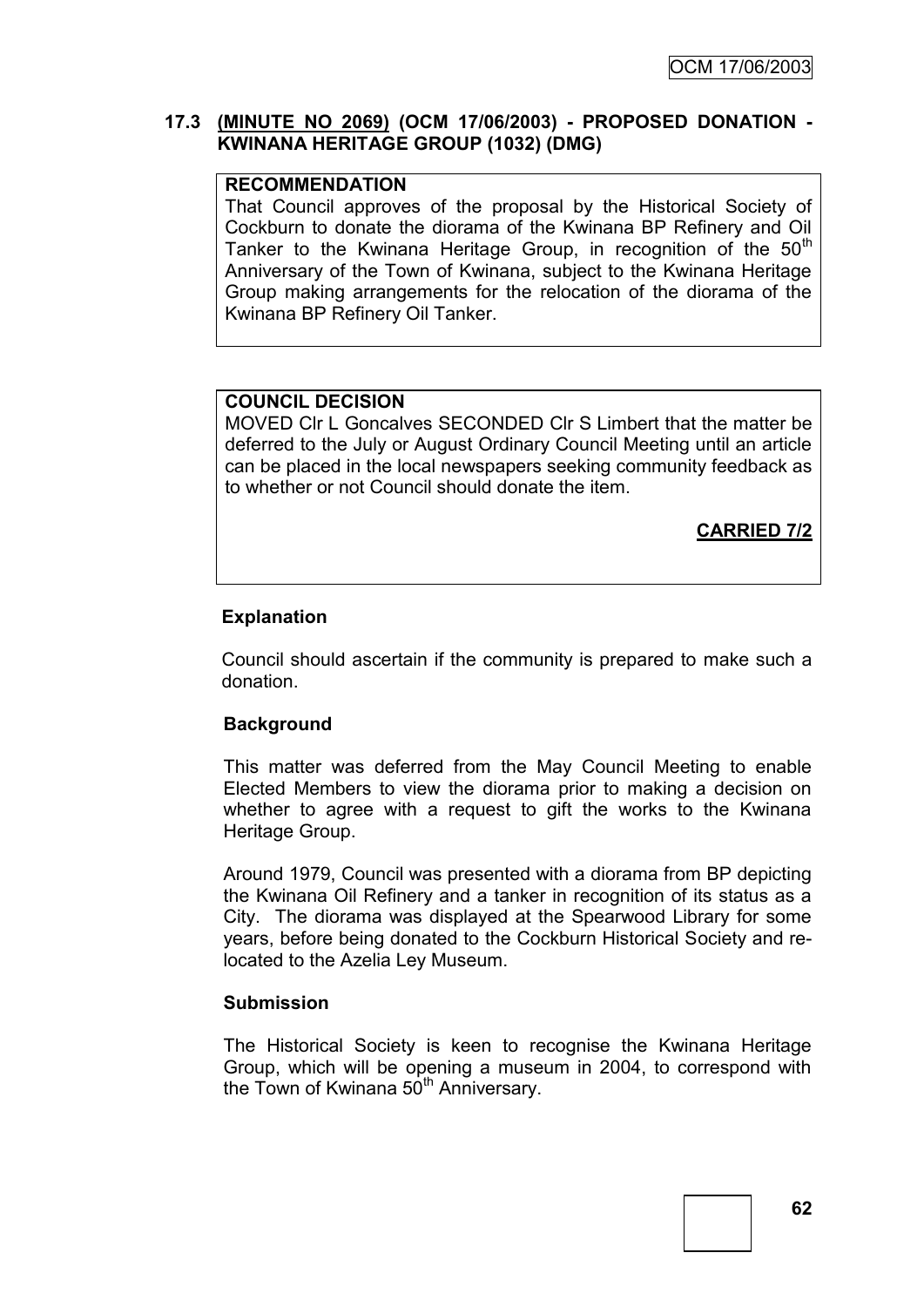### **17.3 (MINUTE NO 2069) (OCM 17/06/2003) - PROPOSED DONATION - KWINANA HERITAGE GROUP (1032) (DMG)**

### **RECOMMENDATION**

That Council approves of the proposal by the Historical Society of Cockburn to donate the diorama of the Kwinana BP Refinery and Oil Tanker to the Kwinana Heritage Group, in recognition of the  $50<sup>th</sup>$ Anniversary of the Town of Kwinana, subject to the Kwinana Heritage Group making arrangements for the relocation of the diorama of the Kwinana BP Refinery Oil Tanker.

### **COUNCIL DECISION**

MOVED Clr L Goncalves SECONDED Clr S Limbert that the matter be deferred to the July or August Ordinary Council Meeting until an article can be placed in the local newspapers seeking community feedback as to whether or not Council should donate the item.

**CARRIED 7/2**

### **Explanation**

Council should ascertain if the community is prepared to make such a donation.

#### **Background**

This matter was deferred from the May Council Meeting to enable Elected Members to view the diorama prior to making a decision on whether to agree with a request to gift the works to the Kwinana Heritage Group.

Around 1979, Council was presented with a diorama from BP depicting the Kwinana Oil Refinery and a tanker in recognition of its status as a City. The diorama was displayed at the Spearwood Library for some years, before being donated to the Cockburn Historical Society and relocated to the Azelia Ley Museum.

#### **Submission**

The Historical Society is keen to recognise the Kwinana Heritage Group, which will be opening a museum in 2004, to correspond with the Town of Kwinana 50<sup>th</sup> Anniversary.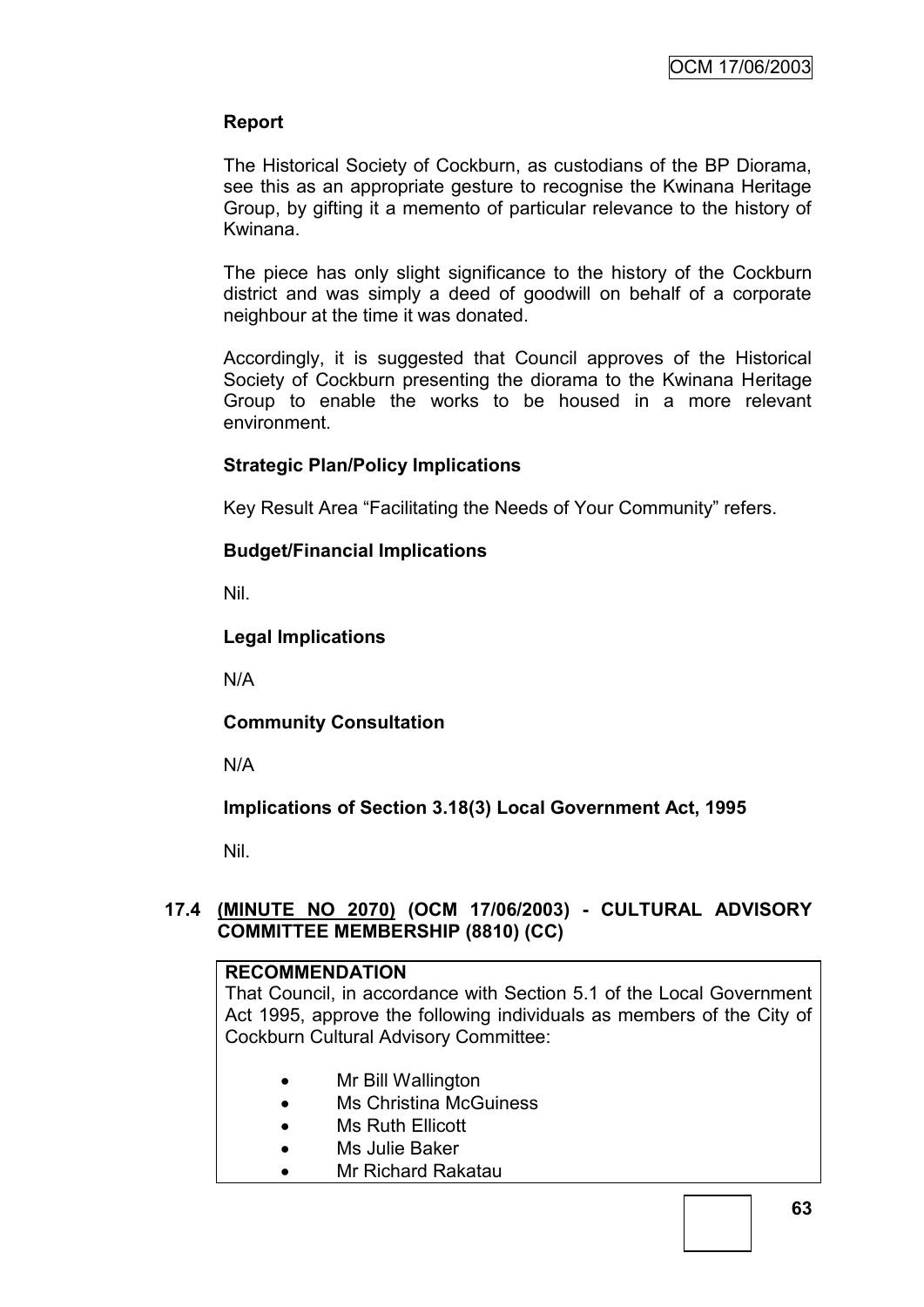### **Report**

The Historical Society of Cockburn, as custodians of the BP Diorama, see this as an appropriate gesture to recognise the Kwinana Heritage Group, by gifting it a memento of particular relevance to the history of Kwinana.

The piece has only slight significance to the history of the Cockburn district and was simply a deed of goodwill on behalf of a corporate neighbour at the time it was donated.

Accordingly, it is suggested that Council approves of the Historical Society of Cockburn presenting the diorama to the Kwinana Heritage Group to enable the works to be housed in a more relevant environment.

### **Strategic Plan/Policy Implications**

Key Result Area "Facilitating the Needs of Your Community" refers.

### **Budget/Financial Implications**

Nil.

### **Legal Implications**

N/A

### **Community Consultation**

N/A

### **Implications of Section 3.18(3) Local Government Act, 1995**

Nil.

### **17.4 (MINUTE NO 2070) (OCM 17/06/2003) - CULTURAL ADVISORY COMMITTEE MEMBERSHIP (8810) (CC)**

### **RECOMMENDATION**

That Council, in accordance with Section 5.1 of the Local Government Act 1995, approve the following individuals as members of the City of Cockburn Cultural Advisory Committee:

- Mr Bill Wallington
- Ms Christina McGuiness
- Ms Ruth Ellicott
- Ms Julie Baker
- Mr Richard Rakatau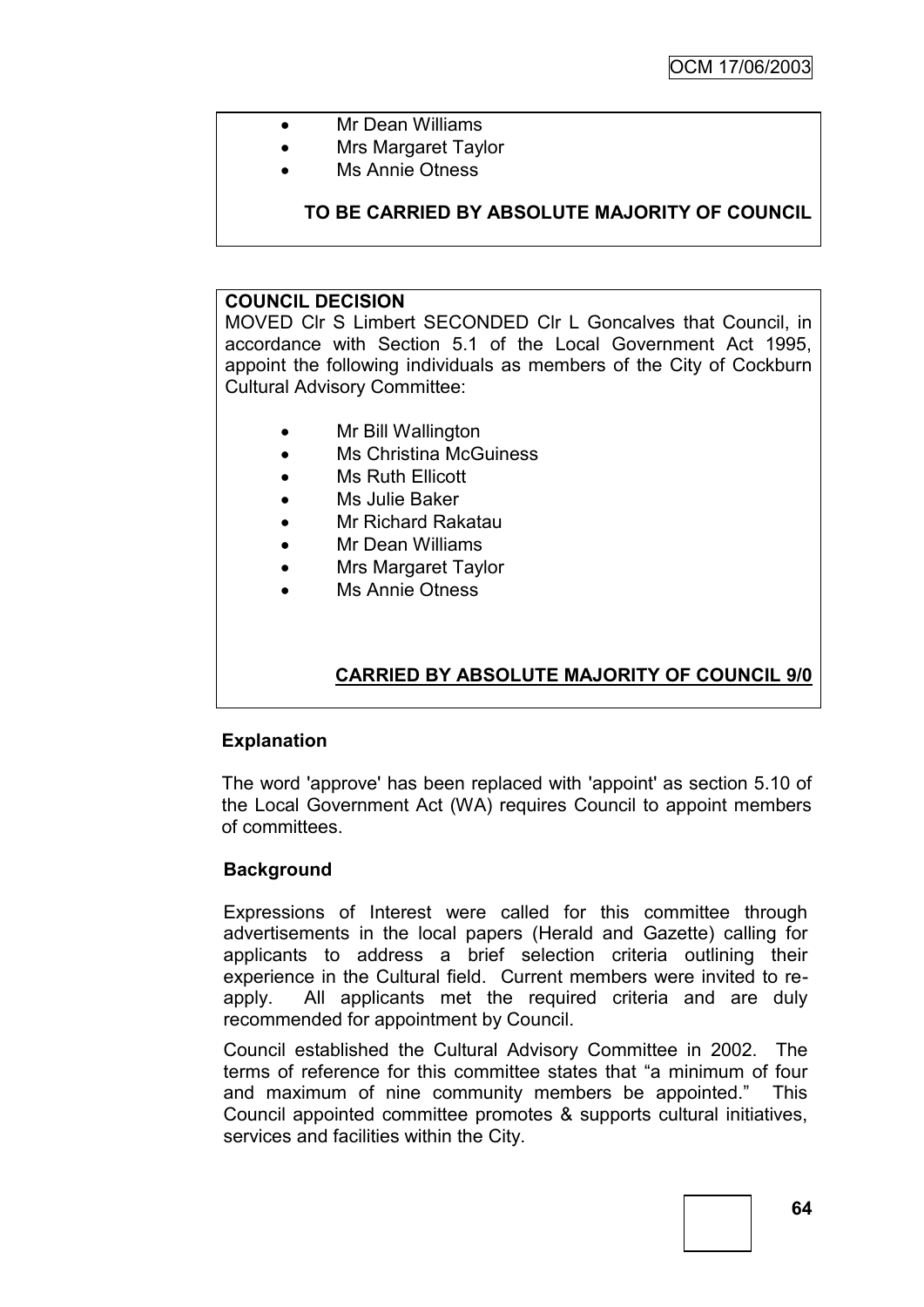- Mr Dean Williams
- Mrs Margaret Taylor
- Ms Annie Otness

### **TO BE CARRIED BY ABSOLUTE MAJORITY OF COUNCIL**

#### **COUNCIL DECISION**

MOVED Clr S Limbert SECONDED Clr L Goncalves that Council, in accordance with Section 5.1 of the Local Government Act 1995, appoint the following individuals as members of the City of Cockburn Cultural Advisory Committee:

- Mr Bill Wallington
- Ms Christina McGuiness
- Ms Ruth Ellicott
- Ms Julie Baker
- Mr Richard Rakatau
- Mr Dean Williams
- Mrs Margaret Taylor
- Ms Annie Otness

### **CARRIED BY ABSOLUTE MAJORITY OF COUNCIL 9/0**

### **Explanation**

The word 'approve' has been replaced with 'appoint' as section 5.10 of the Local Government Act (WA) requires Council to appoint members of committees.

### **Background**

Expressions of Interest were called for this committee through advertisements in the local papers (Herald and Gazette) calling for applicants to address a brief selection criteria outlining their experience in the Cultural field. Current members were invited to reapply. All applicants met the required criteria and are duly recommended for appointment by Council.

Council established the Cultural Advisory Committee in 2002. The terms of reference for this committee states that "a minimum of four and maximum of nine community members be appointed." This Council appointed committee promotes & supports cultural initiatives, services and facilities within the City.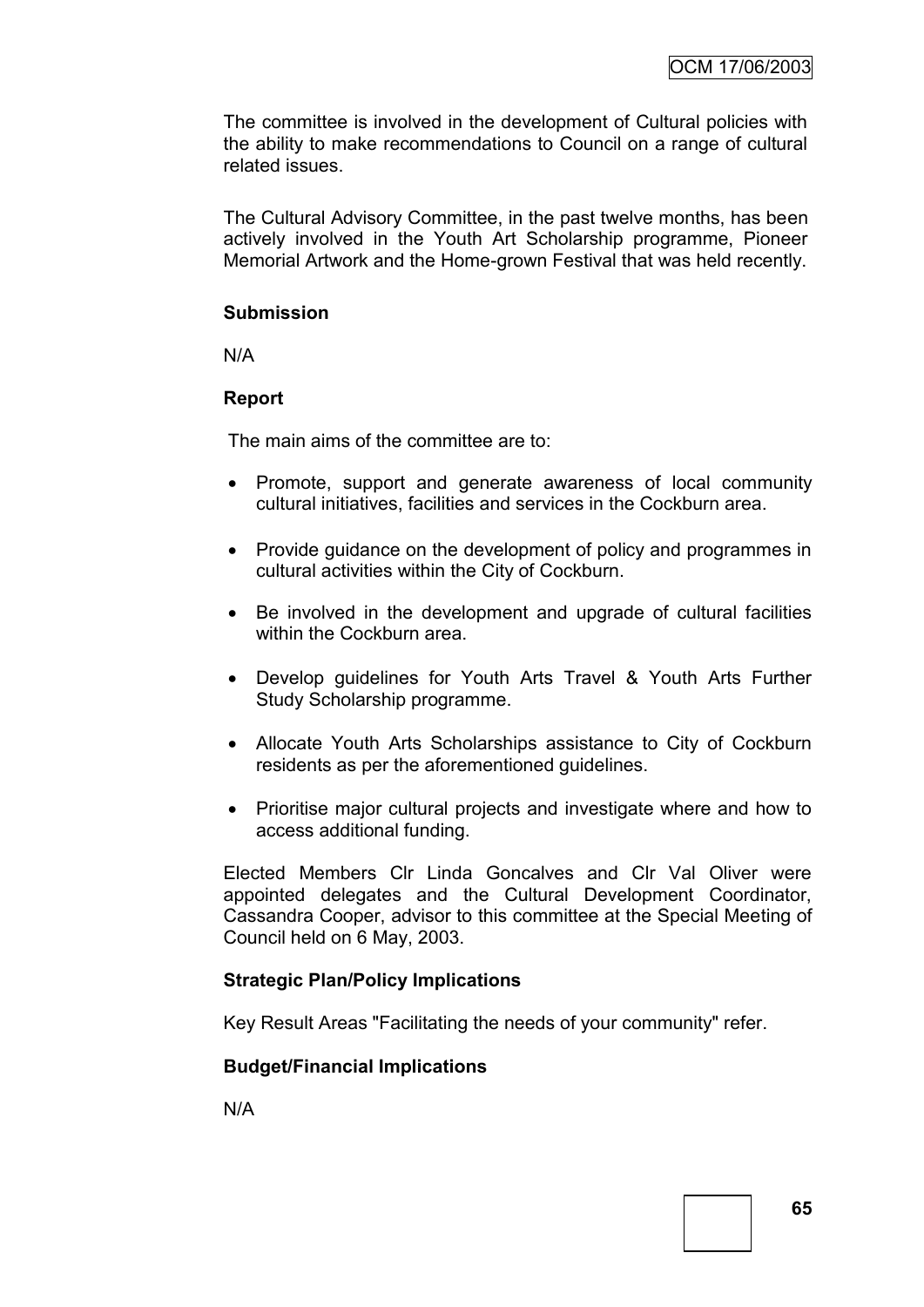The committee is involved in the development of Cultural policies with the ability to make recommendations to Council on a range of cultural related issues.

The Cultural Advisory Committee, in the past twelve months, has been actively involved in the Youth Art Scholarship programme, Pioneer Memorial Artwork and the Home-grown Festival that was held recently.

### **Submission**

N/A

### **Report**

The main aims of the committee are to:

- Promote, support and generate awareness of local community cultural initiatives, facilities and services in the Cockburn area.
- Provide guidance on the development of policy and programmes in cultural activities within the City of Cockburn.
- Be involved in the development and upgrade of cultural facilities within the Cockburn area.
- Develop guidelines for Youth Arts Travel & Youth Arts Further Study Scholarship programme.
- Allocate Youth Arts Scholarships assistance to City of Cockburn residents as per the aforementioned guidelines.
- Prioritise major cultural projects and investigate where and how to access additional funding.

Elected Members Clr Linda Goncalves and Clr Val Oliver were appointed delegates and the Cultural Development Coordinator, Cassandra Cooper, advisor to this committee at the Special Meeting of Council held on 6 May, 2003.

### **Strategic Plan/Policy Implications**

Key Result Areas "Facilitating the needs of your community" refer.

### **Budget/Financial Implications**

N/A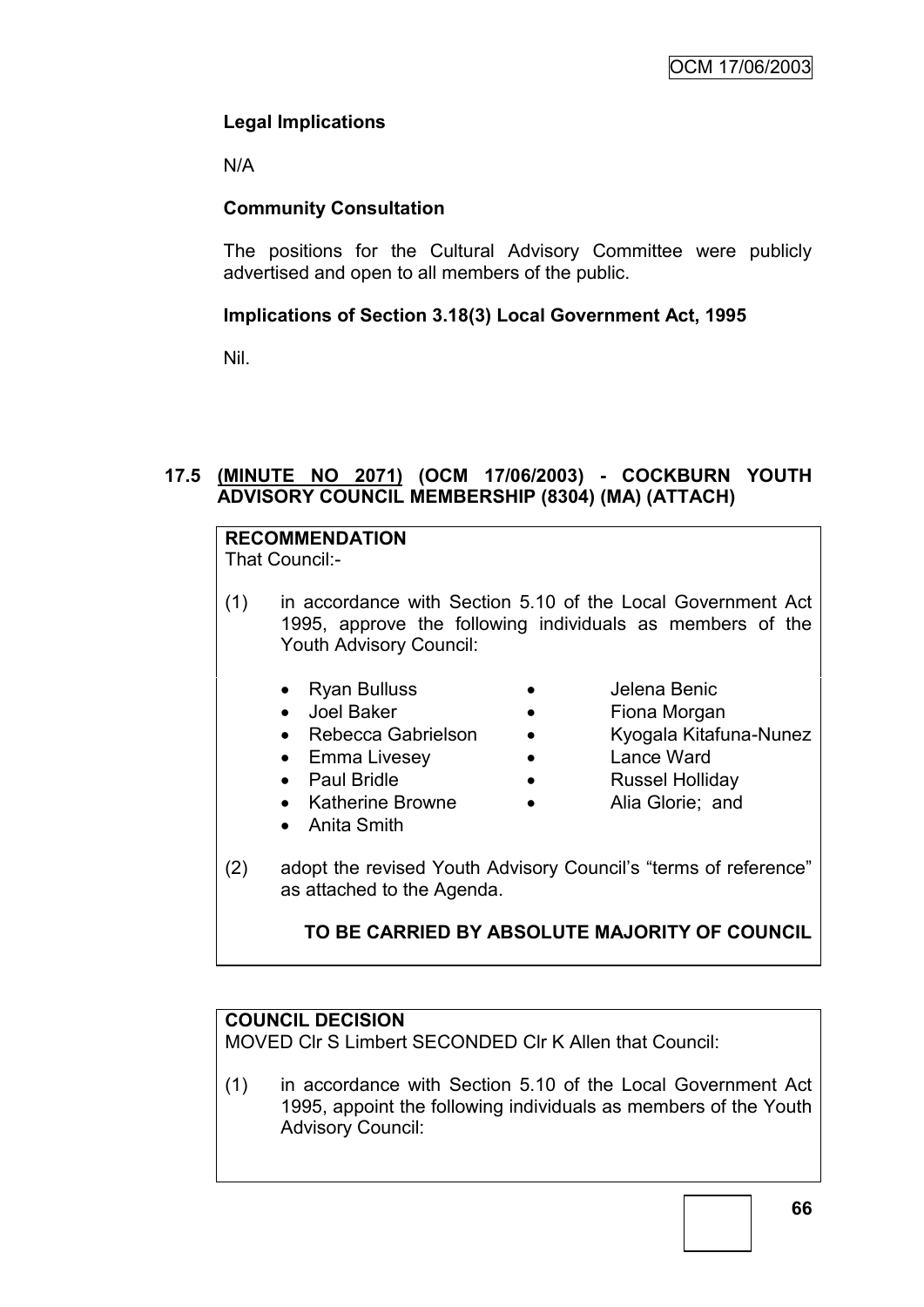### **Legal Implications**

N/A

### **Community Consultation**

The positions for the Cultural Advisory Committee were publicly advertised and open to all members of the public.

### **Implications of Section 3.18(3) Local Government Act, 1995**

Nil.

### **17.5 (MINUTE NO 2071) (OCM 17/06/2003) - COCKBURN YOUTH ADVISORY COUNCIL MEMBERSHIP (8304) (MA) (ATTACH)**

# **RECOMMENDATION**

That Council:-

- (1) in accordance with Section 5.10 of the Local Government Act 1995, approve the following individuals as members of the Youth Advisory Council:
	- Ryan Bulluss
- Jelena Benic
- Joel Baker
- Rebecca Gabrielson

• Emma Livesey

• Katherine Browne

- Fiona Morgan
- Kyogala Kitafuna-Nunez
- Lance Ward
- Russel Holliday
- Alia Glorie; and
- Anita Smith

Paul Bridle

(2) adopt the revised Youth Advisory Council"s "terms of reference" as attached to the Agenda.

### **TO BE CARRIED BY ABSOLUTE MAJORITY OF COUNCIL**

### **COUNCIL DECISION**

MOVED Clr S Limbert SECONDED Clr K Allen that Council:

(1) in accordance with Section 5.10 of the Local Government Act 1995, appoint the following individuals as members of the Youth Advisory Council: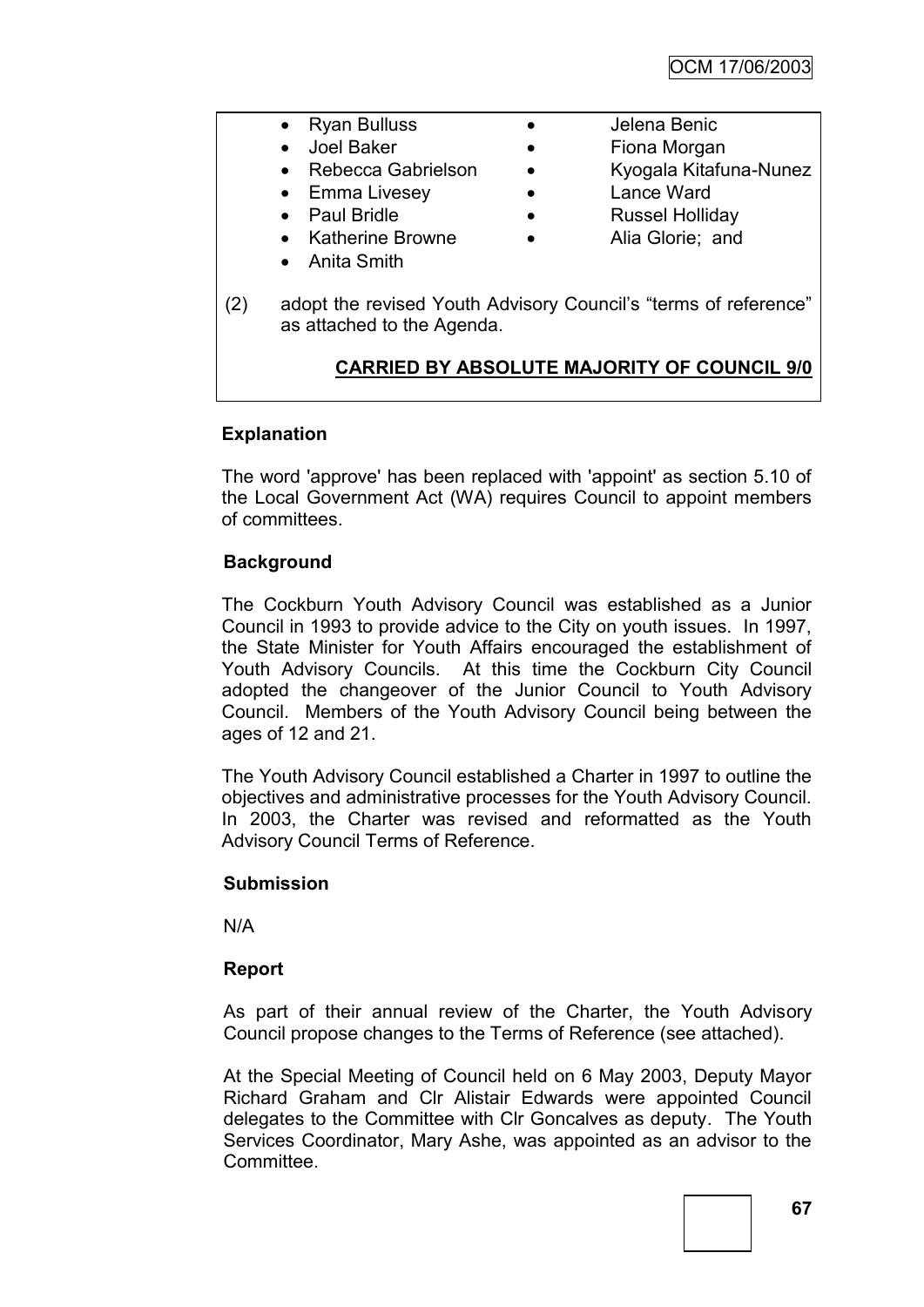|     | <b>Ryan Bulluss</b>                                                                           | Jelena Benic                                       |
|-----|-----------------------------------------------------------------------------------------------|----------------------------------------------------|
|     | Joel Baker                                                                                    | Fiona Morgan                                       |
|     | Rebecca Gabrielson                                                                            | Kyogala Kitafuna-Nunez                             |
|     | Emma Livesey                                                                                  | Lance Ward                                         |
|     | <b>Paul Bridle</b>                                                                            | <b>Russel Holliday</b>                             |
|     | <b>Katherine Browne</b>                                                                       | Alia Glorie; and                                   |
|     | Anita Smith                                                                                   |                                                    |
| (2) | adopt the revised Youth Advisory Council's "terms of reference"<br>as attached to the Agenda. |                                                    |
|     |                                                                                               | <b>CARRIED BY ABSOLUTE MAJORITY OF COUNCIL 9/0</b> |
|     |                                                                                               |                                                    |

### **Explanation**

The word 'approve' has been replaced with 'appoint' as section 5.10 of the Local Government Act (WA) requires Council to appoint members of committees.

### **Background**

The Cockburn Youth Advisory Council was established as a Junior Council in 1993 to provide advice to the City on youth issues. In 1997, the State Minister for Youth Affairs encouraged the establishment of Youth Advisory Councils. At this time the Cockburn City Council adopted the changeover of the Junior Council to Youth Advisory Council. Members of the Youth Advisory Council being between the ages of 12 and 21.

The Youth Advisory Council established a Charter in 1997 to outline the objectives and administrative processes for the Youth Advisory Council. In 2003, the Charter was revised and reformatted as the Youth Advisory Council Terms of Reference.

### **Submission**

N/A

### **Report**

As part of their annual review of the Charter, the Youth Advisory Council propose changes to the Terms of Reference (see attached).

At the Special Meeting of Council held on 6 May 2003, Deputy Mayor Richard Graham and Clr Alistair Edwards were appointed Council delegates to the Committee with Clr Goncalves as deputy. The Youth Services Coordinator, Mary Ashe, was appointed as an advisor to the Committee.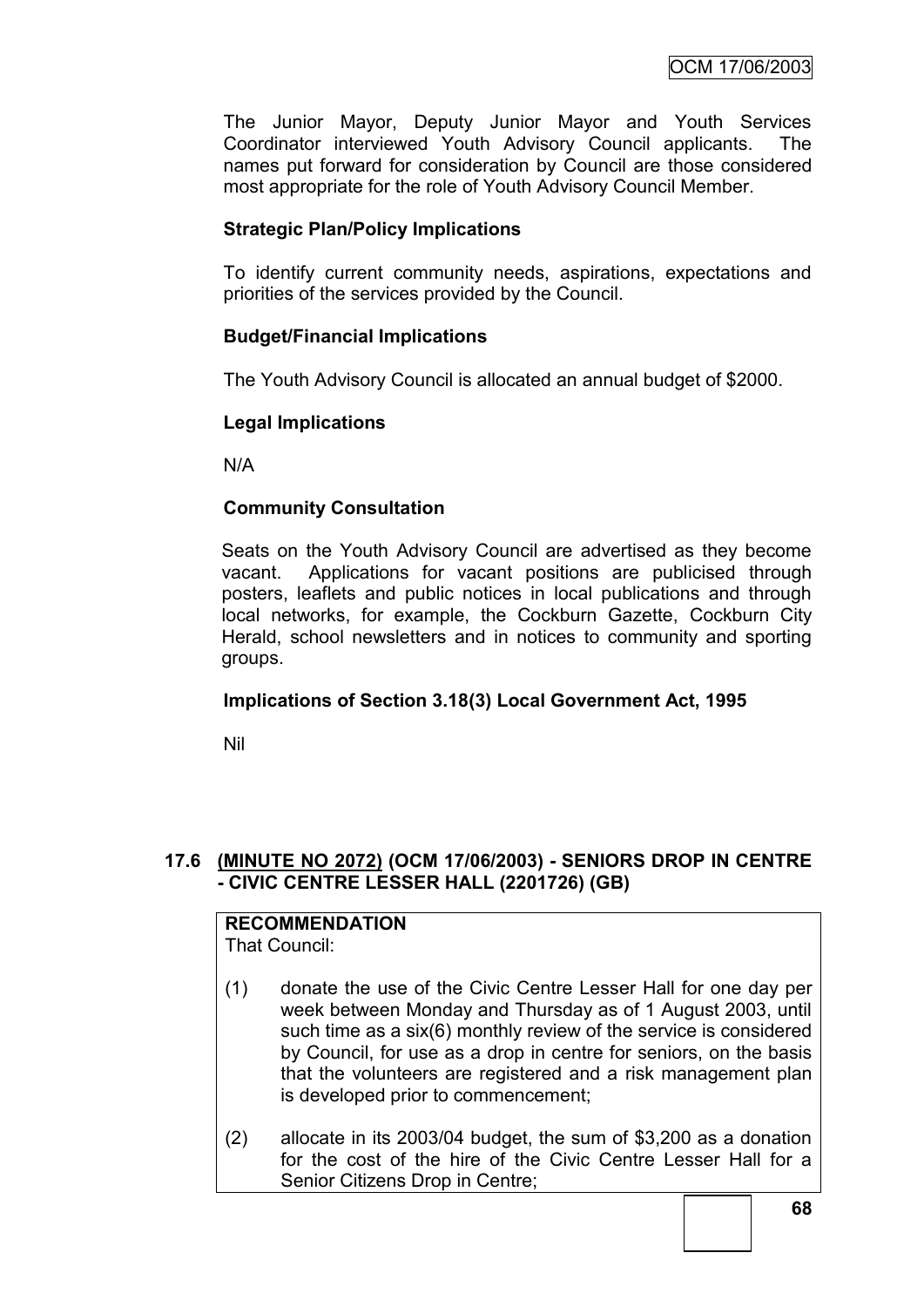The Junior Mayor, Deputy Junior Mayor and Youth Services Coordinator interviewed Youth Advisory Council applicants. The names put forward for consideration by Council are those considered most appropriate for the role of Youth Advisory Council Member.

### **Strategic Plan/Policy Implications**

To identify current community needs, aspirations, expectations and priorities of the services provided by the Council.

### **Budget/Financial Implications**

The Youth Advisory Council is allocated an annual budget of \$2000.

### **Legal Implications**

N/A

### **Community Consultation**

Seats on the Youth Advisory Council are advertised as they become vacant. Applications for vacant positions are publicised through posters, leaflets and public notices in local publications and through local networks, for example, the Cockburn Gazette, Cockburn City Herald, school newsletters and in notices to community and sporting groups.

### **Implications of Section 3.18(3) Local Government Act, 1995**

Nil

### **17.6 (MINUTE NO 2072) (OCM 17/06/2003) - SENIORS DROP IN CENTRE - CIVIC CENTRE LESSER HALL (2201726) (GB)**

# **RECOMMENDATION**

That Council:

- (1) donate the use of the Civic Centre Lesser Hall for one day per week between Monday and Thursday as of 1 August 2003, until such time as a six(6) monthly review of the service is considered by Council, for use as a drop in centre for seniors, on the basis that the volunteers are registered and a risk management plan is developed prior to commencement;
- (2) allocate in its 2003/04 budget, the sum of \$3,200 as a donation for the cost of the hire of the Civic Centre Lesser Hall for a Senior Citizens Drop in Centre;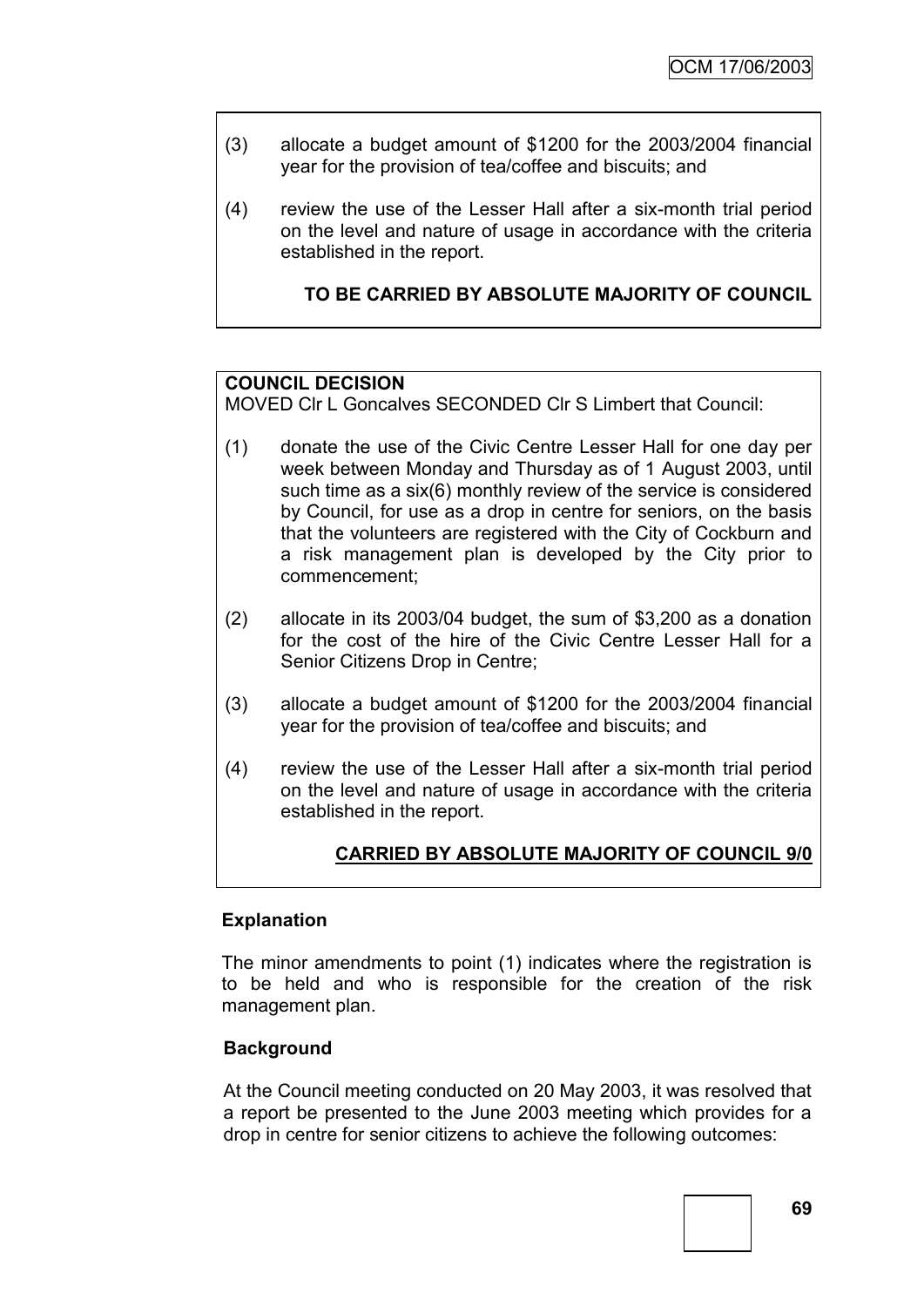- (3) allocate a budget amount of \$1200 for the 2003/2004 financial year for the provision of tea/coffee and biscuits; and
- (4) review the use of the Lesser Hall after a six-month trial period on the level and nature of usage in accordance with the criteria established in the report.

### **TO BE CARRIED BY ABSOLUTE MAJORITY OF COUNCIL**

### **COUNCIL DECISION**

MOVED Clr L Goncalves SECONDED Clr S Limbert that Council:

- (1) donate the use of the Civic Centre Lesser Hall for one day per week between Monday and Thursday as of 1 August 2003, until such time as a six(6) monthly review of the service is considered by Council, for use as a drop in centre for seniors, on the basis that the volunteers are registered with the City of Cockburn and a risk management plan is developed by the City prior to commencement;
- (2) allocate in its 2003/04 budget, the sum of \$3,200 as a donation for the cost of the hire of the Civic Centre Lesser Hall for a Senior Citizens Drop in Centre;
- (3) allocate a budget amount of \$1200 for the 2003/2004 financial year for the provision of tea/coffee and biscuits; and
- (4) review the use of the Lesser Hall after a six-month trial period on the level and nature of usage in accordance with the criteria established in the report.

### **CARRIED BY ABSOLUTE MAJORITY OF COUNCIL 9/0**

#### **Explanation**

The minor amendments to point (1) indicates where the registration is to be held and who is responsible for the creation of the risk management plan.

### **Background**

At the Council meeting conducted on 20 May 2003, it was resolved that a report be presented to the June 2003 meeting which provides for a drop in centre for senior citizens to achieve the following outcomes: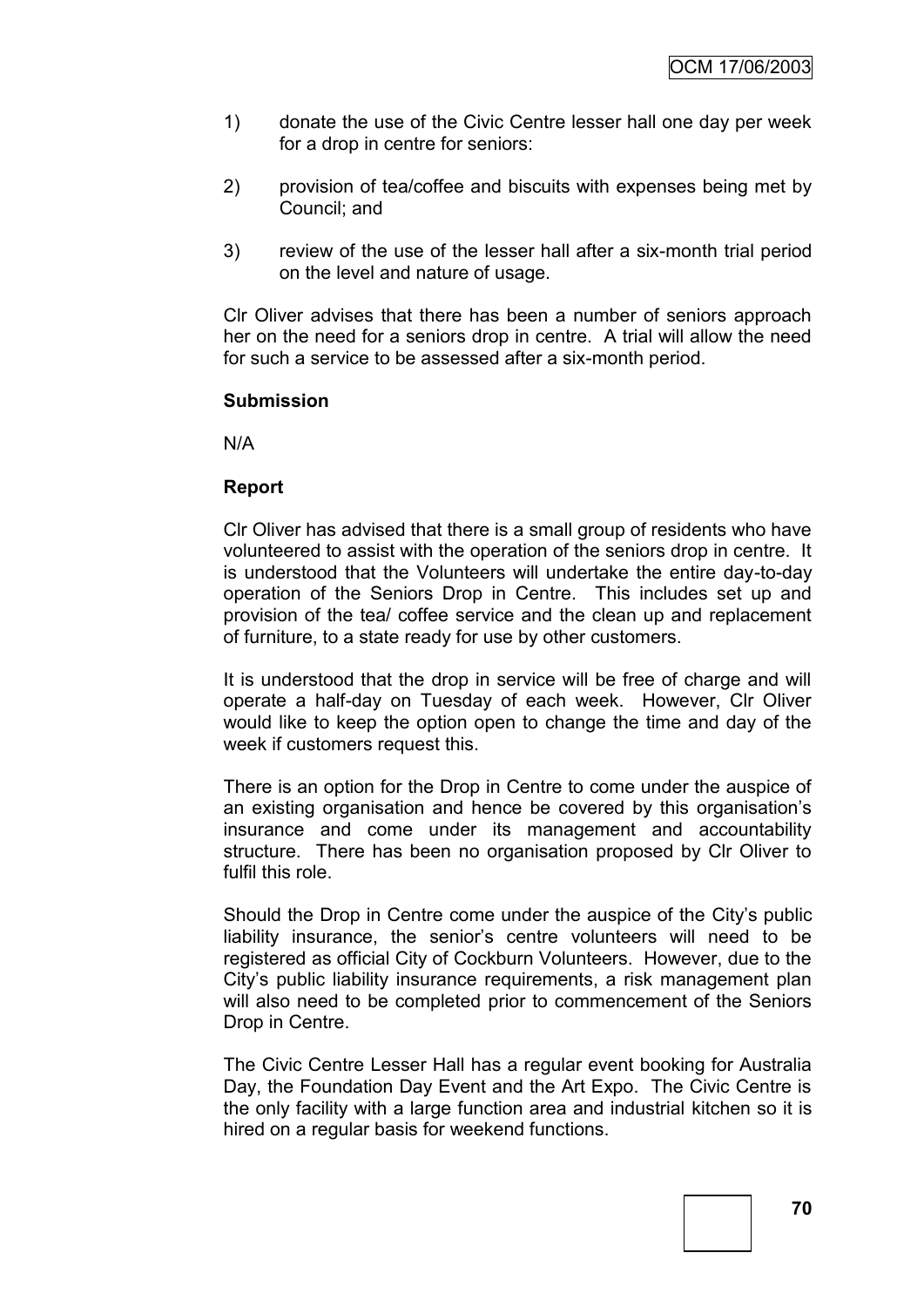- 1) donate the use of the Civic Centre lesser hall one day per week for a drop in centre for seniors:
- 2) provision of tea/coffee and biscuits with expenses being met by Council; and
- 3) review of the use of the lesser hall after a six-month trial period on the level and nature of usage.

Clr Oliver advises that there has been a number of seniors approach her on the need for a seniors drop in centre. A trial will allow the need for such a service to be assessed after a six-month period.

#### **Submission**

N/A

## **Report**

Clr Oliver has advised that there is a small group of residents who have volunteered to assist with the operation of the seniors drop in centre. It is understood that the Volunteers will undertake the entire day-to-day operation of the Seniors Drop in Centre. This includes set up and provision of the tea/ coffee service and the clean up and replacement of furniture, to a state ready for use by other customers.

It is understood that the drop in service will be free of charge and will operate a half-day on Tuesday of each week. However, Clr Oliver would like to keep the option open to change the time and day of the week if customers request this.

There is an option for the Drop in Centre to come under the auspice of an existing organisation and hence be covered by this organisation"s insurance and come under its management and accountability structure. There has been no organisation proposed by Clr Oliver to fulfil this role.

Should the Drop in Centre come under the auspice of the City"s public liability insurance, the senior's centre volunteers will need to be registered as official City of Cockburn Volunteers. However, due to the City"s public liability insurance requirements, a risk management plan will also need to be completed prior to commencement of the Seniors Drop in Centre.

The Civic Centre Lesser Hall has a regular event booking for Australia Day, the Foundation Day Event and the Art Expo. The Civic Centre is the only facility with a large function area and industrial kitchen so it is hired on a regular basis for weekend functions.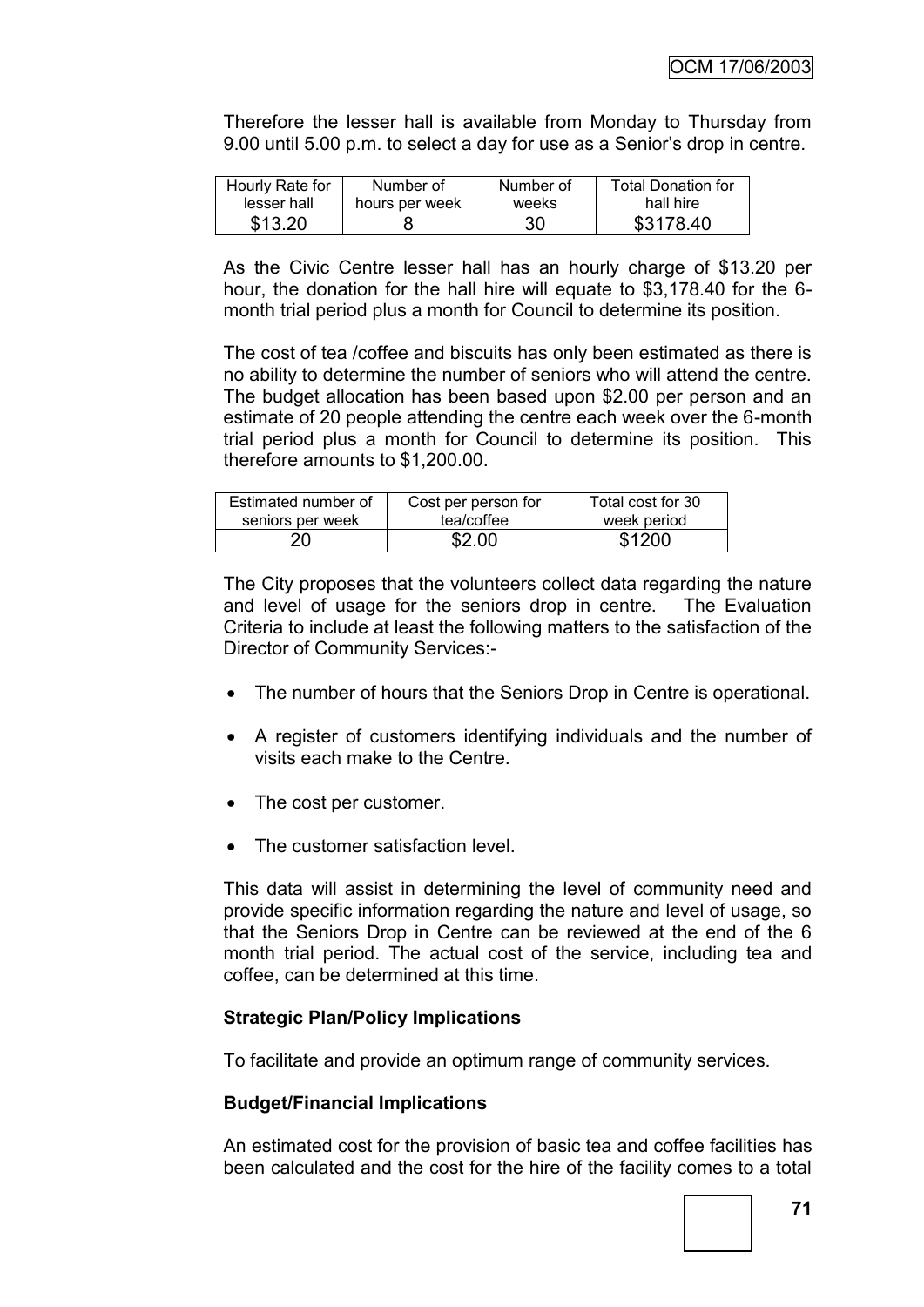Therefore the lesser hall is available from Monday to Thursday from 9.00 until 5.00 p.m. to select a day for use as a Senior"s drop in centre.

| Hourly Rate for | Number of      | Number of | <b>Total Donation for</b> |
|-----------------|----------------|-----------|---------------------------|
| lesser hall     | hours per week | weeks     | hall hire                 |
| \$13.20         |                | 30        | \$3178.40                 |

As the Civic Centre lesser hall has an hourly charge of \$13.20 per hour, the donation for the hall hire will equate to \$3,178.40 for the 6 month trial period plus a month for Council to determine its position.

The cost of tea /coffee and biscuits has only been estimated as there is no ability to determine the number of seniors who will attend the centre. The budget allocation has been based upon \$2.00 per person and an estimate of 20 people attending the centre each week over the 6-month trial period plus a month for Council to determine its position. This therefore amounts to \$1,200.00.

| Estimated number of | Cost per person for | Total cost for 30 |
|---------------------|---------------------|-------------------|
| seniors per week    | tea/coffee          | week period       |
| 20                  | \$2.00              | \$1200            |

The City proposes that the volunteers collect data regarding the nature and level of usage for the seniors drop in centre. The Evaluation Criteria to include at least the following matters to the satisfaction of the Director of Community Services:-

- The number of hours that the Seniors Drop in Centre is operational.
- A register of customers identifying individuals and the number of visits each make to the Centre.
- The cost per customer.
- The customer satisfaction level.

This data will assist in determining the level of community need and provide specific information regarding the nature and level of usage, so that the Seniors Drop in Centre can be reviewed at the end of the 6 month trial period. The actual cost of the service, including tea and coffee, can be determined at this time.

## **Strategic Plan/Policy Implications**

To facilitate and provide an optimum range of community services.

## **Budget/Financial Implications**

An estimated cost for the provision of basic tea and coffee facilities has been calculated and the cost for the hire of the facility comes to a total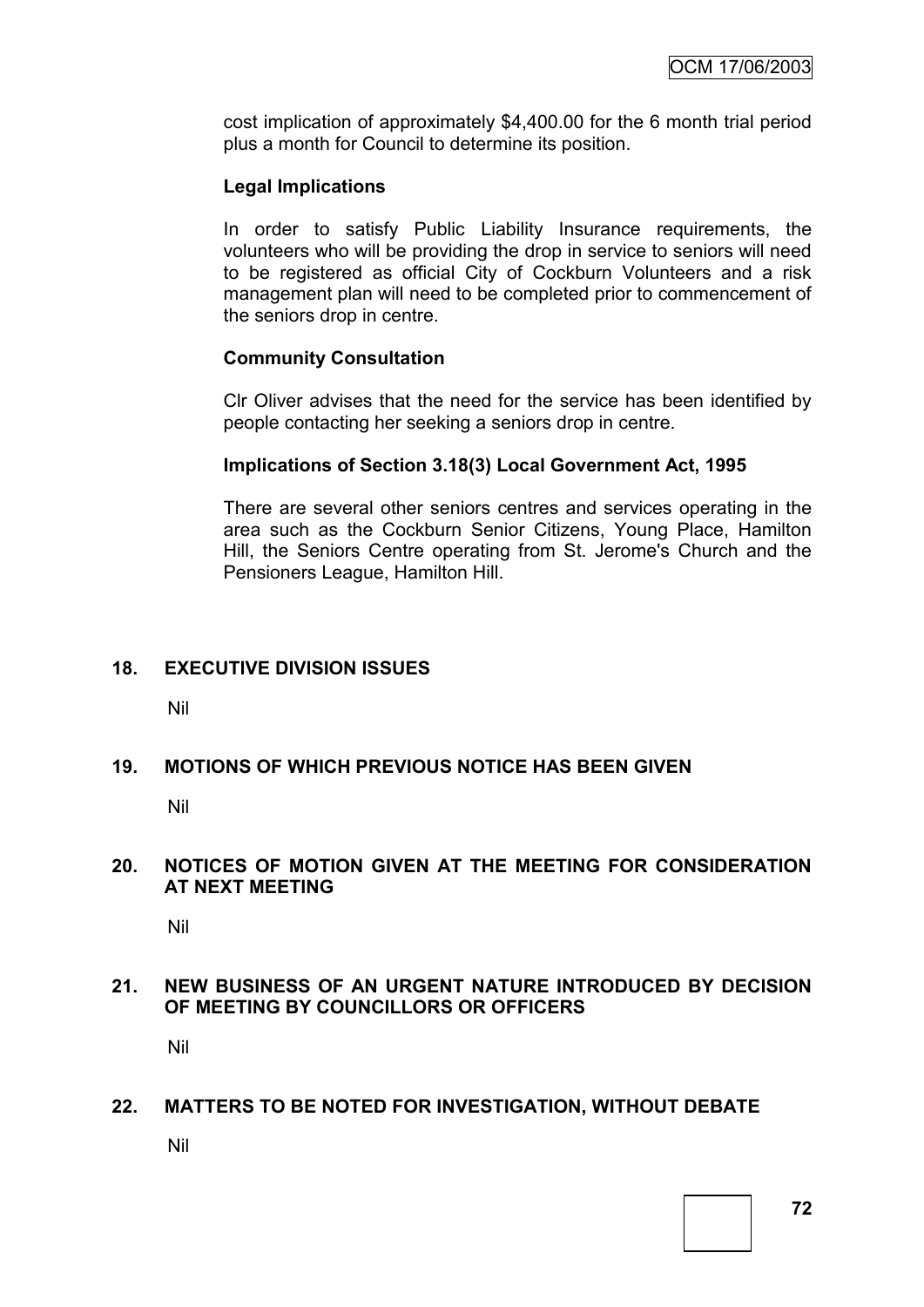cost implication of approximately \$4,400.00 for the 6 month trial period plus a month for Council to determine its position.

## **Legal Implications**

In order to satisfy Public Liability Insurance requirements, the volunteers who will be providing the drop in service to seniors will need to be registered as official City of Cockburn Volunteers and a risk management plan will need to be completed prior to commencement of the seniors drop in centre.

#### **Community Consultation**

Clr Oliver advises that the need for the service has been identified by people contacting her seeking a seniors drop in centre.

#### **Implications of Section 3.18(3) Local Government Act, 1995**

There are several other seniors centres and services operating in the area such as the Cockburn Senior Citizens, Young Place, Hamilton Hill, the Seniors Centre operating from St. Jerome's Church and the Pensioners League, Hamilton Hill.

## **18. EXECUTIVE DIVISION ISSUES**

Nil

## **19. MOTIONS OF WHICH PREVIOUS NOTICE HAS BEEN GIVEN**

Nil

#### **20. NOTICES OF MOTION GIVEN AT THE MEETING FOR CONSIDERATION AT NEXT MEETING**

Nil

## **21. NEW BUSINESS OF AN URGENT NATURE INTRODUCED BY DECISION OF MEETING BY COUNCILLORS OR OFFICERS**

Nil

#### **22. MATTERS TO BE NOTED FOR INVESTIGATION, WITHOUT DEBATE**

Nil